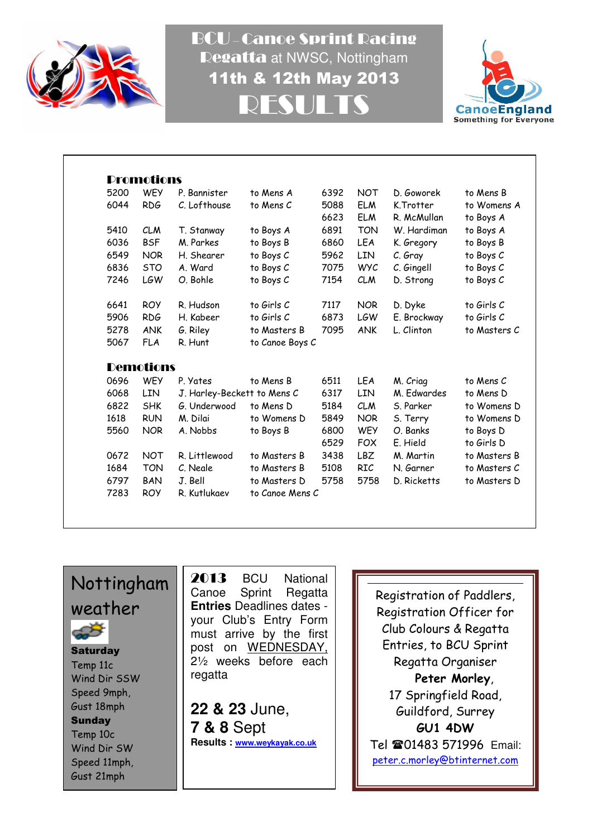

BCU – Canoe Sprint Racing Regatta at NWSC, Nottingham 11th & 12th May 2013 RESULTS



| 5200 | <b>WEY</b>       | P. Bannister                | to Mens A       | 6392 | <b>NOT</b> | D. Goworek  | to Mens B    |
|------|------------------|-----------------------------|-----------------|------|------------|-------------|--------------|
| 6044 | <b>RDG</b>       | C. Lofthouse                | to Mens C       | 5088 | <b>ELM</b> | K.Trotter   | to Womens A  |
|      |                  |                             |                 | 6623 | <b>ELM</b> | R. McMullan | to Boys A    |
| 5410 | <b>CLM</b>       | T. Stanway                  | to Boys A       | 6891 | <b>TON</b> | W. Hardiman | to Boys A    |
| 6036 | <b>BSF</b>       | M. Parkes                   | to Boys B       | 6860 | LEA        | K. Gregory  | to Boys B    |
| 6549 | <b>NOR</b>       | H. Shearer                  | to Boys C       | 5962 | <b>LIN</b> | C. Gray     | to Boys C    |
| 6836 | <b>STO</b>       | A. Ward                     | to Boys C       | 7075 | <b>WYC</b> | C. Gingell  | to Boys C    |
| 7246 | LGW              | O. Bohle                    | to Boys C       | 7154 | <b>CLM</b> | D. Strong   | to Boys C    |
| 6641 | <b>ROY</b>       | R. Hudson                   | to Girls C      | 7117 | NOR.       | D. Dyke     | to Girls C   |
| 5906 | <b>RDG</b>       | H. Kabeer                   | to Girls C      | 6873 | <b>LGW</b> | E. Brockway | to Girls C   |
| 5278 | <b>ANK</b>       | G. Riley                    | to Masters B    | 7095 | <b>ANK</b> | L. Clinton  | to Masters C |
| 5067 | <b>FLA</b>       | R. Hunt                     | to Canoe Boys C |      |            |             |              |
|      | <b>Demotions</b> |                             |                 |      |            |             |              |
| 0696 | <b>WEY</b>       | P. Yates                    | to Mens B       | 6511 | <b>LEA</b> | M. Criag    | to Mens C    |
| 6068 | <b>LIN</b>       | J. Harley-Beckett to Mens C |                 | 6317 | LIN        | M. Edwardes | to Mens D    |
| 6822 | <b>SHK</b>       | G. Underwood                | to Mens D       | 5184 | <b>CLM</b> | S. Parker   | to Womens D  |
| 1618 | <b>RUN</b>       | M. Dilai                    | to Womens D     | 5849 | <b>NOR</b> | S. Terry    | to Womens D  |
| 5560 | <b>NOR</b>       | A. Nobbs                    | to Boys B       | 6800 | <b>WEY</b> | O. Banks    | to Boys D    |
|      |                  |                             |                 | 6529 | <b>FOX</b> | E. Hield    | to Girls D   |
| 0672 | <b>NOT</b>       | R. Littlewood               | to Masters B    | 3438 | <b>LBZ</b> | M. Martin   | to Masters B |
| 1684 | <b>TON</b>       | C. Negle                    | to Masters B    | 5108 | <b>RIC</b> | N. Garner   | to Masters C |
| 6797 | <b>BAN</b>       | J. Bell                     | to Masters D    | 5758 | 5758       | D. Ricketts | to Masters D |
| 7283 | <b>ROY</b>       | R. Kutlukaev                | to Canoe Mens C |      |            |             |              |

## Nottingham weather



**Saturday** Temp 11c Wind Dir SSW Speed 9mph, Gust 18mph **Sunday** Temp 10c Wind Dir SW Speed 11mph, Gust 21mph

2013 BCU National Canoe Sprint Regatta **Entries** Deadlines dates your Club's Entry Form must arrive by the first post on WEDNESDAY, 2½ weeks before each regatta

**22 & 23** June, **7 & 8** Sept **Results : www.weykayak.co.uk**

Registration of Paddlers, Registration Officer for Club Colours & Regatta Entries, to BCU Sprint Regatta Organiser Peter Morley, 17 Springfield Road, Guildford, Surrey GU1 4DW Tel 201483 571996 Email: peter.c.morley@btinternet.com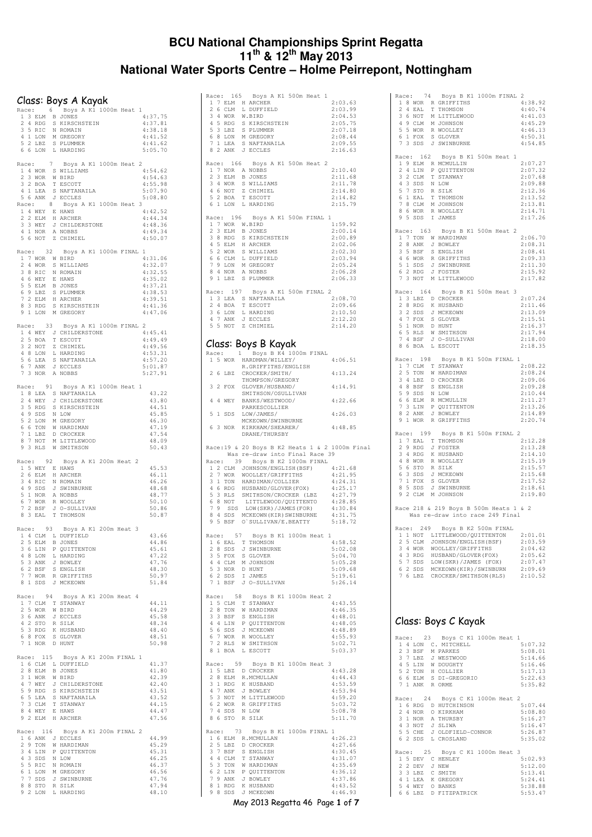#### **BCU National Championships Sprint Regatta 11th & 12th May 2013 National Water Sports Centre – Holme Peirrepont, Nottingham**

#### Class: Boys A Kayak

|              |    |                    |                 |                                                                                                                                                                |  | CIASS: BOYS A KAYAK<br>Race: 6 Boys A K1 1000m Heat 1 |                    |
|--------------|----|--------------------|-----------------|----------------------------------------------------------------------------------------------------------------------------------------------------------------|--|-------------------------------------------------------|--------------------|
|              |    |                    |                 |                                                                                                                                                                |  |                                                       | 4:37.75            |
|              |    |                    |                 | ACE: 0 DAYS A A1.<br>1 3 ELM B JONES<br>2 4 RDG S KIRSCHSTEIN<br>3 5 RIC N ROMAIN<br>4 1 LON M GREGORY<br>5 2 LBZ S PLUMMER<br>6 6 LON L HARDING               |  |                                                       | 4:37.81            |
|              |    |                    |                 |                                                                                                                                                                |  |                                                       | 4:38.18            |
|              |    |                    |                 |                                                                                                                                                                |  |                                                       | 4:41.52            |
|              |    |                    |                 |                                                                                                                                                                |  |                                                       | 4:41.62            |
|              |    |                    |                 |                                                                                                                                                                |  |                                                       | 5:05.70            |
| Race:        |    |                    | $7\overline{ }$ |                                                                                                                                                                |  | Boys A K1 1000m Heat 2                                |                    |
|              |    |                    |                 | 1 4 WOR S WILLIAMS<br>2 3 WOR W BIRD                                                                                                                           |  |                                                       | 4:54.62            |
|              |    |                    |                 |                                                                                                                                                                |  |                                                       | 4:54.63            |
|              |    | 3 2 BOA            |                 | T ESCOTT                                                                                                                                                       |  |                                                       | 4:55.98            |
|              |    |                    |                 | $\begin{tabular}{cc} 4& 1 & LEA & S & NAFTANZ\\ 5& 6 & ANK & J & ECCLES \end{tabular}$<br>S NAFTANAILA                                                         |  |                                                       | 5:07.90            |
|              |    |                    |                 |                                                                                                                                                                |  |                                                       | 5:08.80            |
|              |    |                    |                 |                                                                                                                                                                |  | Race: 8 Boys A K1 1000m Heat                          | 3<br>4:42.52       |
|              |    |                    |                 |                                                                                                                                                                |  |                                                       | 4:44.34            |
|              |    |                    |                 | 1 4 WEY E HAWS<br>2 2 ELM H ARCHER<br>3 3 WEY J CHILDERSTONE<br>4 1 NOR A NOBBS                                                                                |  |                                                       | 4:48.36            |
|              |    |                    |                 |                                                                                                                                                                |  |                                                       | 4:49.34            |
|              |    |                    |                 | 5 6 NOT Z CHIMIEL                                                                                                                                              |  |                                                       | 4:50.07            |
|              |    |                    |                 |                                                                                                                                                                |  | Race: 32 Boys A K1 1000m FINAL 1                      |                    |
|              |    |                    |                 |                                                                                                                                                                |  |                                                       | 4:31.06            |
|              |    |                    |                 | $\begin{tabular}{cc} 1 & 7 & WORD & W BIRD \\ 2 & 4 & WORD & S WILLIAMS \end{tabular}$                                                                         |  |                                                       | 4:32.07            |
|              |    |                    |                 |                                                                                                                                                                |  |                                                       | 4:32.55            |
|              |    |                    |                 |                                                                                                                                                                |  |                                                       | 4:35.02            |
|              |    |                    |                 |                                                                                                                                                                |  |                                                       | 4:37.21<br>4:38.53 |
|              |    |                    |                 |                                                                                                                                                                |  |                                                       | 4:39.51            |
|              |    |                    |                 | 2 4 WOR S WILLIAMS<br>3 8 RIC N ROMAIN<br>4 6 WEY E HAWS<br>5 5 ELM B JONES<br>7 2 ELM H ARCHER<br>8 3 RDC S KIRSCHSTEIN<br>8 3 RDC S KIRSCHSTEIN              |  |                                                       | 4:41.36            |
|              |    | 9 1 LON            |                 | M GREGORY                                                                                                                                                      |  |                                                       | 4:47.06            |
|              |    |                    |                 |                                                                                                                                                                |  |                                                       |                    |
|              |    | Race: 33           |                 |                                                                                                                                                                |  | Boys A K1 1000m FINAL 2                               | 4:45.41            |
|              |    |                    |                 |                                                                                                                                                                |  |                                                       | 4:49.49            |
|              |    |                    |                 |                                                                                                                                                                |  |                                                       | 4:49.56            |
|              |    |                    |                 |                                                                                                                                                                |  |                                                       | 4:53.31            |
|              |    |                    |                 |                                                                                                                                                                |  |                                                       | 4:57.20            |
|              |    |                    |                 | ALL 14 WEY J CHILDERSTONE<br>2 5 BOA T ESCOTT<br>3 2 NOT Z CHIMIEL<br>4 8 LON L HARDING<br>6 7 ANK J ECCLES<br>7 3 NOR A NOBBS                                 |  |                                                       | 5:01.87            |
|              |    |                    |                 |                                                                                                                                                                |  |                                                       | 5:27.91            |
|              |    |                    |                 |                                                                                                                                                                |  | Race: 91 Boys A K1 1000m Heat 1                       |                    |
|              |    |                    |                 | 18 LEA S NAFTANAILA<br>2 4 WEY J CHILDERSTONE<br>3 5 RDG S KIRSCHSTEIN<br>4 9 SDS N LOW                                                                        |  |                                                       | 43.22              |
|              |    |                    |                 |                                                                                                                                                                |  |                                                       | 43.80              |
|              |    |                    |                 |                                                                                                                                                                |  |                                                       | 44.51              |
|              |    |                    |                 |                                                                                                                                                                |  |                                                       | 45.85<br>46.30     |
|              |    |                    |                 |                                                                                                                                                                |  |                                                       | 47.19              |
|              |    |                    |                 |                                                                                                                                                                |  |                                                       | 47.54              |
|              |    |                    |                 | F 2 LON M GREGORY<br>5 2 LON M HARDIMAN<br>7 1 LBZ D CROCKER<br>8 7 NOT M LITTLEWOOD<br>9 3 RLS W SMITHSON                                                     |  |                                                       | 48.09              |
|              |    |                    |                 |                                                                                                                                                                |  |                                                       | 50.43              |
|              |    | Race: 92           |                 |                                                                                                                                                                |  |                                                       |                    |
|              |    |                    |                 |                                                                                                                                                                |  | Boys A K1 200m Heat 2                                 | 45.53              |
|              |    |                    |                 |                                                                                                                                                                |  |                                                       | 46.11              |
|              |    |                    |                 |                                                                                                                                                                |  |                                                       | 46.26              |
|              |    |                    |                 |                                                                                                                                                                |  |                                                       | 48.68              |
|              |    |                    |                 |                                                                                                                                                                |  |                                                       | 48.77              |
|              |    |                    |                 | ALGE: 72 BUYS A RICHARD 15 WEY E HAWS<br>26 ELM H ARCHER<br>34 RIC N ROMAIN<br>49 SDS J SWINDENNE<br>51 NOR A NOBBS<br>67 WOR R WOOLLEY<br>72 BSF J O-SULLIVAN |  |                                                       | 50.10              |
|              |    | 8 3 EAL            |                 | T THOMSON                                                                                                                                                      |  |                                                       | 50.86<br>50.87     |
|              |    |                    |                 |                                                                                                                                                                |  |                                                       |                    |
|              |    | Race: 93           |                 |                                                                                                                                                                |  | Boys A K1 200m Heat 3                                 |                    |
|              |    |                    |                 | $\begin{tabular}{ccccc} 1 & 4 & CLM & L & DUFFIELD \\ 2 & 5 & ELM & B & JONES \\ \end{tabular}$                                                                |  |                                                       | 43.66              |
|              | 36 |                    |                 | LIN P QUITTENTON                                                                                                                                               |  |                                                       | 44.86<br>45.61     |
| 4            | 8  | LON                |                 | L HARDING                                                                                                                                                      |  |                                                       | 47.22              |
| 5            |    | 3 ANK              |                 | J BOWLEY                                                                                                                                                       |  |                                                       | 47.76              |
| 6            |    | 2 BSF              |                 | S ENGLISH                                                                                                                                                      |  |                                                       | 48.30              |
| 7            |    |                    |                 | 7 WOR R GRIFFITHS<br>1 SDS J MCKEOWN                                                                                                                           |  |                                                       | 50.97              |
| 8            |    |                    |                 | J MCKEOWN                                                                                                                                                      |  |                                                       | 51.84              |
|              |    | Race: 94           |                 |                                                                                                                                                                |  | Boys A K1 200m Heat 4                                 |                    |
| $\mathbf{1}$ |    |                    |                 | 7 CLM T STANWAY                                                                                                                                                |  |                                                       | 44.11              |
|              |    | 2 5 WOR            |                 | W BIRD                                                                                                                                                         |  |                                                       | 44.29              |
|              |    | 3 6 ANK            |                 | J ECCLES                                                                                                                                                       |  |                                                       | 45.58              |
|              |    |                    |                 |                                                                                                                                                                |  |                                                       | 48.34              |
|              |    |                    |                 | 4 2 STO R SILK<br>5 3 RDG K HUSBAND<br>6 8 FOX S GLOVER                                                                                                        |  |                                                       | 48.40<br>48.51     |
|              | 71 |                    |                 | NOR D HUNT                                                                                                                                                     |  |                                                       | 50.98              |
|              |    |                    |                 |                                                                                                                                                                |  |                                                       |                    |
|              |    | Race: 115          |                 |                                                                                                                                                                |  | Boys A K1 200m FINAL 1                                |                    |
|              |    | 2 8 ELM            |                 | 1 6 CLM L DUFFIELD<br><b>B</b> JONES                                                                                                                           |  |                                                       | 41.37<br>41.80     |
|              |    |                    |                 |                                                                                                                                                                |  |                                                       | 42.39              |
|              |    |                    |                 | 3 1 WOR W BIRD<br>4 7 WEY J CHILDERSTONE<br>5 9 RDG S KIRSCHSTEIN<br>6 5 LEA S NAFTANAILA                                                                      |  |                                                       | 42.40              |
|              |    |                    |                 |                                                                                                                                                                |  |                                                       | 43.51              |
|              |    |                    |                 |                                                                                                                                                                |  |                                                       | 43.52              |
|              |    |                    |                 | 7 3 CLM T STANWAY<br>8 4 WEY E HAWS                                                                                                                            |  |                                                       | 44.15              |
|              |    | 8 4 WEY<br>9 2 ELM |                 | H ARCHER                                                                                                                                                       |  |                                                       | 44.47<br>47.56     |
|              |    |                    |                 |                                                                                                                                                                |  |                                                       |                    |
|              |    | Race: 116          |                 |                                                                                                                                                                |  | Boys A K1 200m FINAL 2                                |                    |
|              |    |                    |                 | 1 6 ANK J ECCLES                                                                                                                                               |  |                                                       | 44.99              |
|              |    | 2 9 TON            |                 | W HARDIMAN                                                                                                                                                     |  |                                                       | 45.29              |
|              |    | 3 4 LIN<br>4 3 SDS |                 | P QUITTENTON<br>N LOW                                                                                                                                          |  |                                                       | 45.31<br>46.25     |
|              |    | 5 5 RIC            |                 | N ROMAIN                                                                                                                                                       |  |                                                       | 46.37              |
|              |    | 6 1 LON            |                 | M GREGORY                                                                                                                                                      |  |                                                       | 46.56              |
|              | 77 | SDS                |                 | J SWINBURNE                                                                                                                                                    |  |                                                       | 47.76              |
|              |    |                    |                 | 8 8 STO R SILK                                                                                                                                                 |  |                                                       | 47.94              |

9 2 LON L HARDING 48.10

|                                                                                                                                                            |                                                                                                                                                 | Race: 165 Boys A K1 500m Heat 1 |                    |
|------------------------------------------------------------------------------------------------------------------------------------------------------------|-------------------------------------------------------------------------------------------------------------------------------------------------|---------------------------------|--------------------|
| 1 7 ELM H ARCHER                                                                                                                                           | L DUFFIELD                                                                                                                                      |                                 | 2:03.63            |
| 2 6 CLM                                                                                                                                                    |                                                                                                                                                 |                                 | 2:03.99<br>2:04.53 |
|                                                                                                                                                            |                                                                                                                                                 |                                 | 2:05.75            |
|                                                                                                                                                            |                                                                                                                                                 |                                 | 2:07.18            |
|                                                                                                                                                            |                                                                                                                                                 |                                 | 2:08.44            |
|                                                                                                                                                            | 2 0 LM DOFIELD<br>3 4 WOR W.BIRD<br>4 5 RDG S KIRSCHSTEIN<br>5 3 LBZ S PLUMMER<br>6 8 LON M GREGORY<br>7 1 LEA S NAFTANAILA<br>8 2 ANK J ECCLES |                                 | 2:09.55<br>2:16.63 |
|                                                                                                                                                            |                                                                                                                                                 |                                 |                    |
| Race: 166                                                                                                                                                  |                                                                                                                                                 | Boys A K1 500m Heat 2           |                    |
| 1 7 NOR A NOBBS<br>2 3 ELM B JONES                                                                                                                         |                                                                                                                                                 |                                 | 2:10.40            |
|                                                                                                                                                            |                                                                                                                                                 |                                 | 2:11.68            |
|                                                                                                                                                            |                                                                                                                                                 |                                 | 2:11.78<br>2:14.80 |
|                                                                                                                                                            |                                                                                                                                                 |                                 | 2:14.82            |
| $\begin{tabular}{ccccc} 3 & 4 & WOR & S & WILLIAMS \\ 4 & 6 & NOT & Z & CHIMIEL \\ 5 & 2 & BOA & T & ESCOTT \\ 6 & 1 & LON & L & HARDING \\ \end{tabular}$ |                                                                                                                                                 |                                 | 2:15.79            |
|                                                                                                                                                            |                                                                                                                                                 |                                 |                    |
| Race: 196                                                                                                                                                  |                                                                                                                                                 | Boys A K1 500m FINAL 1          | 1:59.92            |
| 1 7 WOR W.BIRD                                                                                                                                             |                                                                                                                                                 |                                 | 2:00.14            |
|                                                                                                                                                            |                                                                                                                                                 |                                 | 2:00.89            |
|                                                                                                                                                            |                                                                                                                                                 |                                 | 2:02.06            |
|                                                                                                                                                            | 2 3 ELM B JONES<br>3 8 RDG S KIRSCHSTEIN<br>4 5 ELM H ARCHER<br>5 2 WOR S WILLIAMS<br>6 6 CLM L DUFFIELD                                        |                                 | 2:02.30            |
|                                                                                                                                                            |                                                                                                                                                 |                                 | 2:03.94            |
|                                                                                                                                                            |                                                                                                                                                 |                                 | 2:05.24<br>2:06.28 |
| 7 9 LON M GREGORY<br>8 4 NOR A NOBBS<br>9 1 LBZ S PLUMMER                                                                                                  |                                                                                                                                                 |                                 | 2:06.33            |
|                                                                                                                                                            |                                                                                                                                                 |                                 |                    |
|                                                                                                                                                            | Race: 197 Boys A K1 500m FINAL 2                                                                                                                |                                 |                    |
| 2 4 BOA                                                                                                                                                    | $1 3$ LEA S NAFTANAILA<br>2 4 POA = -<br>T ESCOTT                                                                                               |                                 | 2:08.70<br>2:09.66 |
| 3 6 LON L HARDING                                                                                                                                          |                                                                                                                                                 |                                 | 2:10.50            |
| 4 7 ANK J ECCLES<br>5 5 NOT Z CHIMIEL                                                                                                                      |                                                                                                                                                 |                                 | 2:12.20            |
|                                                                                                                                                            |                                                                                                                                                 |                                 | 2:14.20            |
|                                                                                                                                                            |                                                                                                                                                 |                                 |                    |
|                                                                                                                                                            | Class: Boys B Kayak                                                                                                                             |                                 |                    |
| Race: 1                                                                                                                                                    |                                                                                                                                                 | Boys B K4 1000m FINAL           |                    |
| 1 5 WOR                                                                                                                                                    | HARDMAN/WILLEY/                                                                                                                                 |                                 | 4:06.51            |
|                                                                                                                                                            | R.GRIFFITHS/ENGLISH                                                                                                                             |                                 |                    |
| 2 6 LBZ                                                                                                                                                    | CROCKER/SMITH/<br>THOMPSON/GREGORY                                                                                                              |                                 | 4:13.24            |
|                                                                                                                                                            | 3 2 FOX GLOVER/HUSBAND/                                                                                                                         |                                 | 4:14.91            |
|                                                                                                                                                            | SMITHSON/OSULLIVAN                                                                                                                              |                                 |                    |
|                                                                                                                                                            | 4 4 WEY BANKS/WESTWOOD/                                                                                                                         |                                 | 4:22.66            |
| 5 1 SDS                                                                                                                                                    | PARKESCOLLIER<br>LOW/JAMES/                                                                                                                     |                                 | 4:26.03            |
|                                                                                                                                                            | MCKEOWN/SWINBURNE                                                                                                                               |                                 |                    |
|                                                                                                                                                            | 6 3 NOR KIRKHAM/SHEARER/                                                                                                                        |                                 | 4:48.85            |
|                                                                                                                                                            | DRANE/THURSBY                                                                                                                                   |                                 |                    |
|                                                                                                                                                            |                                                                                                                                                 |                                 |                    |
|                                                                                                                                                            |                                                                                                                                                 |                                 |                    |
|                                                                                                                                                            | Race: 19 & 20 Boys B K2 Heats 1 & 2 1000m Final                                                                                                 |                                 |                    |
|                                                                                                                                                            | Was re-draw into Final Race 39<br>Race: 39 Boys B K2 1000m FINAL                                                                                |                                 |                    |
|                                                                                                                                                            |                                                                                                                                                 |                                 |                    |
|                                                                                                                                                            |                                                                                                                                                 |                                 |                    |
|                                                                                                                                                            |                                                                                                                                                 |                                 |                    |
|                                                                                                                                                            |                                                                                                                                                 |                                 |                    |
|                                                                                                                                                            |                                                                                                                                                 |                                 |                    |
|                                                                                                                                                            |                                                                                                                                                 |                                 |                    |
|                                                                                                                                                            |                                                                                                                                                 |                                 |                    |
|                                                                                                                                                            |                                                                                                                                                 |                                 |                    |
| Race: 57                                                                                                                                                   |                                                                                                                                                 | Boys B K1 1000m Heat 1          |                    |
| 1 6 EAL                                                                                                                                                    | T THOMSON                                                                                                                                       |                                 | 4:58.52            |
|                                                                                                                                                            |                                                                                                                                                 |                                 | 5:02.08            |
|                                                                                                                                                            | 2 8 SDS J SWINBURNE<br>3 5 FOX S GLOVER                                                                                                         |                                 | 5:04.70            |
| 4 4 CLM M JOHNSON                                                                                                                                          |                                                                                                                                                 |                                 | 5:05.28            |
| 5<br>6                                                                                                                                                     |                                                                                                                                                 |                                 | 5:09.68<br>5:19.61 |
| 7                                                                                                                                                          | 3 NOR D HUNT<br>2 SDS I JAMES<br>1 BSF J O-SULLIVAN                                                                                             |                                 | 5:26.14            |
|                                                                                                                                                            |                                                                                                                                                 |                                 |                    |
|                                                                                                                                                            | Race: 58 Boys B K1 1000m Heat 2                                                                                                                 |                                 | 4:43.55            |
| 1 5 CLM T STANWAY                                                                                                                                          | 2 8 TON W HARDIMAN                                                                                                                              |                                 | 4:46.35            |
| 3 3 BSF S ENGLISH                                                                                                                                          |                                                                                                                                                 |                                 | 4:48.01            |
|                                                                                                                                                            |                                                                                                                                                 |                                 | 4:48.05            |
|                                                                                                                                                            |                                                                                                                                                 |                                 | 4:48.89            |
|                                                                                                                                                            |                                                                                                                                                 |                                 | 4:55.93<br>5:02.71 |
| 8 1 BOA L ESCOTT                                                                                                                                           | 3 3 DIN P QUITENTON<br>5 6 SDS J MCKEOWN<br>6 7 WOR R WOOLLEY<br>7 2 RLS W SMITHSON                                                             |                                 | 5:03.37            |
|                                                                                                                                                            |                                                                                                                                                 |                                 |                    |
| Race: 59                                                                                                                                                   |                                                                                                                                                 | Boys B K1 1000m Heat 3          |                    |
|                                                                                                                                                            |                                                                                                                                                 |                                 | 4:43.28<br>4:44.43 |
|                                                                                                                                                            | $\begin{tabular}{cc} 1 & 5 & LBZ & D & CROCKER \\ 2 & 8 & ELM & R.MCMULLAN \\ \end{tabular}$                                                    |                                 | 4:53.59            |
|                                                                                                                                                            |                                                                                                                                                 |                                 | 4:53.94            |
|                                                                                                                                                            |                                                                                                                                                 |                                 | 4:59.20            |
|                                                                                                                                                            |                                                                                                                                                 |                                 | 5:03.72            |
| 8 6 STO R SILK                                                                                                                                             | 3 1 RDG K HUSBAND<br>4 7 ANK J BOWLEY<br>5 3 NOT M LITTLEWOOD<br>6 2 WOR R GRIFFITHS<br>7 4 SDS N LOW                                           |                                 | 5:08.78<br>5:11.70 |
|                                                                                                                                                            |                                                                                                                                                 |                                 |                    |
| Race: 73                                                                                                                                                   |                                                                                                                                                 | Boys B K1 1000m FINAL 1         |                    |
|                                                                                                                                                            |                                                                                                                                                 |                                 | 4:26.23            |
|                                                                                                                                                            | 1 6 ELM R.MCMULLAN<br>2 5 LBZ D CROCKER                                                                                                         |                                 | 4:27.66<br>4:30.45 |
| 3 7 BSF S ENGLISH<br>4 4 CLM T STANWAY                                                                                                                     |                                                                                                                                                 |                                 | 4:31.07            |
|                                                                                                                                                            | 5 3 TON W HARDIMAN                                                                                                                              |                                 | 4:35.69            |
| 6                                                                                                                                                          |                                                                                                                                                 |                                 | 4:36.12            |
| 7<br>8                                                                                                                                                     | 2 LIN P QUITTENTON<br>9 ANK J BOWLEY<br>1 RDG K HUSBAND                                                                                         |                                 | 4:37.86<br>4:43.52 |

 3 6 NOT M LITTLEWOOD 4:41.03 4 9 CLM M JOHNSON 4:45.29 5 5 WOR R WOOLLEY 4:46.13 6 1 FOX S GLOVER 4:50.31 7 3 SDS J SWINBURNE 4:54.85 Race:  $162$  Boys B K1 500m Heat 1<br>19 ELM R MCMILLIN 2.07.27 1 9 ELM R MCMULLIN 2:07.27 2 4 LIN P QUITTENTON 2:07.32 3 2 CLM T STANWAY 2:07.68<br>
4 3 SDS N LOW 2:09.88<br>
5 7 STO R SILK 2:12.36<br>
6 1 EAL T THOMSON 2:13.52<br>
7 8 CLM M JOHNSON 2:13.81<br>
8 6 WOR R WOOLLEY 2:11.71<br>
9 5 SDS I JAMES 2:17.26 Race: 163 Boys B K1 500m Heat 2<br>
1 7 TON W HARDIMAN 2:06.70<br>
2 8 ANK J BOWLEY<br>
3 5 BSF S ENGLISH 2:08.41 4 6 WOR R GRIFFITHS 2:09.33 5 1 SDS J SWINBURNE 2:11.30 6 2 RDG J FOSTER 2:15.92 7 3 NOT M LITTLEWOOD 2:17.82 Race: 164 Boys B K1 500m Heat 3<br>13 LBZ D CROCKER 3:07.24 1 3 LBZ D CROCKER 2:07.24 2 8 RDG K HUSBAND 2:11.46 3 2 SDS J MCKEOWN 2:13.09 4 7 FOX S GLOVER 2:15.51 5 1 NOR D HUNT 2:16.37 6 5 RLS W SMITHSON 2:17.94 7 4 BSF J O-SULLIVAN 2:18.00 8 6 BOA L ESCOTT 2:18.35  $\begin{tabular}{llllllllll} \texttt{Race:} & 198 & \texttt{Boys B K1 500m FINAL} & 1 \\ 17~\texttt{CLM} & T~\texttt{STANNAY} & 2:08.22 \\ 2~\texttt{5 TON} & \texttt{W HARDINAN} & 2:08.24 \\ 3~\texttt{4 LBZ} & D~\texttt{CROCKER} & 2:09.06 \\ 4~\texttt{8 BFS} & \texttt{S NGLISH} & 2:09.28 \\ 5~\texttt{9 SDS} & N~\texttt{LOW} & 2:10.44 \\ 6~\texttt{6 ELM} & R$ Race: 199 Boys B K1 500m FINAL 2 1 7 EAL T THOMSON 2:12.28 2 9 RDG J FOSTER 2:13.28 3 4 RDG K HUSBAND 2:14.10 4 8 WOR R WOOLLEY 2:15.19 5 6 STO R SILK 2:15.57 6 3 SDS J MCKEOWN 2:15.68 7 1 FOX S GLOVER 2:17.52 8 5 SDS J SWINBURNE 2:18.61 9 2 CLM M JOHNSON 2:19.80 Race 218 & 219 Boys B 500m Heats 1 & 2 Was re-draw into race 249 Final Race: 249 Boys B K2 500m FINAL<br>11 NOT LITTLEWOOD/QUITTENTON 2:01.01<br>25 CLM JOHNSON/ENGLISH(BSF) 2:03.59 3 4 WOR WOOLLEY/GRIFFITHS 2:04.42 4 3 RDG HUSBAND/GLOVER(FOX) 2:05.62 5 7 SDS LOW(SKR)/JAMES (FOX) 2:07.47 6 2 SDS MCKEOWN(KIR)/SWINBURN 2:09.69 7 6 LBZ CROCKER/SMITHSON(RLS) 2:10.52

Race: 74 Boys B K1 1000m FINAL 2 1 8 WOR R GRIFFITHS 4:38.92 2 4 EAL T THOMSON 4:40.74

#### Class: Boys C Kayak

|  |  | Race: 23 Boys C K1 1000m Heat 1 |  |                                                         |
|--|--|---------------------------------|--|---------------------------------------------------------|
|  |  |                                 |  | 1 4 LON C. MITCHELL 5:07.32                             |
|  |  | 2 3 BSF M PARKES                |  | 5:08.01                                                 |
|  |  |                                 |  | 3 7 LBZ J WESTWOOD 5:14.66<br>4 5 LIN W DOUGHTY 5:16.46 |
|  |  | 4 5 LIN W DOUGHTY               |  | 5:16.46                                                 |
|  |  | 5 2 TON H COLLIER               |  | 5:17.13                                                 |
|  |  | 6 6 ELM S DI-GREGORIO           |  | 5:22.63                                                 |
|  |  | 7 1 ANK R ORME                  |  | 5:35.82                                                 |
|  |  |                                 |  |                                                         |
|  |  | Race: 24 Boys C K1 1000m Heat 2 |  |                                                         |
|  |  | 1 6 RDG D HUTCHINSON            |  | 5:07.44                                                 |
|  |  | 2 4 NOR O KIRKHAM               |  |                                                         |
|  |  | 3 1 NOR A THURSBY               |  | $5:08.80$<br>$5:16.27$                                  |
|  |  | 4 3 NOT J SLIWA                 |  |                                                         |
|  |  |                                 |  | 5 5 CHE J OLDFIELD-CONNOR 5:26.87                       |
|  |  | 6 2 SDS L CROSLAND              |  | 5:35.02                                                 |
|  |  |                                 |  |                                                         |
|  |  | Race: 25 Boys C K1 1000m Heat 3 |  |                                                         |
|  |  | 1 5 DEV C HENLEY                |  | 5:02.93                                                 |
|  |  | 2 2 DEV J NEW                   |  | 5:12.00                                                 |
|  |  | 3 3 LBZ C SMITH                 |  | 5:13.41                                                 |
|  |  | 4 1 LEA K GREGORY               |  | 5:24.41                                                 |
|  |  | 5 4 WEY O BANKS                 |  | 5:38.88                                                 |
|  |  |                                 |  | 6 6 LBZ D FITZPATRICK 5:53.47                           |
|  |  |                                 |  |                                                         |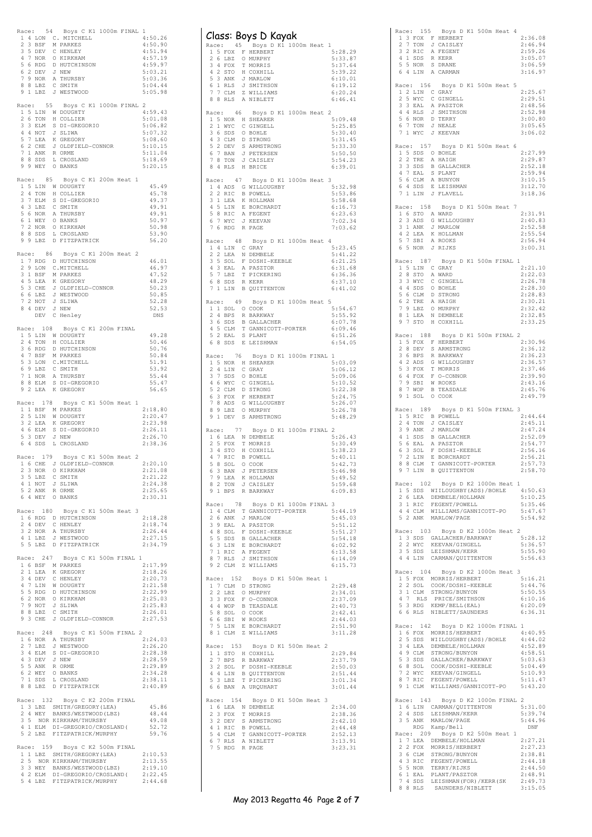|       |                    | Race: 54 Boys C K1 1000m FINAL 1                                                                                                                                                                            |                    |
|-------|--------------------|-------------------------------------------------------------------------------------------------------------------------------------------------------------------------------------------------------------|--------------------|
|       |                    |                                                                                                                                                                                                             | 4:50.26<br>4:50.90 |
|       |                    |                                                                                                                                                                                                             | 4:51.94            |
|       |                    |                                                                                                                                                                                                             | 4:57.19<br>4:59.97 |
|       |                    | ALGE: JUNE AND THE MANUSCHER CHEATERS<br>2 3 BSF M PARKES<br>3 5 DEV C HENLEY<br>4 7 NOR O KIRKHAM<br>5 6 RDG D HUTCHINSON<br>6 2 DEV J NEW<br>7 9 NOR A THURSBY<br>7 8 R.R.Z C SMITH                       | 5:03.21            |
|       | $88$ LBZ           | C SMITH                                                                                                                                                                                                     | 5:03.36<br>5:04.44 |
|       |                    | 9 1 LBZ J WESTWOOD                                                                                                                                                                                          | 5:05.98            |
|       |                    | Race: 55 Boys C K1 1000m FINAL 2                                                                                                                                                                            |                    |
|       |                    | 1 5 LIN W DOUGHTY<br>2 6 TON H COLLIER                                                                                                                                                                      | 4:59.43<br>5:01.08 |
|       |                    |                                                                                                                                                                                                             | 5:06.82            |
|       |                    |                                                                                                                                                                                                             | 5:07.32            |
|       |                    |                                                                                                                                                                                                             | 5:08.60<br>5:10.15 |
|       |                    |                                                                                                                                                                                                             | 5:11.04            |
|       |                    | 2 0 10W A COMMERCION SUBSERIO<br>3 3 ELM S DI-GREGORIO<br>4 4 NOT J SLIWA<br>5 7 LEA K GREGORY<br>7 1 ANK R ORME<br>8 8 SDS L CROSLAND<br>9 9 WEY O BANKS                                                   | 5:18.69<br>5:20.15 |
| Race: |                    | 85 Boys C K1 200m Heat 1                                                                                                                                                                                    |                    |
|       |                    | ALGE: 00 BOYS CALL AND DOUGHTY<br>2 4 TON H COLLIER<br>3 7 ELM S DI-GREGORIO<br>4 3 DEZ C SMITH<br>5 6 NOR A THURSBY<br>6 1 WEY O BANKS<br>7 2 NOR O KIRKHAM<br>8 2 SCR U CROSIANA                          | 45.49              |
|       |                    |                                                                                                                                                                                                             | 45.78<br>49.37     |
|       |                    |                                                                                                                                                                                                             | 49.91              |
|       |                    |                                                                                                                                                                                                             | 49.91              |
|       |                    |                                                                                                                                                                                                             | 50.97<br>50.98     |
|       | 8 8 SDS<br>9 9 LBZ | L CROSLAND<br>D FITZPATRICK                                                                                                                                                                                 | 53.90              |
|       |                    |                                                                                                                                                                                                             | 56.20              |
|       |                    | Race: 86 Boys C K1 200m Heat 2                                                                                                                                                                              | 46.01              |
|       |                    |                                                                                                                                                                                                             | 46.97              |
|       |                    |                                                                                                                                                                                                             | 47.52              |
|       |                    |                                                                                                                                                                                                             | 48.29<br>50.23     |
|       |                    |                                                                                                                                                                                                             | 50.85              |
|       |                    |                                                                                                                                                                                                             | 52.28<br>52.53     |
|       |                    | Race: 86 Boys C K1 ZUUR<br>17 RDG D HUTCHELL<br>29 LON C.MITCHELL<br>31 BSF M PARKES<br>45 LEA K GREGORY<br>53 CHE J OLDFIELD-CONNOR<br>66 LBZ J WESTWOOD<br>72 NOT J SLIWA<br>84 DEV J NEW<br>DEV C Henley | DNS                |
|       |                    | Race: 108 Boys C K1 200m FINAL                                                                                                                                                                              |                    |
|       |                    | 1 5 LIN W DOUGHTY                                                                                                                                                                                           | 49.28              |
|       |                    |                                                                                                                                                                                                             | 50.46<br>50.76     |
|       |                    |                                                                                                                                                                                                             | 50.84              |
|       |                    |                                                                                                                                                                                                             | 51.91<br>53.92     |
|       |                    | 2 4 TON H COLLIER<br>3 6 RDG D HUTCHINSON<br>3 7 BSF M PARKES<br>5 3 LON C MITCHELL<br>6 9 LBZ C SMITH<br>7 1 NOR A THURSBY<br>7 0 FIM & THL-CECORI                                                         | 55.44              |
|       | 8 8 ELM            | S DI-GREGORIO<br>9 2 LEA K GREGORY                                                                                                                                                                          | 55.47<br>56.65     |
|       |                    |                                                                                                                                                                                                             |                    |
|       |                    | Race: 178 Boys C K1 500m Heat 1<br>1 1 BSF M PARKES                                                                                                                                                         | 2:18.80            |
|       |                    |                                                                                                                                                                                                             | 2:20.47            |
|       |                    | 25 LIN W DOUGHTY<br>32 LEA K GREGORY<br>46 ELM S DI-GREGORIO<br>53 DEV J NEW                                                                                                                                | 2:23.98<br>2:26.11 |
|       |                    |                                                                                                                                                                                                             | 2:26.70            |
|       | 6 4 SDS            | L CROSLAND                                                                                                                                                                                                  | 2:38.36            |
|       |                    | Race: 179 Boys C K1 500m Heat 2                                                                                                                                                                             |                    |
|       |                    | 1 6 CHE J OLDFIELD-CONNOR<br>2 3 NOR O KIRKHAM                                                                                                                                                              | 2:20.10<br>2:21.08 |
|       |                    | 3 5 LBZ C SMITH                                                                                                                                                                                             | 2:21.22            |
|       | 4 1 NOT<br>5 2 ANK | J SLIWA<br>R ORME                                                                                                                                                                                           | 2:24.38<br>2:25.65 |
|       |                    | 6 4 WEY O BANKS                                                                                                                                                                                             | 2:30.31            |
|       |                    | Race: 180 Boys C K1 500m Heat 3                                                                                                                                                                             |                    |
|       |                    | 1 6 RDG D HUTCHINSON<br>2 4 DEV C HENLEY                                                                                                                                                                    | 2:18.28            |
|       |                    | 3 2 NOR A THURSBY                                                                                                                                                                                           | 2:18.74<br>2:26.44 |
|       | 5 5 LBZ            | 4 1 LBZ J WESTWOOD                                                                                                                                                                                          | 2:27.15<br>2:34.79 |
|       |                    | D FITZPATRICK                                                                                                                                                                                               |                    |
|       |                    | Race: 247 Boys C K1 500m FINAL 1                                                                                                                                                                            | 2:17.99            |
|       |                    | 1 6 BSF M PARKES                                                                                                                                                                                            | 2:18.26            |
|       |                    | 2 1 LEA K GREGORY<br>3 4 DEV C HENLEY<br>4 7 LIN W DOUGHTY                                                                                                                                                  | 2:20.73<br>2:21.58 |
|       |                    |                                                                                                                                                                                                             | 2:22.99            |
|       |                    |                                                                                                                                                                                                             | 2:25.03<br>2:25.83 |
|       |                    | <sup>4</sup> P PAC D BUTCHINSON<br>6 2 NOT J SLIWA<br>7 9 NOT J SLIWA<br>8 8 LBZ C SMITH<br>9 3 CHE J OLDFIELD-CONNOR                                                                                       | 2:26.01            |
|       |                    |                                                                                                                                                                                                             | 2:27.53            |
|       |                    | Race: 248 Boys C K1 500m FINAL 2                                                                                                                                                                            |                    |
|       | 2 7 LBZ            | 1 6 NOR A THURSBY<br>J WESTWOOD                                                                                                                                                                             | 2:24.03<br>2:26.20 |
|       |                    |                                                                                                                                                                                                             | 2:28.38            |
|       |                    |                                                                                                                                                                                                             | 2:28.59<br>2:29.89 |
|       |                    | 2 / LLE CONSTRUERT SPIER<br>3 4 ELM S DI-GREGORIO<br>5 5 ANK R ORME<br>6 2 WEY O BANKS<br>7 1 SDS L CROSLAND<br>7 1 SDS L CROSLAND                                                                          | 2:34.28            |
|       | 8 8 LBZ            | D FITZPATRICK                                                                                                                                                                                               | 2:38.11<br>2:40.89 |
|       |                    |                                                                                                                                                                                                             |                    |
|       |                    | Race: 132 Boys C K2 200m FINAL                                                                                                                                                                              | 45.86              |
|       |                    | 1 3 LBZ SMITH/GREGORY (LEA)<br>2 4 WEY BANKS/WESTWOOD (LBZ)                                                                                                                                                 | 48.44              |
|       |                    | 3 5 NOR KIRKHAM/THURSBY<br>4 1 ELM DI-GREGORIO/CROSLAND (                                                                                                                                                   | 49.08<br>52.72     |
|       | 5 2 LBZ            | FITZPATRICK/MURPHY                                                                                                                                                                                          | 59.76              |
|       |                    | Race: 159 Boys C K2 500m FINAL                                                                                                                                                                              |                    |
|       |                    | 1 1 LBZ SMITH/GREGORY (LEA)                                                                                                                                                                                 | 2:10.53<br>2:13.55 |
|       |                    | 15 NOR KIRKHAM/IRUNOLILEZ)<br>3 3 WEY BANKS/WESTWOOD (LBZ)<br>4 2 ELM DI-GREGORIO/CROSLAND (                                                                                                                | 2:19.10            |
|       |                    |                                                                                                                                                                                                             | 2:22.45            |

|                             | Class: Boys D Kayak                                                                                                                                                                                                            |                    |
|-----------------------------|--------------------------------------------------------------------------------------------------------------------------------------------------------------------------------------------------------------------------------|--------------------|
| Race: 45                    | Boys D K1 1000m Heat 1                                                                                                                                                                                                         |                    |
|                             | 1 5 FOX F HERBERT                                                                                                                                                                                                              | 5:28.29            |
| 26LBZ<br>3 4 FOX            | O MURPHY<br>T MORRIS                                                                                                                                                                                                           | 5:33.87            |
|                             |                                                                                                                                                                                                                                | 5:37.64<br>5:39.22 |
|                             |                                                                                                                                                                                                                                | 6:10.01            |
|                             | 4 2 STO H COXHILL<br>5 3 ANK J MARLOW<br>6 1 RLS J SMITHSON<br>7 7 CLM Z WILLIAMS                                                                                                                                              | 6:19.12            |
|                             |                                                                                                                                                                                                                                | 6:20.24            |
| 8<br>8 RLS                  | A NIBLETT                                                                                                                                                                                                                      | 6:46.41            |
| Race: 46                    | Boys D K1 1000m Heat 2                                                                                                                                                                                                         |                    |
| 2 1 WYC                     | 1 5 NOR H SHEARER<br>C GINGELL                                                                                                                                                                                                 | 5:09.48<br>5:25.85 |
| 3 6 SDS O BOHLE             |                                                                                                                                                                                                                                | 5:30.40            |
|                             | 4 3 CLM D STRONG                                                                                                                                                                                                               | 5:31.45            |
|                             | 5 2 DEV S ARMSTRONG<br>6 7 BAN J PETERSEN                                                                                                                                                                                      | 5:33.30            |
|                             |                                                                                                                                                                                                                                | 5:50.50            |
| 7 8 TON<br>8 4 RLS          | J CAISLEY<br>H BRICE                                                                                                                                                                                                           | 5:54.23<br>6:39.01 |
|                             |                                                                                                                                                                                                                                |                    |
| Race: 47                    | Boys D K1 1000m Heat 3                                                                                                                                                                                                         | 5:32.98            |
|                             | 1 4 ADS G WILLOUGHBY<br>2 2 RIC B POWELL                                                                                                                                                                                       | 5:53.86            |
| 3 1 LEA                     | K HOLLMAN                                                                                                                                                                                                                      | 5:58.68            |
| 5 8 RIC                     | 4 5 LIN E BORCHARDT<br>A FEGENT                                                                                                                                                                                                | 6:16.73<br>6:23.63 |
| 6 7 WYC                     | J KEEVAN                                                                                                                                                                                                                       | 7:02.34            |
| 7 6 RDG                     | R PAGE                                                                                                                                                                                                                         | 7:03.62            |
| Race: 48                    | Boys D K1 1000m Heat 4                                                                                                                                                                                                         |                    |
| 1 4 LIN C GRAY              |                                                                                                                                                                                                                                | 5:23.45            |
| 2 2 LEA<br>3 5 SOL          | N DEMBELE<br>F DOSHI-KEEBLE                                                                                                                                                                                                    | 5:41.22<br>6:21.25 |
| $43$ EAL                    | A PASZTOR                                                                                                                                                                                                                      | 6:31.68            |
| $7 \frac{1}{2}$<br>5        | T PICKERING                                                                                                                                                                                                                    | 6:36.36            |
| 6 8 SDS R KERR              |                                                                                                                                                                                                                                | 6:37.10            |
| 7                           | 1 LIN B QUITTENTON                                                                                                                                                                                                             | 6:41.02            |
| 1 1 SOL 0 COOK              | Race: 49 Boys D K1 1000m Heat 5                                                                                                                                                                                                | 5:54.67            |
| 2 4 BPS                     | R BARKWAY                                                                                                                                                                                                                      | 5:55.92            |
| 3 6 SDS                     | <b>B</b> GALLACHER                                                                                                                                                                                                             | 6:07.78            |
| 4 5 CLM                     | T GANNICOTT-PORTER                                                                                                                                                                                                             | 6:09.46            |
| 5 2 EAL                     | S PLANT<br>6 8 SDS E LEISHMAN                                                                                                                                                                                                  | 6:51.26<br>6:54.05 |
|                             |                                                                                                                                                                                                                                |                    |
| Race:                       | 76 Boys D K1 1000m FINAL<br>1 5 NOR H SHEARER                                                                                                                                                                                  | 1<br>5:03.09       |
| 2 4 LIN                     | C GRAY                                                                                                                                                                                                                         | 5:06.12            |
| $7\phantom{.0}$<br>3<br>SDS | O BOHLE                                                                                                                                                                                                                        | 5:09.06            |
|                             | 4 6 WYC C GINGELL                                                                                                                                                                                                              | 5:10.52            |
| 5<br>6                      | 2 CLM D STRONG                                                                                                                                                                                                                 | 5:22.38<br>5:24.75 |
| 7                           | 3 FOX F HERBERT<br>8 ADS G WILLOUGHBY                                                                                                                                                                                          | 5:26.07            |
| 8 9 LBZ                     | O MURPHY                                                                                                                                                                                                                       | 5:26.78            |
| 9                           | 1 DEV S ARMSTRONG                                                                                                                                                                                                              | 5:48.29            |
| Race: 77                    | Boys D K1 1000m FINAL 2                                                                                                                                                                                                        |                    |
| 2 5 FOX                     | 1 6 LEA N DEMBELE<br>T MORRIS                                                                                                                                                                                                  | 5:26.43<br>5:30.49 |
| 3 4 STO                     | H COXHILL                                                                                                                                                                                                                      | 5:38.23            |
|                             | 4 7 RIC B POWELL                                                                                                                                                                                                               | 5:40.11            |
| 5 8 SOL 0 COOK              |                                                                                                                                                                                                                                | 5:42.73            |
| 6 3 BAN                     | J PETERSEN                                                                                                                                                                                                                     | 5:46.98            |
|                             | 7 9 LEA K HOLLMAN<br>8 2 TON J CAISLEY                                                                                                                                                                                         | 5:49.52<br>5:59.68 |
|                             | 9 1 BPS R BARKWAY                                                                                                                                                                                                              | 6:09.83            |
|                             | Race: 78 Boys D K1 1000m FINAL                                                                                                                                                                                                 | 3                  |
| 2 6 ANK                     | 1 4 CLM T GANNICOTT-PORTER<br>J MARLOW                                                                                                                                                                                         | 5:44.19<br>5:45.03 |
| 3 9 EAL                     | A PASZTOR                                                                                                                                                                                                                      | 5:51.12            |
|                             |                                                                                                                                                                                                                                | 5:51.27            |
|                             |                                                                                                                                                                                                                                | 5:54.18            |
|                             |                                                                                                                                                                                                                                | 6:02.92<br>6:13.58 |
|                             | 4 8 SOL F DOSHI-KEEBLE<br>5 5 SDS B GALLACHER<br>6 3 LIN E BORCHARDT<br>7 1 RIC A FEGENT<br>8 7 RLS J SMITHSON<br>8 7 RLS J SMITHSON                                                                                           | 6:14.09            |
| 9 2 CLM                     | Z WILLIAMS                                                                                                                                                                                                                     | 6:15.73            |
| Race: 152                   | Boys D K1 500m Heat 1                                                                                                                                                                                                          |                    |
|                             | ACCESSION BEACH AND READ AND READ AND READ AND READ ON THE STANDARD STATES AND READ AND READ AND READ AND READ AND READ ON A SALE OF A SALE OF A SALE OF A SALE OF A SALE OF A SALE OF A SALE OF A SALE OF A SALE OF A SALE OF | 2:29.48            |
|                             |                                                                                                                                                                                                                                | 2:34.01<br>2:37.09 |
|                             |                                                                                                                                                                                                                                | 2:40.73            |
|                             |                                                                                                                                                                                                                                | 2:42.41            |
|                             |                                                                                                                                                                                                                                | 2:44.03            |
|                             | 8 1 CLM Z WILLIAMS                                                                                                                                                                                                             | 2:51.90<br>3:11.28 |
| 7 5 LIN E BORCHARDT         | Race: 153 Boys D K1 500m Heat 2                                                                                                                                                                                                |                    |
|                             |                                                                                                                                                                                                                                |                    |
|                             | 1 1 STO H COXHILL                                                                                                                                                                                                              | 2:29.84            |
|                             | 2 7 BPS R BARKWAY                                                                                                                                                                                                              | 2:37.79            |
|                             | 3 2 SOL F DOSHI-KEEBLE                                                                                                                                                                                                         | 2:50.03            |
|                             | 4 4 LIN B QUITTENTON                                                                                                                                                                                                           | 2:51.44<br>3:01.34 |
|                             | 5 3 LBZ T PICKERING<br>6 6 BAN A URQUHART                                                                                                                                                                                      | 3:01.44            |
|                             | Race: 154 Boys D K1 500m Heat 3                                                                                                                                                                                                |                    |
| 2 3 FOX                     | 1 6 LEA N DEMBELE<br>T MORRIS                                                                                                                                                                                                  | 2:34.00<br>2:38.36 |
|                             | 3 2 DEV S ARMSTRONG                                                                                                                                                                                                            | 2:42.10            |
|                             | 4 1 RIC B POWELL                                                                                                                                                                                                               | 2:44.48            |
|                             | 5 4 CLM T GANNICOTT-PORTER<br>6 7 RLS A NIBLETT                                                                                                                                                                                | 2:52.13<br>3:13.91 |

|  |           |                                                                                                                                      |  | Race: 157 Boys D K1 500m Heat 6 |                                                                                                           |
|--|-----------|--------------------------------------------------------------------------------------------------------------------------------------|--|---------------------------------|-----------------------------------------------------------------------------------------------------------|
|  |           | 1 5 SDS O BOHLE<br>2 2 TRE A HAIGH                                                                                                   |  |                                 | 2:27.99<br>2:29.87                                                                                        |
|  |           |                                                                                                                                      |  |                                 | 2:52.18                                                                                                   |
|  |           |                                                                                                                                      |  |                                 | 2:59.94                                                                                                   |
|  |           |                                                                                                                                      |  |                                 | 3:10.15                                                                                                   |
|  |           | 33 SDS B GALLACHER<br>47 EAL S PLANT<br>56 CLM A BUNYON<br>64 SDS E LEISHMAN<br>71 LIN J FLAVELL                                     |  |                                 | 3:12.70<br>3:18.36                                                                                        |
|  |           |                                                                                                                                      |  |                                 |                                                                                                           |
|  |           | Race: 158 Boys D K1 500m Heat 7<br>1 6 STO A WARD                                                                                    |  |                                 | 2:31.91                                                                                                   |
|  |           | 2 3 ADS G WILLOUGHBY<br>3 1 ANK J MARLOW                                                                                             |  |                                 | 2:40.83                                                                                                   |
|  |           |                                                                                                                                      |  |                                 | 2:52.58                                                                                                   |
|  |           | 4 2 LEA K HOLLMAN<br>5 7 SBI A ROOKS                                                                                                 |  |                                 | 2:55.54<br>2:56.94                                                                                        |
|  |           | 6 5 NOR J RIJKS                                                                                                                      |  |                                 | 3:00.31                                                                                                   |
|  |           | Race: 187 Boys D K1 500m FINAL 1                                                                                                     |  |                                 |                                                                                                           |
|  |           | 1 5 LIN C GRAY<br>2 8 STO A WARD                                                                                                     |  |                                 | 2:21.10                                                                                                   |
|  |           |                                                                                                                                      |  |                                 | 2:22.03                                                                                                   |
|  |           | 3 3 WYC C GINGELL                                                                                                                    |  |                                 | 2:26.78<br>2:28.30                                                                                        |
|  |           |                                                                                                                                      |  |                                 | 2:28.83                                                                                                   |
|  |           | 4 4 SDS 0 BOHLE<br>5 6 CLM D STRONG<br>6 2 TRE A HAIGH<br>7 9 LBZ 0 MURPHY                                                           |  |                                 | 2:30.21                                                                                                   |
|  |           | 8 1 LEA N DEMBELE                                                                                                                    |  |                                 | 2:32.42<br>2:32.85                                                                                        |
|  |           | 9 7 STO H COXHILL                                                                                                                    |  |                                 | 2:33.25                                                                                                   |
|  |           | Race: 188 Boys D K1 500m FINAL 2                                                                                                     |  |                                 |                                                                                                           |
|  |           | 1 5 FOX F HERBERT<br>2 8 DEV S ARMSTRONG                                                                                             |  |                                 | 2:30.96                                                                                                   |
|  |           |                                                                                                                                      |  |                                 | 2:36.12                                                                                                   |
|  |           | 3 6 BPS R BARKWAY<br>4 2 ADS G WILLOUGHBY                                                                                            |  |                                 | 2:36.23<br>2:36.57                                                                                        |
|  |           |                                                                                                                                      |  |                                 | 2:37.46                                                                                                   |
|  |           | 5 3 FOX T MORRIS<br>6 4 FOX F O-CONNOR<br>7 9 SBI W ROOKS<br>8 7 WOP B TEASDALE                                                      |  |                                 | 2:39.90                                                                                                   |
|  |           |                                                                                                                                      |  |                                 | 2:43.16<br>2:45.76                                                                                        |
|  |           | 9 1 SOL 0 COOK                                                                                                                       |  |                                 | 2:49.79                                                                                                   |
|  |           | Race: 189 Boys D K1 500m FINAL 3                                                                                                     |  |                                 |                                                                                                           |
|  |           | 1 5 RIC B POWELL                                                                                                                     |  |                                 | 2:44.64                                                                                                   |
|  |           | 2 4 TON J CAISLEY                                                                                                                    |  |                                 | 2:45.11                                                                                                   |
|  |           |                                                                                                                                      |  |                                 | 2:47.24<br>2:52.09                                                                                        |
|  |           |                                                                                                                                      |  |                                 | 2:54.77                                                                                                   |
|  |           | 3 9 ANK J MARLOW<br>4 1 SDS B GALLACHER<br>5 6 EAL A PASZTOR<br>6 3 SOL F DOSHI-KEEBLE<br>7 2 LIN E BORCHARDT<br>7 2 LIN E BORCHARDT |  |                                 | 2:56.16                                                                                                   |
|  | 8 8 CLM   | T GANNICOTT-PORTER                                                                                                                   |  |                                 | 2:56.21<br>2:57.73                                                                                        |
|  |           | 9 7 LIN B QUITTENTON                                                                                                                 |  |                                 | 2:58.70                                                                                                   |
|  |           | Race: 102 Boys D K2 1000m Heat 1                                                                                                     |  |                                 |                                                                                                           |
|  |           |                                                                                                                                      |  |                                 |                                                                                                           |
|  |           | 2 6 LEA DEMBELE/HOLLMAN<br>3 1 RIC FEGENT/POWELL                                                                                     |  |                                 | 1 5 SDS WIILOUGHBY(ADS)/BOHLE 4:50.63<br>2 6 LEA DEMBELE/HOLLMAN 5:10.25<br>3 1 RIC FEGENT/POWELL 5:35.46 |
|  |           |                                                                                                                                      |  |                                 | 4 4 CLM WILLIAMS/GANNICOTT-PO 5:47.67                                                                     |
|  |           | 5 2 ANK MARLOW/PAGE                                                                                                                  |  |                                 | 5:54.92                                                                                                   |
|  |           | Race: 103 Boys D K2 1000m Heat 2                                                                                                     |  |                                 |                                                                                                           |
|  |           |                                                                                                                                      |  |                                 | 5:28.12<br>5:36.57                                                                                        |
|  |           | 1 3 SDS GALLACHER/BARKWAY<br>2 2 WYC KEEVAN/GINGELL<br>3 5 SDS LEISHMAN/KERR                                                         |  |                                 | 5:55.90                                                                                                   |
|  |           | 4 4 LIN CARMAN/QUITTENTON                                                                                                            |  |                                 | 5:56.63                                                                                                   |
|  |           | Race: 104 Boys D K2 1000m Heat 3                                                                                                     |  |                                 |                                                                                                           |
|  |           | 1 5 FOX MORRIS/HERBERT<br>2 2 SOL COOK/DOSHI-KEEBLE                                                                                  |  |                                 | 5:16.21                                                                                                   |
|  |           | 3 1 CLM STRONG/BUNYON                                                                                                                |  |                                 | 5:44.76<br>5:50.55                                                                                        |
|  |           | 4 7 RLS PRICE/SMITHSON                                                                                                               |  |                                 | 6:10.16                                                                                                   |
|  |           | 5 3 RDG KEMP/BELL(EAL)<br>6 6 RLS NIBLETT/SAUNDERS                                                                                   |  |                                 | 6:20.09<br>6:36.31                                                                                        |
|  |           |                                                                                                                                      |  |                                 |                                                                                                           |
|  | Race: 142 | Boys D K2 1000m FINAL 1                                                                                                              |  |                                 | 4:40.95                                                                                                   |
|  |           | 1 6 FOX MORRIS/HERBERT<br>2 5 SDS WIILOUGHBY (ADS) / BOHLE                                                                           |  |                                 | 4:44.02                                                                                                   |
|  |           |                                                                                                                                      |  |                                 | 4:52.89                                                                                                   |
|  |           | 3 4 LEA DEMBELE/HOLLMAN<br>4 9 CLM STRONG/BUNYON<br>5 3 SDS GALLACHER/BARKWAY                                                        |  |                                 | 4:58.51                                                                                                   |
|  |           | 6 8 SOL COOK/DOSHI-KEEBLE                                                                                                            |  |                                 | 5:03.63<br>5:04.49                                                                                        |
|  |           | 7 2 WYC KEEVAN/GINGELL<br>8 7 RIC FEGENT/POWELL                                                                                      |  |                                 | 5:10.93                                                                                                   |
|  |           | 9 1 CLM WILLIAMS/GANNICOTT-PO                                                                                                        |  |                                 | 5:11.47<br>5:43.20                                                                                        |
|  |           |                                                                                                                                      |  |                                 |                                                                                                           |
|  |           | Race: 143 Boys D K2 1000m FINAL 2<br>1 6 LIN CARMAN/QUITTENTON                                                                       |  |                                 | 5:31.00                                                                                                   |
|  | 2 4 SDS   | LEISHMAN/KERR                                                                                                                        |  |                                 | 5:39.74                                                                                                   |
|  |           | 3 5 ANK MARLOW/PAGE                                                                                                                  |  |                                 | 5:44.96                                                                                                   |
|  |           | RDG Kamp/Bell<br>Race: 209 Boys D K2 500m Heat 1                                                                                     |  |                                 | DNF                                                                                                       |
|  |           |                                                                                                                                      |  |                                 | 2:27.21                                                                                                   |
|  |           | 17 LEA DEMBELE/HOLLMAN<br>22 FOX MORRIS/HERBERT<br>36 CLM STRONG/BUNYON<br>43 RIC FEGENT/POWELL                                      |  |                                 | 2:27.23                                                                                                   |
|  |           |                                                                                                                                      |  |                                 | 2:38.81<br>2:44.18                                                                                        |
|  |           | 5 5 NOR TERRY/RIJKS                                                                                                                  |  |                                 | 2:44.50                                                                                                   |
|  |           | 6 1 EAL PLANT/PASZTOR<br>7 4 SDS LEISHMAN(FOR)/KERR(SK<br>8 8 RLS SAUNDERS/NIBLETT                                                   |  |                                 | 2:48.91                                                                                                   |
|  |           |                                                                                                                                      |  |                                 | 2:49.73<br>3:15.05                                                                                        |
|  |           |                                                                                                                                      |  |                                 |                                                                                                           |

Race: 155 Boys D K1 500m Heat 4<br>
1 3 FOX F HERBERT 2:36.08<br>
2 7 TON J CATSLEY 2:46.94<br>
2 RIC A FEGENT 2:59.26<br>
4 1 SDS R KERR 3:05.07<br>
5 5 NOR S DRANE 3:06.59 1 3 FOX F HERBERT 2:36.08<br>
2 7 TON J CAISLEY 2:46.94<br>
2 2 ALC A FEGENT 2:59.26<br>
4 1 SDS R KERR 3:05.07<br>
5 5 NOR S DRANE 3:06.59<br>
5 NOR S DRANE 3:06.59<br>
3:06.97

Race: 156 Boys D K1 500m Heat 5<br>
2:25.67<br>
2 1 2 LIN C GRAY<br>
2 5 WYC C GINGELL<br>
3 3 EAL A PASZTOR<br>
4 RLS J SMITHSON<br>
2 52.98<br>
5 6 NOR D TERRY 3:00.80<br>
5 7 TON J NEALE<br>
7 1 WYC J KEEVAN 3:06.62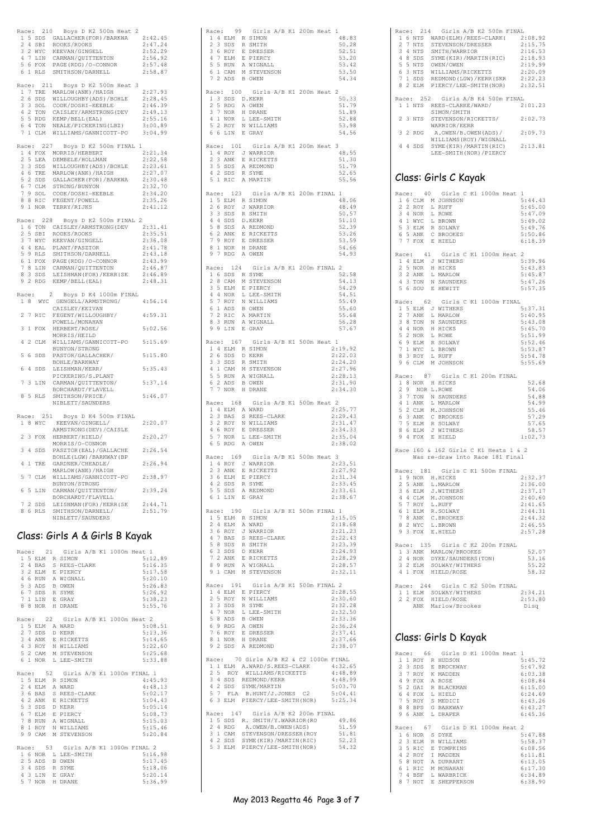|                |    |                          | Race: 210 Boys D K2 500m Heat 2                                                                    |              |
|----------------|----|--------------------------|----------------------------------------------------------------------------------------------------|--------------|
|                |    |                          | 1 5 SDS GALLACHER (FOR) / BARKWA                                                                   | 2:42.45      |
|                |    |                          |                                                                                                    |              |
|                |    |                          | 2 4 SBI ROOKS/ROOKS<br>3 2 WYC KEEVAN/GINGELL                                                      | 2:47.24      |
|                |    |                          |                                                                                                    | 2:52.29      |
|                |    |                          |                                                                                                    | 2:56.92      |
|                |    |                          | ALLEVAN/GINGELL<br>4 7 LIN CARMAN/QUITTENTON<br>5 6 FOX PAGE (RDG) (O CONTIN                       | 2:57.48      |
|                |    | 5 6 FOX<br>6 1 RLS       | SMITHSON/DARNELL                                                                                   | 2:58.87      |
|                |    |                          |                                                                                                    |              |
|                |    |                          |                                                                                                    |              |
|                |    | Race: 211                | Boys D K2 500m Heat 3                                                                              |              |
| $\mathbf{1}$   |    |                          |                                                                                                    | 2:27.93      |
| 2              | -6 |                          | 7 TRE MARLOW (ANK) / HAIGH<br>6 SDS WILLOUGHBY (ADS) / BOHLE                                       | 2:28.45      |
|                |    |                          | 3 3 SOL COOK/DOSHI-KEEBLE                                                                          | 2:46.39      |
|                |    |                          | 4 2 TON CAISLEY/ARMSTRONG (DEV                                                                     | 2:49.13      |
|                |    | 5 5 RDG                  | KEMP/BELL (EAL)                                                                                    |              |
|                |    |                          |                                                                                                    | 2:55.16      |
| 6              |    | 4 TON                    | NEALE/PICKERING (LBZ)                                                                              | 3:00.89      |
|                |    |                          | 7 1 CLM WILLIAMS/GANNICOTT-PO                                                                      | 3:04.99      |
|                |    |                          |                                                                                                    |              |
|                |    |                          | Race: 227 Boys D K2 500m FINAL 1                                                                   |              |
|                |    |                          | 1 4 FOX MORRIS/HERBERT                                                                             | 2:21.34      |
|                |    |                          |                                                                                                    |              |
|                |    | 2 5 LEA                  | DEMBELE/HOLLMAN                                                                                    | 2:22.58      |
|                |    | 3 3 SDS                  | WILLOUGHBY (ADS) /BOHLE                                                                            | 2:23.61      |
|                |    |                          | 4 6 TRE MARLOW (ANK) / HAIGH                                                                       | 2:27.07      |
| 5              |    |                          | 2 SDS GALLACHER (FOR) / BARKWA                                                                     | 2:30.48      |
| 6              |    |                          | 7 CLM STRONG/BUNYON                                                                                | 2:32.70      |
|                |    |                          | COOK/DOSHI-KEEBLE                                                                                  |              |
|                |    |                          |                                                                                                    | 2:34.20      |
|                |    |                          |                                                                                                    | 2:35.26      |
|                |    | 9 1 NOR                  | TERRY/RIJKS                                                                                        | 2:41.12      |
|                |    |                          |                                                                                                    |              |
|                |    | Race: 228                | Boys D K2 500m FINAL 2                                                                             |              |
|                |    |                          |                                                                                                    | 2:31.41      |
|                |    |                          | 1 6 TON CAISLEY/ARMSTRONG (DEV                                                                     |              |
|                |    |                          |                                                                                                    | 2:35.51      |
|                |    |                          | 2 5 SBI ROOKS/ROOKS<br>3 7 WYC KEEVAN/GINGELL<br>4 4 EAL PLANT/PASZTOR<br>5 9 RLS SMITHSON/DARNELL | 2:36.08      |
|                |    |                          |                                                                                                    | 2:41.78      |
|                |    |                          |                                                                                                    | 2:43.18      |
|                |    | 6 1 FOX                  | PAGE (RDG) / 0-CONNOR                                                                              | 2:43.99      |
|                |    |                          |                                                                                                    |              |
|                |    | 7 8 LIN                  | CARMAN/QUITTENTON                                                                                  | 2:46.87      |
| 8              | 3  | SDS                      | LEISHMAN (FOR) / KERR (SK                                                                          | 2:46.89      |
| 9              |    |                          | 2 RDG KEMP/BELL (EAL)                                                                              | 2:48.31      |
|                |    |                          |                                                                                                    |              |
| Race:          |    | $\overline{\phantom{0}}$ | Boys D K4 1000m FINAL                                                                              |              |
|                |    |                          |                                                                                                    |              |
|                | 18 |                          | WYC GENGELL/ARMSTRONG/                                                                             | 4:56.14      |
|                |    |                          | CAISLEY/KEIVAN                                                                                     |              |
| $\overline{2}$ | 7  | RIC                      | FEGENT/WILLOUGHBY/                                                                                 | 4:59.31      |
|                |    |                          | POWELL/MONAHAN                                                                                     |              |
|                |    |                          |                                                                                                    |              |
|                |    |                          |                                                                                                    |              |
| 3              | 1  | FOX                      | HERBERT/ROSE/                                                                                      | 5:02.56      |
|                |    |                          | MORRIS/HEILD                                                                                       |              |
| 4              |    |                          |                                                                                                    | 5:15.69      |
|                |    |                          | 2 CLM WILLIAMS/GANNICOTT-PO                                                                        |              |
|                |    |                          | BUNYON/STRONG                                                                                      |              |
| 5              |    |                          | 6 SDS PASTOR/GALLACHER/                                                                            | 5:15.80      |
|                |    |                          | BOHLE/BARKWAY                                                                                      |              |
| 6              |    | 4 SDS                    | LEISHMAN/KERR/                                                                                     | 5:35.43      |
|                |    |                          | PICKERING/S.PLANT                                                                                  |              |
| 7              |    | 3 LIN                    |                                                                                                    | 5:37.14      |
|                |    |                          | CARMAN/QUITTENTON/                                                                                 |              |
|                |    |                          | BORCHARDT/FLAVELL                                                                                  |              |
| 8              |    | 5 RLS                    | SMITHSON/PRICE/                                                                                    | 5:46.07      |
|                |    |                          | NIBLETT/SAUNDERS                                                                                   |              |
|                |    |                          |                                                                                                    |              |
|                |    | Race: 251                | Boys D K4 500m FINAL                                                                               |              |
|                |    | 1 8 WYC                  |                                                                                                    | 2:20.07      |
|                |    |                          | ${\tt KEEVAN/GINGELL}/$                                                                            |              |
|                |    |                          | ARMSTRONG (DEV) / CAISLE                                                                           |              |
| $\mathbf{2}$   |    | 3 FOX                    | HERBERT/HIELD/                                                                                     | 2:20.27      |
|                |    |                          | MORRIS/O-CONNOR                                                                                    |              |
| 3              |    |                          |                                                                                                    | 2:26.54      |
|                |    |                          | 4 SDS PASZTOR (EAL) / GALLACHE                                                                     |              |
|                |    |                          | BOHLE (LGW) / BARKWAY (BP                                                                          |              |
|                |    |                          | 4 1 TRE GARDNER/CHEADLE/                                                                           | 2:26.94      |
|                |    |                          | MARLOW (ANK) / HAIGH                                                                               |              |
|                |    | 5 7 CLM                  | WILLIAMS/GANNICOTT-PO                                                                              | 2:38.97      |
|                |    |                          | BUNYON/STRONG                                                                                      |              |
|                |    | 6 5 LIN                  |                                                                                                    | 2:39.24      |
|                |    |                          | CARMAN/QUITTENTON/                                                                                 |              |
|                |    |                          | BORCHARDT/FLAVELL                                                                                  |              |
|                |    | 7 2 SDS                  | LEISHMAN (FOR) / KERR (SK                                                                          | 2:44.71      |
|                |    | 8 6 RLS                  | SMITHSON/DARNELL/                                                                                  | 2:51.79      |
|                |    |                          | NIBLETT/SAUNDERS                                                                                   |              |
|                |    |                          |                                                                                                    |              |
|                |    |                          |                                                                                                    |              |
|                |    |                          |                                                                                                    |              |
|                |    |                          | Class: Girls A & Girls B Kayak                                                                     |              |
|                |    |                          |                                                                                                    |              |
|                |    | Race: 21                 | Girls A/B K1 1000m Heat                                                                            | $\mathbf{1}$ |
|                |    |                          | 1 5 ELM R SIMON                                                                                    | 5:12.89      |
|                |    | 2 4 BAS                  | S REES-CLARK                                                                                       | 5:16.35      |

|  |  | 5:17.58                                                |  |
|--|--|--------------------------------------------------------|--|
|  |  | 4 6 RUN A WIGNALL                                      |  |
|  |  | 3 2 ELM E PIERCY<br>- TIM A WIGNALL 5:20.10<br>5:26.83 |  |
|  |  | 6 7 SDS R SYME<br>5:26.92                              |  |
|  |  | 7 1 LIN E GRAY<br>5:38.23                              |  |
|  |  | 8 8 NOR H DRANE<br>5:55.76                             |  |
|  |  |                                                        |  |
|  |  | Race: 22 Girls A/B K1 1000m Heat 2                     |  |
|  |  | 5:08.51<br>1 5 ELM A WARD                              |  |
|  |  | 2 7 SDS D KERR<br>5:13.36                              |  |
|  |  | 3 4 ANK E RICKETTS<br>5:14.65                          |  |
|  |  | 4 3 ROY N WILLIAMS<br>5:22.60                          |  |
|  |  | 5 2 CAM M STEVENSON<br>5:25.68                         |  |
|  |  | 6 1 NOR L LEE-SMITH<br>5:33.88                         |  |
|  |  | Race: 52 Girls A/B K1 1000m FINAL 1                    |  |
|  |  | 4:45.93<br>1 5 ELM R SIMON                             |  |
|  |  | 2 4 ELM A WARD<br>4:48.13                              |  |
|  |  | 3 6 BAS S REES-CLARK<br>5:02.17                        |  |
|  |  | 4 2 ANK E RICKETTS<br>5:04.43                          |  |
|  |  | 5 3 SDS D KERR<br>5:05.14                              |  |
|  |  | 6 7 ELM E PIERCY<br>5:08.73                            |  |
|  |  | 7 8 RUN A WIGNALL<br>5:15.03                           |  |
|  |  | 8 1 ROY N WILLIAMS<br>5:15.46                          |  |
|  |  | 9 9 CAM M STEVENSON<br>5:20.84                         |  |
|  |  |                                                        |  |
|  |  | Race: 53 Girls A/B K1 1000m FINAL 2                    |  |
|  |  | 5:16.98<br>1 6 NOR L LEE-SMITH                         |  |
|  |  | 5:17.45<br>2 5 ADS B OWEN                              |  |
|  |  | 3 4 SDS R SYME<br>5:18.06                              |  |
|  |  | 4 3 LIN E GRAY<br>5:20.14                              |  |
|  |  | 5 7 NOR H DRANE<br>5:36.99                             |  |

| 1 4 ELM R SIMON<br>2 3 SDS R SMITH<br>3 6 ROY E DRESSER<br>4 7 ELM E PIERCY<br>5 5 RUN A WIGNALL<br>7 2 ADS B OWEN                     | Race: 99 Girls A/B K1 200m Heat 1<br>48.83<br>50.28<br>52.51<br>53.20<br>53.42<br>6 1 CAM M STEVENSON<br>53.50<br>54.34                                                                                                                                                                                           |
|----------------------------------------------------------------------------------------------------------------------------------------|-------------------------------------------------------------------------------------------------------------------------------------------------------------------------------------------------------------------------------------------------------------------------------------------------------------------|
| 1 3 SDS D.KERR<br>5 RDG<br>2<br>3 7 NOR H DRANE<br>5 2 ROY<br>6 6 LIN E GRAY                                                           | Race: 100 Girls A/B K1 200m Heat 2<br>50.33<br>51.79<br>A OWEN<br>51.89<br>4 1 NOR L LEE-SMITH<br>52.88<br>N WILLIAMS<br>53.98<br>54.56                                                                                                                                                                           |
| Race: 101<br>1 4 ROY J WARRIOR<br>2 3 ANK<br>3 5 SDS A REDMOND<br>4 2 SDS<br>1 RIC A MARTIN<br>5                                       | Girls A/B K1 200m Heat 3<br>48.55<br>E RICKETTS<br>51.30<br>51.79<br>R SYME<br>52.65<br>55.56                                                                                                                                                                                                                     |
| 1 5 ELM R SIMON<br>6 ROY<br>2<br>3 3 SDS<br>4 4 SDS D.KERR<br>5 8 SDS A REDMOND<br>7 RDG A OWEN<br>9                                   | Race: 123 Girls A/B K1 200m FINAL 1<br>48.06<br>J WARRIOR<br>48.49<br>R SMITH<br>50.57<br>51.10<br>52.39<br>6 2 ANK E RICKETTS<br>7 9 ROY E DRESSER<br>8 1 NOR H DRANE<br>53.26<br>53.59<br>54.66<br>54.93                                                                                                        |
| 1 6 SDS R SYME<br>2 8 CAM<br>6 1 ADS B OWEN<br>7 2 RIC A MARTIN<br>8 3 RUN A WIGNALL<br>9 9 LIN E GRAY                                 | Race: 124 Girls A/B K1 200m FINAL 2<br>52.58<br>M STEVENSON<br>54.13<br>3 5 ELM E PIERCY<br>4 4 NOR L LEE-SMITH<br>5 7 ROY N WILLIAMS<br>54.29<br>54.51<br>55.49<br>55.60<br>55.68<br>56.28<br>57.67                                                                                                              |
| 1 4 ELM R SIMON<br>2 6 SDS D KERR<br>3 3 SDS R SMITH<br>5 5 RUN A WIGNALL<br>6 2 ADS B OWEN<br>7<br>7 NOR H DRANE                      | Race: 167 Girls A/B K1 500m Heat<br>$\mathbf{1}$<br>2:19.92<br>2:22.03<br>2:24.20<br>4 1 CAM M STEVENSON<br>2:27.96<br>2:28.13<br>2:31.90<br>2:34.30                                                                                                                                                              |
| 1 4 ELM A WARD<br>2 3 BAS<br>3 2 ROY<br>6 5 RDG A OWEN                                                                                 | Race: 168 Girls A/B K1 500m Heat 2<br>2:25.77<br>S REES-CLARK<br>2:29.43<br>N WILLIAMS<br>2:31.47<br>4 6 ROY E DRESSER<br>5 7 NOR L LEE-SMITH<br>2:34.33<br>2:35.04<br>2:38.02                                                                                                                                    |
| 1 4 ROY J WARRIOR<br>2 3 ANK<br>6 ELM<br>3<br>$4$ 2 SDS R SYME<br>5 5 SDS A REDMOND<br>6 1 LIN E GRAY                                  | Race: 169 Girls A/B K1 500m Heat 3<br>2:23.51<br>2:27.92<br>E RICKETTS<br>E PIERCY<br>2:31.34<br>2:33.45<br>2:33.61<br>2:38.67                                                                                                                                                                                    |
| 1 5 ELM R SIMON<br>2 4 ELM<br>3 6 ROY                                                                                                  | Race: 190 Girls A/B K1 500m FINAL 1<br>2:15.05<br>A WARD<br>2:18.68<br>J WARRIOR<br>2:21.23<br>3 6 ROY J WARRIOR<br>4 7 BAS S REES-CLARK<br>2:22.43<br>5 8 SDS R SMITH<br>6 3 SDS D KERR<br>7 2 ANK E RICKETTS<br>8 9 RUN A WIGNALL<br>2:23.39<br>2:24.93<br>2:28.29<br>2:28.57<br>9 1 CAM M STEVENSON<br>2:32.11 |
| Race: 191<br>1 4 ELM E PIERCY<br>2 5 ROY<br>3 3 SDS R SYME<br>5<br>8 ADS B OWEN<br>6 9 RDG A OWEN<br>7 6 ROY<br>8<br>9 2 SDS A REDMOND | Girls A/B K1 500m FINAL 2<br>2:28.55<br>2:30.60<br>N WILLIAMS<br>2:32.28<br>4 7 NOR L LEE-SMITH<br>2:32.50<br>2:33.36<br>2:36.24<br>6 ROY E DRESSER<br>1 NOR H DRANE<br>2:37.41<br>2:37.66<br>2:38.07                                                                                                             |
| 4 2 SDS<br>5<br>7                                                                                                                      | Race: 70 Girls A/B K2 & C2 1000m FINAL<br>1 1 ELM A.WARD/S.REES-CLARK<br>4:32.65<br>2 5 ROY WILLIAMS/RICKETTS<br>4:48.89<br>3 4 SDS REDMOND/KERR<br>4:48.99<br>5:03.70<br>SYME/MARTIN<br>FLA B.HUNT/J.JONES C2<br>5:04.41<br>6 3 ELM PIERCY/LEE-SMITH(NOR)<br>5:25.34                                             |
| 2 4 RDG                                                                                                                                | Race: 147 Girls A/B K2 200m FINAL<br>1 5 SDS R. SMITH/Y.WARRIOR(RO<br>49.86<br>51.59<br>A.OWEN/B.OWEN(ADS)<br>3 1 CAM STEVENSON/DRESSER(ROY<br>4 2 SDS SYME(KIR)/MARTIN(RIC)<br>51.81<br>52.23<br>5 3 ELM PIERCY/LEE-SMITH (NOR)<br>54.32                                                                         |

| Race: |    |                      | 87 Girls C K1 200m FINAL              |   |       |         |
|-------|----|----------------------|---------------------------------------|---|-------|---------|
|       | 18 |                      | NOR H HICKS                           |   |       | 52.68   |
|       |    | 2 9 NOR L.ROWE       |                                       |   |       | 54.06   |
|       |    |                      | 3 7 TON N SAUNDERS                    |   |       | 54.88   |
|       |    |                      | 4 1 ANK L MARLOW                      |   |       | 54.99   |
|       |    |                      | 5 2 CLM M.JOHNSON                     |   |       | 55.46   |
|       |    |                      | 6 3 ANK C BROOKES                     |   |       | 57.29   |
|       |    |                      | 7 5 ELM R SOLWAY                      |   |       | 57.65   |
|       |    |                      | 8 6 ELM J WITHERS                     |   |       | 58.57   |
|       |    |                      | 9 4 FOX E HIELD                       |   |       | 1:02.73 |
|       |    |                      |                                       |   |       |         |
|       |    |                      | Race 160 & 162 Girls C K1 Heats 1 & 2 |   |       |         |
|       |    |                      | Was re-draw into Race 181 Final       |   |       |         |
|       |    |                      |                                       |   |       |         |
|       |    | $\sim$ $\sim$ $\sim$ |                                       | . | $  -$ |         |

9 6 CLM M JOHNSON

Race: 214 Girls A/B K2 500m FINAL 1 6 NTS WARD(ELM)/REES-CLARK( 2:08.92 2 7 NTS STEVENSON/DRESSER 2:15.75 3 4 NTS SMITH/WARRIOR 2:16.53<br>4 8 SDS SYME(KIR)/MARTIN(RIC) 2:18.93<br>5 5 NTS OWEN/OWEN 2:19.99 SYME(KIR)/MARTIN(RIC) 5 5 NTS OWEN/OWEN 2:19.99 6 3 NTS WILLIAMS/RICKETTS 2:20.09 7 1 SDS REDMOND(LGW)/KERR(SKR 2:22.23 8 2 ELM PIERCY/LEE-SMITH(NOR) 2:32.51 Race: 252 Girls A/B K4 500m FINAL<br>1 1 NTS REES-CLARKE/WARD/ 2:01.23 1 1 NTS REES-CLARKE/WARD/ 2:01.23 SIMON/SMITH 2 3 NTS STEVENSON/RICKETTS/ 2:02.73

WARRIOR/KERR

Class: Girls C Kayak

 3 2 RDG A.OWEN/B.OWEN(ADS)/ 2:09.73 WILLIAMS(ROY)/WIGNALL 4 4 SDS SYME(KIR)/MARTIN(RIC) 2:13.81 LEE-SMITH(NOR)/PIERCY

Race: 40 Girls C K1 1000m Heat 1<br>
1 6 CLM M JOHNSON 5:45.00<br>
2 2 ROY L ROWE 5:45.00<br>
3 4 NOR L ROWE 5:47.09<br>
4 1 WYC L BROWN 5:49.02<br>
5 3 ELM R SOLWAY 5:49.02<br>
6 5 ANK C BROOKES 5:50.86<br>
7 7 FOX E HIELD 6:18.39

Race: 41 Girls C K1 1000m Heat 2<br>
1 4 ELM J WITHERS 5:43.83<br>
2 5 NOR H HICKS 5:43.83<br>
3 2 ANK L MARLOW 5:45.87<br>
4 3 TON N SAUNDERS 5:47.26<br>
5 6 SOU E HEWITT 5:57.35

Race: 62 Girls C K1 1000m FINAL<br>1 5 ELM J WITHERS 5:37.31<br>2 7 ANK L MARLOW 5:40.95 3 8 TON N SAUNDERS 5:43.08 4 4 NOR H HICKS 5:45.70 5 2 NOR L ROWE 5:51.99 6 9 ELM R SOLWAY 5:52.46 7 1 WYC L BROWN 5:53.87 8 8 ROY LAND STREET STREET STREET STREET STREET STREET STREET STREET STREET STREET STREET STREET STREET STREET<br>18 8 ROY LANDER STREET STREET STREET STREET STREET STREET STREET STREET STREET STREET STREET STREET STREET STRE

|                | Race: 181 Girls C K1 500m FINAL |         |
|----------------|---------------------------------|---------|
| 19 NOR         | H.HICKS                         | 2:32.37 |
|                | 2 5 ANK L.MARLOW                | 2:36.00 |
|                | 3 6 ELM J.WITHERS               | 2:37.17 |
|                | 4 4 CLM M.JOHNSON               | 2:40.60 |
| 5 7 ROY L.RUFF |                                 | 2:41.65 |
|                | 6 1 ELM R.SOLWAY                | 2:44.31 |
|                | 7 8 ANK C.BROOKES               | 2:44.32 |
| 8 2 WYC        | L. BROWN                        | 2:46.55 |
| 9 3 FOX        | E.HIELD                         | 2:57.28 |
|                |                                 |         |
|                |                                 |         |
|                | Race: 135 Girls C K2 200m FINAL |         |
| 1 3 ANK        | MARLOW/BROOKES                  | 52.07   |
|                | 2 4 NOR DYKE/SAUNDERS (TON)     | 53.16   |
|                | 3 2 ELM SOLWAY/WITHERS          | 55.22   |
|                | 4 1 FOX HIELD/ROSE              | 58.32   |
|                |                                 |         |
|                | Race: 244 Girls C K2 500m FINAL |         |
|                | 1 1 ELM SOLWAY/WITHERS          | 2:34.21 |
|                | 2 2 FOX HIELD/ROSE              | 2:53.80 |

#### Class: Girls D Kayak

| Race:          |               |            | 66 |                         |  | Girls D K1 1000m Heat 1 |         |
|----------------|---------------|------------|----|-------------------------|--|-------------------------|---------|
| $1 \quad 1$    |               | ROY        | R  | HUDSON                  |  |                         | 5:45.72 |
| 2              | 3             | SDS        | F. | BROCKWAY                |  |                         | 5:47.92 |
| 3              | 7             | ROY        | к  | MADDEN                  |  |                         | 6:03.38 |
| 4              | 9             | FOX        | A  | ROSE                    |  |                         | 6:08.84 |
| 5              | $\mathcal{D}$ | GAI        | R  | BLACKMAN                |  |                         | 6:15.00 |
| 6              | 4             | FOX        | т. | HTELD                   |  |                         | 6:24.69 |
| 7              | 5             | <b>ROY</b> | S  | MEDICI                  |  |                         | 6:43.26 |
| 8              | 8             | <b>BPS</b> | G  | BARKWAY                 |  |                         | 6:43.27 |
| 9              | 6             | ANK        |    | L DRAPER                |  |                         | 6:45.36 |
|                |               |            |    |                         |  |                         |         |
|                |               |            |    |                         |  |                         |         |
| Race:          |               |            | 67 | Girls D K1 1000m Heat 2 |  |                         |         |
| $\mathbf{1}$   | 6             | <b>NOR</b> | S  | DYKE                    |  |                         | 5:47.88 |
| $\mathcal{L}$  | 3             | ET.M       | R  | WILLTAMS                |  |                         | 5:58.37 |
| 3.5            |               | RTC        | Е. | TOMPKINS                |  |                         | 6:08.56 |
| $\overline{4}$ | 2             | ROY        | т  | MADDEN                  |  |                         | 6:11.81 |
| 5              | 8             | <b>NOT</b> | А  | DURRANT                 |  |                         | 6:13.05 |
| 6              | 1             | RTC        | M  | MONAHAN                 |  |                         | 6:17.30 |
| 7              | 4             | <b>BSF</b> | т. | WARBRICK                |  |                         | 6:34.89 |
| 8              | 7             | NOT        | F. | SHEPPERSON              |  |                         | 6:38.90 |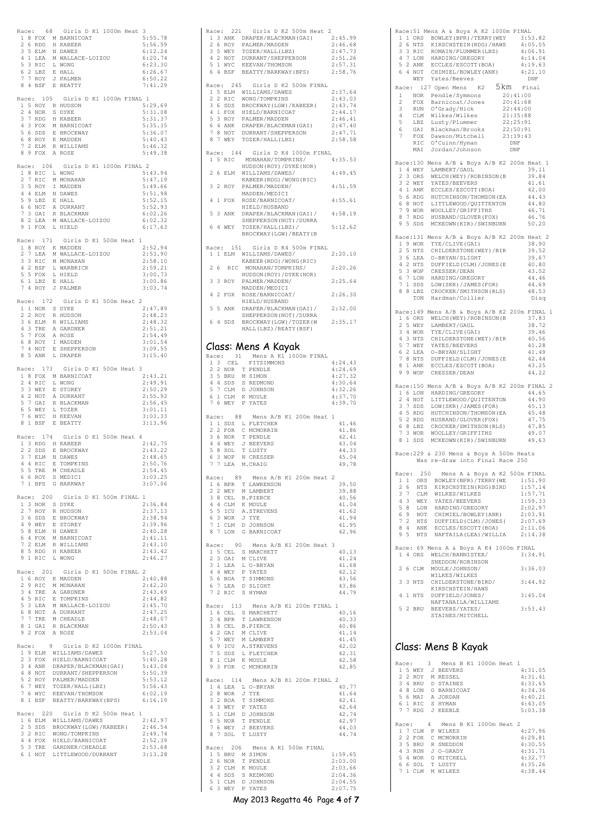|                |    |                    | Race: 68 Girls D K1 1000m Heat                                                                                                                                                                                     |   | 3<br>5:55.78       |
|----------------|----|--------------------|--------------------------------------------------------------------------------------------------------------------------------------------------------------------------------------------------------------------|---|--------------------|
|                |    |                    | 1 8 FOX M BARNICOAT<br>2 6 RDG H KABEER<br>3 5 ELM N DAWES                                                                                                                                                         |   | 5:56.59<br>6:12.24 |
|                |    |                    | 4 1 LEA M WALLACE-LOIZOU<br>5 3 RIC L WONG<br>5 3 RIC L WONG                                                                                                                                                       |   | 6:20.74            |
|                |    | 6 2 LBZ            | E HALL                                                                                                                                                                                                             |   | 6:23.30<br>6:26.67 |
|                |    | 7 7 ROY            | J PALMER                                                                                                                                                                                                           |   | 6:50.22            |
|                |    | 8 4 BSF            | E BEATTY                                                                                                                                                                                                           |   | 7:41.29            |
|                |    |                    | Race: 105 Girls D K1 1000m FINAL 1<br>1 5 ROY R HUDSON                                                                                                                                                             |   | 5:29.69            |
| $\overline{2}$ |    | 4 NOR              | S DYKE                                                                                                                                                                                                             |   | 5:31.08            |
| 3              |    | 7 RDG              | H KABEER<br>4 3 FOX M BARNICOAT                                                                                                                                                                                    |   | 5:31.37<br>5:35.35 |
|                |    | 5 6 SDS<br>6 8 ROY | E BROCKWAY<br>K MADDEN                                                                                                                                                                                             |   | 5:36.07<br>5:40.43 |
| 7              |    |                    | 2 ELM R WILLIAMS                                                                                                                                                                                                   |   | 5:46.32            |
|                |    |                    | 8 9 FOX A ROSE                                                                                                                                                                                                     |   | 5:49.38            |
|                |    |                    | Race: 106 Girls D K1 1000m FINAL 2<br>1 8 RIC L WONG                                                                                                                                                               |   | 5:43.94            |
|                |    | 2 7 RIC            | M MONAHAN                                                                                                                                                                                                          |   | 5:47.19            |
|                |    | 3 5 ROY            | I MADDEN                                                                                                                                                                                                           |   | 5:49.66<br>5:51.98 |
|                |    |                    |                                                                                                                                                                                                                    |   | 5:52.15            |
|                |    |                    |                                                                                                                                                                                                                    |   | 5:52.93<br>6:02.26 |
|                |    | 9 1 FOX            | L HIELD                                                                                                                                                                                                            |   | 6:02.32<br>6:17.63 |
|                |    |                    |                                                                                                                                                                                                                    |   |                    |
|                |    | Race: 171          | Girls D K1 500m Heat 1<br>1 8 ROY K MADDEN                                                                                                                                                                         |   | 2:52.94            |
|                |    |                    | 2 7 LEA M WALLACE-LOIZOU                                                                                                                                                                                           |   | 2:53.90            |
| 3              |    |                    | 3 RIC M MONAHAN<br>4 2 BSF L WARBRICK                                                                                                                                                                              |   | 2:58.10<br>2:59.21 |
|                |    | 5 5 FOX<br>6 1 LBZ | L HIELD<br>E HALL                                                                                                                                                                                                  |   | 3:00.73<br>3:00.86 |
|                |    |                    | 7 4 ROY J PALMER                                                                                                                                                                                                   |   | 3:03.74            |
|                |    |                    | Race: 172 Girls D K1 500m Heat 2                                                                                                                                                                                   |   |                    |
|                |    |                    | $\begin{tabular}{ccccc} 1 & 1 & \text{NOR} & S & \text{DYKE} \\ 2 & 2 & \text{ROY} & R & \text{HUDSON} \end{tabular}$                                                                                              |   | 2:47.89            |
|                |    | 3 6 ELM            | R WILLIAMS                                                                                                                                                                                                         |   | 2:48.23<br>2:48.32 |
|                |    |                    | 4 3 TRE A GARDNER                                                                                                                                                                                                  |   | 2:51.21            |
|                |    | 5 7 FOX<br>6 8 ROY | A ROSE<br>I MADDEN                                                                                                                                                                                                 |   | 2:54.49<br>3:01.54 |
| 7<br>8         |    |                    | 4 NOT E SHEPPERSON<br>5 ANK L DRAPER                                                                                                                                                                               |   | 3:09.55            |
|                |    |                    |                                                                                                                                                                                                                    |   | 3:15.40            |
|                |    |                    | Race: 173 Girls D K1 500m Heat<br>1 8 FOX M BARNICOAT                                                                                                                                                              | 3 | 2:43.21            |
|                |    | 2 4 RIC            | L WONG                                                                                                                                                                                                             |   | 2:49.91            |
| 3              |    | 3 WEY              | E STOREY                                                                                                                                                                                                           |   | 2:50.29<br>2:55.92 |
|                |    |                    | $\begin{tabular}{ccccc} & $\cdots$ & $\cdots$ & $\cdots$ & $\cdots$ \\ 4 & 2&\text{NOT} & $\text{A}$ & DURRANT \\ 5 & 7&\text{GAI} & $\text{R}$ & BLACKMAN \\ 6 & 5&\text{WEY} & $\text{L}$ & TOZER \end{tabular}$ |   | 2:56.45            |
|                |    | 7 6 WYC            | WYC H KEEVAN<br>BSF E BEATTY                                                                                                                                                                                       |   | 3:01.11<br>3:03.33 |
| 8              | -1 |                    |                                                                                                                                                                                                                    |   | 3:13.96            |
|                |    | Race: 174          | Girls D K1 500m Heat 4                                                                                                                                                                                             |   |                    |
|                |    |                    | THE STREET STREET<br>13 RDG H KABEER<br>2 2 SDS E BROCKWAY<br>3 7 ELM N DAWES<br>4 4 RIC E TOMPKINS<br>5 5 TRE M CHEADLE                                                                                           |   | 2:42.75<br>2:43.22 |
|                |    |                    |                                                                                                                                                                                                                    |   | 2:48.65<br>2:50.76 |
|                |    |                    | 5 5 TRE M CHEADLE<br>6 6 ROY S MEDICI                                                                                                                                                                              |   | 2:54.45            |
|                |    | 7 1 BPS            | G BARKWAY                                                                                                                                                                                                          |   | 3:03.25<br>3:07.06 |
|                |    |                    |                                                                                                                                                                                                                    |   |                    |
|                |    | Race: 200          | Girls D K1 500m FINAL<br>1 3 NOR S DYKE                                                                                                                                                                            |   | 1<br>2:36.84       |
|                |    |                    | 2 7 ROY R HUDSON<br>3 6 SDS E BROCKWAY<br>4 9 WEY E STOREY<br>5 8 ELM N DAWES                                                                                                                                      |   | 2:37.13<br>2:38.94 |
|                |    |                    |                                                                                                                                                                                                                    |   | 2:39.96            |
|                |    |                    |                                                                                                                                                                                                                    |   | 2:40.28<br>2:41.11 |
|                |    |                    |                                                                                                                                                                                                                    |   | 2:43.10            |
|                |    |                    | 6 4 FOX M BARNICOAT<br>7 2 ELM R WILLIAMS<br>8 5 RDG H KABEER<br>9 1 RIC L WONG                                                                                                                                    |   | 2:43.42<br>2:46.27 |
|                |    |                    | Race: 201 Girls D K1 500m FINAL 2                                                                                                                                                                                  |   |                    |
|                |    |                    | 1 6 ROY K MADDEN                                                                                                                                                                                                   |   | 2:40.88            |
|                |    | 2 9 RIC            | M MONAHAN                                                                                                                                                                                                          |   | 2:42.20<br>2:43.69 |
|                |    |                    |                                                                                                                                                                                                                    |   | 2:44.82            |
|                |    |                    |                                                                                                                                                                                                                    |   | 2:45.70<br>2:47.25 |
|                |    |                    |                                                                                                                                                                                                                    |   | 2:48.07            |
|                |    |                    | 2 7 ALC PROMARANT<br>3 4 TRE A GARDNER<br>5 3 LEA M WALLACE-LOIZOU<br>6 8 NOT A DURRANT<br>7 7 TRE M CHEADLE<br>8 1 GAI R BLACKMAN<br>9 2 FOX A ROSE                                                               |   | 2:50.43<br>2:53.04 |
|                |    |                    | Race: 9 Girls D K2 1000m FINAL                                                                                                                                                                                     |   |                    |
|                |    |                    | 1 9 ELM WILLIAMS/DAWES                                                                                                                                                                                             |   | 5:27.50<br>5:40.28 |
|                |    |                    |                                                                                                                                                                                                                    |   | 5:43.04            |
|                |    |                    |                                                                                                                                                                                                                    |   | 5:50.39<br>5:53.12 |
|                |    |                    | 2 3 FOX HIELD/BARNICOAT<br>3 4 ANK DRAPER/BLACKMAN(GAI)<br>4 8 NOT DURRANT/SHEPPERSON<br>5 2 ROY PALMER/MADDEN<br>6 7 WEY TOZER/HALL(LBZ)                                                                          |   | 5:56.43            |
|                |    | 7 6 WYC            | KEEVAN/THOMSON<br>8 1 BSF BEATTY/BARKWAY (BPS)                                                                                                                                                                     |   | 6:02.19<br>6:16.19 |
|                |    |                    | Race: 220 Girls D K2 500m Heat 1                                                                                                                                                                                   |   |                    |
|                |    |                    | 1 6 ELM WILLIAMS/DAWES                                                                                                                                                                                             |   | 2:42.97            |
|                |    | 2 5 SDS<br>3 2 RIC | BROCKWAY (LGW) / KABEER (2:46.54<br>WONG/TOMPKINS                                                                                                                                                                  |   | 2:49.74            |
|                |    | 4 4 FOX            |                                                                                                                                                                                                                    |   | 2:52.39            |
|                |    |                    | $\begin{tabular}{ll} - & \cdots & \cdots \\ 5 & 3 & TRE & \text{GARDNER/CHEADLE} \\ 6 & 1 & \text{NOT} & \text{LITILEWOOD/NIIRPAMT} \end{tabular}$<br>LITTLEWOOD/DURRANT                                           |   | 2:53.68<br>3:13.28 |
|                |    |                    |                                                                                                                                                                                                                    |   |                    |

|              |     |                    | Race: 221 Girls D K2 500m Heat 2                                                                                                                                                                                               |                    |
|--------------|-----|--------------------|--------------------------------------------------------------------------------------------------------------------------------------------------------------------------------------------------------------------------------|--------------------|
|              |     |                    | ARE PART OF THE STATE OF THE STATE OF A STATE AND THE STATE AND STATE AND STATE AND STATE AND THAT A STATE OF THE STATE STATE STATE STATE STATE STATE STATE STATE A STATE STATE STATE STATE STATE STATE STATE STATE STATE STAT | 2:45.99<br>2:46.68 |
|              |     |                    |                                                                                                                                                                                                                                | 2:47.73<br>2:51.26 |
|              |     |                    |                                                                                                                                                                                                                                | 2:57.31            |
|              |     |                    |                                                                                                                                                                                                                                | 2:58.76            |
|              |     |                    | Race: 245 Girls D K2 500m FINAL                                                                                                                                                                                                |                    |
|              |     |                    | 1 5 ELM WILLIAMS/DAWES<br>2 2 RIC WONG/TOMPKINS                                                                                                                                                                                | 2:37.64<br>2:43.03 |
|              |     |                    | 3 6 SDS BROCKWAY (LGW) / KABEER (2:43.74                                                                                                                                                                                       |                    |
|              |     |                    |                                                                                                                                                                                                                                | 2:44.17<br>2:46.41 |
|              |     |                    | 3 0 555<br>4 1 FOX HIELD/BARNICOAT<br>5 3 ROY PALMER/MADDEN<br>6 4 ANK DRAPER/BLACKMAN(GAI)<br>7 8 NOT DURRANT/SHEPPERSON<br>THERNITY SHEPPERSON                                                                               | 2:47.40            |
|              |     |                    | 8 7 WEY TOZER/HALL (LBZ)                                                                                                                                                                                                       | 2:47.71<br>2:58.58 |
|              |     |                    |                                                                                                                                                                                                                                |                    |
|              |     |                    | Race: 144 Girls D K4 1000m FINAL<br>1 5 RIC MONAHAN/TOMPKINS/                                                                                                                                                                  | 4:35.53            |
|              |     |                    | HUDSON (ROY) / DYKE (NOR)                                                                                                                                                                                                      |                    |
|              |     | 2 6 ELM            | WILLIAMS/DAWES/<br>KABEER (RDG) / WONG (RIC)                                                                                                                                                                                   | 4:49.45            |
|              |     |                    | 3 2 ROY PALMER/MADDEN/                                                                                                                                                                                                         | 4:51.59            |
|              |     |                    | MADDEN/MEDICI<br>4 1 FOX ROSE/BARNICOAT/                                                                                                                                                                                       | 4:55.61            |
|              |     |                    | HIELD/HUSBAND                                                                                                                                                                                                                  |                    |
|              |     |                    | 5 3 ANK DRAPER/BLACKMAN(GAI)/<br>SHEPPERSON (NOT) / DURRA                                                                                                                                                                      | 4:58.19            |
|              |     | 6 4 WEY            | TOZER/HALL (LBZ) /                                                                                                                                                                                                             | 5:12.62            |
|              |     |                    | BROCKWAY (LGW) / BEATY (B                                                                                                                                                                                                      |                    |
|              |     |                    | Race: 151 Girls D K4 500m FINAL<br>1 1 ELM WILLIAMS/DAWES/                                                                                                                                                                     | 2:20.10            |
|              |     |                    | KABEER (RDG) / WONG (RIC)                                                                                                                                                                                                      |                    |
|              | 2 6 | RIC                | MONAHAN/TOMPKINS/<br>HUDSON (ROY) / DYKE (NOR)                                                                                                                                                                                 | 2:20.26            |
|              |     |                    | 3 3 ROY PALMER/MADDEN/                                                                                                                                                                                                         | 2:25.64            |
|              |     |                    | MADDEN/MEDICI<br>4 2 FOX ROSE/BARNICOAT/                                                                                                                                                                                       | 2:26.30            |
|              |     |                    | HIELD/HUSBAND                                                                                                                                                                                                                  |                    |
|              |     |                    | ALLLU/HUSBAND<br>5 5 ANK DRAPER/BLACKMAN(GAI)/<br>SHEPPERSON (NOT) / DURRA                                                                                                                                                     | 2:32.00            |
|              |     |                    | 6 4 SDS BROCKWAY (LGW) / TOZER (W                                                                                                                                                                                              | 2:35.17            |
|              |     |                    | HALL (LBZ) / BEATY (BSF)                                                                                                                                                                                                       |                    |
|              |     |                    | Class: Mens A Kayak                                                                                                                                                                                                            |                    |
|              |     |                    | Race: 31 Mens A K1 1000m FINAL                                                                                                                                                                                                 |                    |
|              |     | 1 3 CEL            | FITZIMMONS                                                                                                                                                                                                                     | 4:24.43            |
|              |     |                    |                                                                                                                                                                                                                                | 4:24.69<br>4:27.32 |
|              |     |                    |                                                                                                                                                                                                                                | 4:30.64<br>4:32.26 |
|              |     |                    |                                                                                                                                                                                                                                | 4:37.70            |
|              |     |                    | 13 CEN TRINDLE<br>2 NOR T PENDLE<br>3 5 BRU M SIMON<br>4 4 SDS S REDMOND<br>5 7 CLM D JOHNSON<br>6 1 CLM K MOULE<br>7 6 WEY P YATES                                                                                            | 4:39.70            |
|              |     | Race: 88           | Mens A/B K1 200m Heat 1                                                                                                                                                                                                        |                    |
|              |     |                    |                                                                                                                                                                                                                                | 41.46<br>41.86     |
|              |     |                    |                                                                                                                                                                                                                                | 42.41              |
|              |     |                    |                                                                                                                                                                                                                                | 43.04<br>44.33     |
|              |     |                    | AND SUBSECT TO MESS AND SALES TO MESS LETTCHER<br>2 2 FOR C MCMORRIN<br>3 6 NOR T PENDLE<br>5 8 SOL T LUSTY<br>6 3 WOP N CRESSER<br>6 3 WOP N CRESSER                                                                          | 45.04              |
|              |     |                    | 7 7 LEA M.CRAIG                                                                                                                                                                                                                | 49.78              |
|              |     |                    | Race: 89 Mens A/B K1 200m Heat 2<br>1 6 BPR T LAWRENSON                                                                                                                                                                        |                    |
|              |     | 2 2 WEY            | M LAMBERT                                                                                                                                                                                                                      | 39.50<br>39.88     |
|              |     | 3 8 CEL<br>4 4 CLM | <b>B.PIERCE</b><br>K MOULE                                                                                                                                                                                                     | 40.56<br>41.04     |
|              |     | 5 5 ICU            | A.STREVENS                                                                                                                                                                                                                     | 41.62              |
| 7            |     | 6 3 WOR            | J TYE<br>1 CLM D JOHNSON                                                                                                                                                                                                       | 41.94<br>41.95     |
|              |     |                    | 8 7 LON G BARNICOAT                                                                                                                                                                                                            | 42.96              |
|              |     | Race: 90           | Mens A/B K1 200m Heat                                                                                                                                                                                                          | 3                  |
| $\mathbf{1}$ |     |                    | 5 CEL S MARCHETT                                                                                                                                                                                                               | 40.13              |
| $\mathbf{2}$ |     | 3 GAI<br>3 1 LEA   | M CLIVE<br>L O-BRYAN                                                                                                                                                                                                           | 41.24<br>41.68     |
|              |     | 4 4 WEY            | P YATES                                                                                                                                                                                                                        | 42.12              |
|              |     |                    | 5 6 BOA T SIMMONS<br>6 7 LEA D SLIGHT                                                                                                                                                                                          | 43.56<br>43.86     |
|              |     |                    | 7 2 RIC S HYMAN                                                                                                                                                                                                                | 44.79              |
|              |     | Race: 113          | Mens A/B K1 200m FINAL 1                                                                                                                                                                                                       |                    |
|              |     | 2 4 BPR            | 1 6 CEL S MARCHETT<br>T LAWRENSON                                                                                                                                                                                              | 40.16<br>40.33     |
|              |     |                    | 3 8 CEL B.PIERCE                                                                                                                                                                                                               | 40.86              |
|              |     |                    | 4 2 GAI M CLIVE<br>5 7 WEY M LAMBERT                                                                                                                                                                                           | 41.14<br>41.45     |
|              |     |                    | 6 9 ICU A.STREVENS<br>7 5 SDS L FLETCHER                                                                                                                                                                                       | 42.02              |
|              |     |                    | 8 1 CLM K MOULE                                                                                                                                                                                                                | 42.31<br>42.58     |
|              |     | 9 3 FOR            | C MCMORRIN                                                                                                                                                                                                                     | 42.85              |
|              |     | Race: 114          | Mens A/B K1 200m FINAL 2                                                                                                                                                                                                       |                    |
|              |     |                    | 1 4 LEA L O-BRYAN                                                                                                                                                                                                              | 40.77              |
| 3            |     | 2 8 WOR<br>2 BOA   | J TYE<br>T SIMMONS                                                                                                                                                                                                             | 41.64<br>42.41     |
|              |     | 4 3 WEY            | P YATES                                                                                                                                                                                                                        | 42.64              |
|              |     | 5 1 CLM            | D JOHNSON<br>T PENDLE                                                                                                                                                                                                          | 42.74<br>42.97     |
|              |     | 6 5 NOR<br>7 6 WEY | J BEEVERS                                                                                                                                                                                                                      | 44.03              |
|              |     | 8 7 SOL            | T LUSTY                                                                                                                                                                                                                        | 44.74              |
|              |     |                    | Race: 206 Mens A K1 500m FINAL<br>1 5 BRU M SIMON                                                                                                                                                                              | 1:59.65            |
|              |     | 2 6 NOR            | T PENDLE                                                                                                                                                                                                                       | 2:03.00            |
|              |     | 3 2 CLM<br>4 4 SDS | K MOULE<br>S REDMOND                                                                                                                                                                                                           | 2:03.66<br>2:04.36 |
| 5            |     | 1 CLM              | D JOHNSON                                                                                                                                                                                                                      | 2:04.55            |
|              |     | 6 3 WEY            | P YATES                                                                                                                                                                                                                        | 2:07.75            |
|              |     |                    | May 2013 Regatta 46 Page 4 of 7                                                                                                                                                                                                |                    |

| Race: 51 Mens A & Boys A K2 1000m FINAL<br>A PROPERTY (WEY 3:53.82<br>2 6 NTS KIRSCHSTEIN (RDG) / HAWS<br>3 3 RIC ROMAIN/PEUMMER (LBZ) 4:05.05<br>3 3 RIC ROMAIN/PEUMMER (LBZ) 4:05.05<br>4 7 LON HARDING/GREGORY 4:14.04<br>5 2 ANK ECCLES/ESCOTT (BOA) 4:19.63<br>6 4 NOT CHIMIEL/B                                                                                                                                                                                                              |
|----------------------------------------------------------------------------------------------------------------------------------------------------------------------------------------------------------------------------------------------------------------------------------------------------------------------------------------------------------------------------------------------------------------------------------------------------------------------------------------------------|
| WEY Yates/Beeves<br>DNF                                                                                                                                                                                                                                                                                                                                                                                                                                                                            |
| Race: 127 Open Mens K2 5km Final<br>$\mathbf{1}$<br>$\overline{c}$<br>$\mathbf{3}$<br>4<br>5                                                                                                                                                                                                                                                                                                                                                                                                       |
| 6<br>7<br>MAI Jordan/Johnson<br>DNF                                                                                                                                                                                                                                                                                                                                                                                                                                                                |
| Race: 130 Mens A/B & Boys A/B K2 200m Heat 1<br>ACCESSION MENSION AND NORTH AND THE SAME COMMISSION (B)<br>2 3 ORS WELCH (WEY) / ROBINSON (B)<br>3 2 WEY YATES / BEEVERS<br>4 1 ANK ECCLES / ESCOTT (BOA)<br>5 6 RDC HUTCHINSON / THOMSON (EA<br>6 8 NOT LITTLEWOOD / QUITTENTON<br>7 9 WO<br>39.11<br>39.84<br>41.61<br>42.00<br>44.43<br>44.80<br>46.71<br>8 7 RDG HUSBAND/GLOVER(FOX)<br>9 5 SDS MCKEOWN(KIR)/SWINBURN<br>46.76<br>50.20                                                        |
| Race: 131 Mens A/B & Boys A/B K2 200m Heat 2<br>AGES 1131 MHBS A/B & BOYS A/B AZ 40<br>19 WOR TYE/CLIVE(GAI)<br>25 NTS CHILDERSTONE (WEY)/BIR<br>36 LEA O-BRYAN/SLIGHT<br>42 NTS DUFFIELD(CLM)/JONES (E<br>53 WOP CRESSER/DEAN<br>67 LOM HARDING/GREGORY<br>71 SDS LOW (SKR)/JAMES (FOR)<br>88<br>38.90<br>39.52<br>39.67<br>40.80<br>43.52<br>44.46<br>44.69<br>48.53<br>TON Hardman/Collier<br>Disq                                                                                              |
| Race: 149 Mens A/B & Boys A/B K2 200m FINAL 1<br>16 ORS WELCH (WEY) / ROBINSON (B<br>25 WEY LAMBERT/GAUL<br>34 WOR TYE/CLIVE (GAI)<br>43 NTS CHILDERSTONE (WEY) /BIR<br>37.83<br>38.72<br>39.46<br>40.56<br>3 J WEY YATES/BEEVERS<br>6 2 LEA 0-BRYAN/SLIGHT<br>7 8 NTS DUFFIELD(CLM)/JONES(E<br>7 8 NTS DUFFIELD(CLM)/JONES(E<br>8 1 ANK ECCLES/ESCOTT(BOA)<br>9 9 WOP CRESSER/DEAN<br>41.28<br>41.49<br>42.44<br>43.25<br>44.22                                                                   |
| Race: 150 Mens A/B & Boys A/B K2 200m FINAL 2<br>1 6 LON HARDING/GREGORY<br>44.65<br>1 U LOW PARADUNG (NOTTERNOOD (OUTTERNOOD (OUTTERNOOD (OUTTERNOOD (OUTTERNOOD (EA<br>3 7 SDS LOW (SKR) / JAMES (FOR)<br>5 2 RDG HUUSBAND / GLOVER (FOX)<br>6 8 LEZ CROCKER/SMITHSON (RLS)<br>7 3 WOR WOOLLEY / GRIFFITHS<br>44.90<br>45.13<br>45.48<br>47.75<br>47.85<br>49.07<br>8 1 SDS MCKEOWN (KIR) / SWINBURN<br>49.63                                                                                    |
| Race: 229 & 230 Mens & Boys A 500m Heats<br>Was re-draw into Final Race 250                                                                                                                                                                                                                                                                                                                                                                                                                        |
| 250 Mens A & Boys A K2 500m FINAL<br>Race:<br>ORS BOWLEY (BPR) / TERRY (WE<br>$1\quad1$<br>1:51.90<br>26<br>NTS<br>KIRSCHSTEIN (RDG) BIRD<br>1:57.14<br>3 7<br>1:57.71<br>CLM<br>WILKES/WILKES<br>43<br>YATES/BEEVERS<br>WEY<br>1:59.33<br>WEY TALES/DEFINITED<br>NOT HARDING/GREGORY<br>NOT CHIMIEL/BOWLEY (ANK)<br>NTS DUFFIELD (CLM) / JONES (<br>ANK ECCLES/ESCOTT (BOA)<br>NTS NAFTAILA (LEA) /WILLIA<br>5 8<br>2:02.97<br>69<br>2:03.91<br>7 2<br>2:07.69<br>8 4<br>2:11.06<br>95<br>2:14.38 |
| Race: 69 Mens A & Boys A K4 1000m FINAL<br>1 4 ORS<br>WELCH/BANNISTER/<br>3:34.91<br>SNEDDON/ROBINSON                                                                                                                                                                                                                                                                                                                                                                                              |
| 2 6 CLM MOULE/JOHNSON/<br>3:36.03<br>WILKES/WILKES<br>3 3 NTS<br>CHILDERSTONE/BIRD/<br>3:44.92<br>KIRSCHSTEIN/HAWS                                                                                                                                                                                                                                                                                                                                                                                 |
| 4 1 NTS<br>3:45.04<br>DUFFIELD/JONES/<br>NAFTANAILA/WILLIAMS<br>5 2 BRU<br>3:53.43<br>BEEVERS/YATES/<br>STAINES/MITCHELL                                                                                                                                                                                                                                                                                                                                                                           |
| Class: Mens B Kayak                                                                                                                                                                                                                                                                                                                                                                                                                                                                                |

| Race:         |              |            | 3. |                |  | Mens B K1 1000m Heat 1   |         |
|---------------|--------------|------------|----|----------------|--|--------------------------|---------|
|               |              | 1 5 WEY    |    | J BEEVERS      |  |                          | 4:31.05 |
| $\mathcal{L}$ |              | 2 ROY      |    | M RESSEL       |  |                          | 4:31.41 |
| 3             | 4            | <b>BRU</b> | D. | <b>STAINES</b> |  |                          | 4:33.65 |
| 4             | 8            | T.ON       |    | G BARNICOAT    |  |                          | 4:34.36 |
| 5.            | 6            | MAT        |    | A JORDAN       |  |                          | 4:40.21 |
|               |              | 6 1 RTC    |    | S HYMAN        |  |                          | 4:43.05 |
|               |              | 7 7 RDG    |    | J KEEBLE       |  |                          | 5:03.38 |
|               |              |            |    |                |  |                          |         |
|               |              |            |    |                |  |                          |         |
| Race:         |              |            |    |                |  | 4 Mens B K1 1000m Heat 2 |         |
|               |              | 1 7 CLM    |    | P WILKES       |  |                          | 4:27.96 |
| 2.            |              | 2 FOR      |    | C. MCMORRIN    |  |                          | 4:29.81 |
|               | 3.5          | <b>BRU</b> |    | R SNEDDON      |  |                          | 4:30.55 |
| 4             |              | 3 RUN      |    | J O-GRADY      |  |                          | 4:31.71 |
| 5.            | 4            | <b>WOR</b> | G  | MTTCHELL       |  |                          | 4:32.77 |
| 6.            |              | 6 SOL      |    | T LUSTY        |  |                          | 4:35.26 |
|               | $\mathbf{1}$ | CT.M       |    | M WTLKES       |  |                          | 4:38.44 |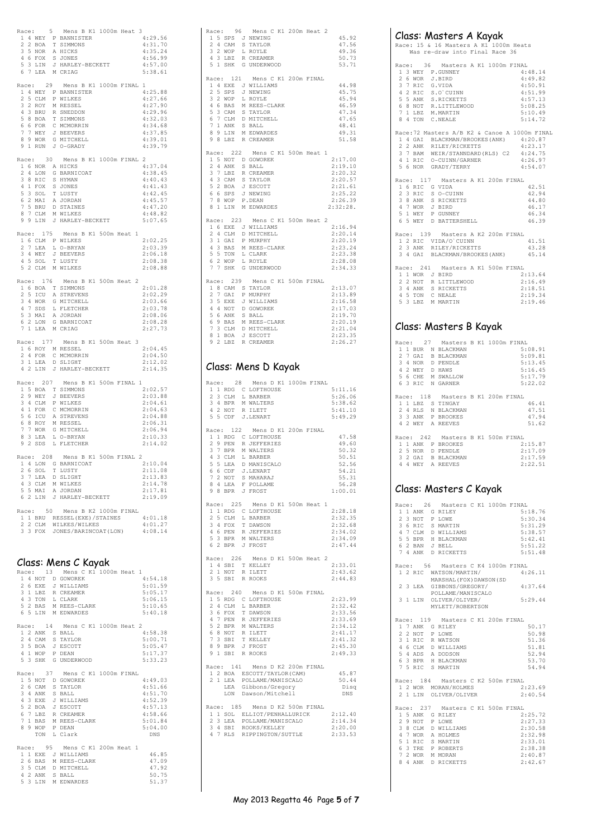|                | Race:              | 5  | Mens B K1 1000m Heat 3                                                                                                     |                    |
|----------------|--------------------|----|----------------------------------------------------------------------------------------------------------------------------|--------------------|
|                |                    |    | 1 4 WEY P BANNISTER<br>2 2 BOA T SIMMONS                                                                                   | 4:29.56            |
|                |                    |    |                                                                                                                            | 4:31.70            |
|                |                    |    | 3 5 NOR A HICKS                                                                                                            | 4:35.24            |
|                | 4 6 FOX            |    | S JONES                                                                                                                    | 4:56.99            |
| 5              |                    |    | 3 LIN J HARLEY-BECKETT<br>7 LEA M CRIAG                                                                                    | 4:57.00            |
| 6              |                    |    |                                                                                                                            | 5:38.61            |
|                |                    |    |                                                                                                                            |                    |
|                | Race: 29           |    | Mens B K1 1000m FINAL 1                                                                                                    |                    |
| $\overline{2}$ | 5 CLM              |    | 1 4 WEY P BANNISTER<br>P WILKES                                                                                            | 4:25.88            |
|                | 3 2 ROY            |    | M RESSEL                                                                                                                   | 4:27.66<br>4:27.90 |
|                |                    |    |                                                                                                                            | 4:29.96            |
|                |                    |    |                                                                                                                            | 4:32.03            |
|                |                    |    |                                                                                                                            | 4:34.68            |
|                |                    |    |                                                                                                                            | 4:37.85            |
|                |                    |    |                                                                                                                            | 4:39.01            |
|                |                    |    | 3 BRU R SNEDDON<br>5 8 BOA T SIMMONS<br>6 6 FOR C MCMORRIN<br>7 7 WEY J BEEVERS<br>8 9 WOR G MITCHELL<br>9 1 RUN J O-GRADY | 4:39.79            |
|                |                    |    |                                                                                                                            |                    |
| Race:          |                    | 30 | Mens B K1 1000m FINAL 2                                                                                                    |                    |
|                |                    |    | 1 6 NOR A HICKS                                                                                                            | 4:37.04            |
|                |                    |    |                                                                                                                            | 4:38.45<br>4:40.43 |
|                |                    |    | 2 4 LON G BARNICOAT<br>3 8 RIC S HYMAN<br>4 1 FOX S JONES<br>5 3 SOL T LUSTY<br>6 2 MAI A JORDAN<br>6 2 MNI A JORDAN       | 4:41.43            |
|                |                    |    |                                                                                                                            | 4:42.45            |
|                |                    |    |                                                                                                                            | 4:45.57            |
|                | 7 5 BRU            |    | D STAINES                                                                                                                  | 4:47.20            |
|                | 8 7 CLM            |    | M WILKES                                                                                                                   | 4:48.82            |
|                |                    |    | 9 9 LIN J HARLEY-BECKETT                                                                                                   | 5:07.65            |
|                |                    |    |                                                                                                                            |                    |
|                | Race: 175          |    | Mens B K1 500m Heat 1                                                                                                      |                    |
|                |                    |    | 1 6 CLM P WILKES                                                                                                           | 2:02.25            |
| 2              | $7$ LEA            |    | L O-BRYAN                                                                                                                  | 2:03.39            |
|                | 3 4 WEY<br>4 5 SOL |    | J BEEVERS<br>T LUSTY                                                                                                       | 2:06.18            |
|                |                    |    | 5 2 CLM M WILKES                                                                                                           | 2:08.38<br>2:08.88 |
|                |                    |    |                                                                                                                            |                    |
|                | Race: 176          |    | Mens B K1 500m Heat 2                                                                                                      |                    |
|                |                    |    | 1 6 BOA T SIMMONS                                                                                                          | 2:01.28            |
|                | $25~\text{ICU}$    |    | A STREVENS                                                                                                                 | 2:02.29            |
|                | 3 4 WOR            |    | G MITCHELL                                                                                                                 | 2:03.66            |
|                | 4 7 SDS            |    | L FLETCHER                                                                                                                 | 2:03.78            |
|                | 5 3 MAI            |    | A JORDAN                                                                                                                   | 2:08.06            |
| 6              | 2 LON              |    | G BARNICOAT                                                                                                                | 2:08.28            |
|                |                    |    | 7 1 LEA M CRIAG                                                                                                            | 2:27.73            |
|                |                    |    | Race: 177 Mens B K1 500m Heat 3                                                                                            |                    |
|                |                    |    | 1 6 ROY M RESSEL                                                                                                           | 2:04.45            |
|                | 2 4 FOR            |    | C MCMORRIN                                                                                                                 | 2:04.50            |
|                | 3 1 LEA            |    | D SLIGHT                                                                                                                   | 2:12.02            |
|                | 4 2 LIN            |    | J HARLEY-BECKETT                                                                                                           | 2:14.35            |
|                |                    |    |                                                                                                                            |                    |
|                | Race: 207          |    | Mens B K1 500m FINAL 1                                                                                                     |                    |
|                |                    |    | 1 5 BOA T SIMMONS<br>2 9 WEY J BEEVERS                                                                                     | 2:02.57            |
|                |                    |    |                                                                                                                            | 2:03.88            |
|                | 3 4 CLM<br>4 1 FOR |    | P WILKES<br>C MCMORRIN                                                                                                     | 2:04.61<br>2:04.63 |
|                | 5 6 ICU            |    | A STREVENS                                                                                                                 | 2:04.88            |
|                |                    |    |                                                                                                                            | 2:06.31            |
|                |                    |    |                                                                                                                            | 2:06.94            |
|                |                    |    |                                                                                                                            | 2:10.33            |
|                |                    |    | 5 6 ICU A STREVENS<br>6 8 ROY M RESSEL<br>7 7 WOR G MITCHELL<br>8 3 LEA L O-BRYAN<br>9 2 SDS L FLETCHER                    | 2:14.02            |
|                |                    |    |                                                                                                                            |                    |
|                |                    |    | Race: 208 Mens B K1 500m FINAL 2                                                                                           |                    |
|                |                    |    | 1 4 LON G BARNICOAT                                                                                                        | 2:10.04            |
|                | 2 6 SOL            |    | T LUSTY                                                                                                                    | 2:11.08<br>2:13.83 |
|                |                    |    |                                                                                                                            | 2:14.78            |
|                |                    |    |                                                                                                                            | 2:17.81            |
|                |                    |    | 2 6 SOL T LUSTY<br>3 7 LEA D SLIGHT<br>4 3 CLM M WILKES<br>5 5 MAI A JORDAN<br>6 2 LIN J HARLEY-BECKETT                    | 2:19.09            |
|                |                    |    |                                                                                                                            |                    |
|                |                    |    | Race: 50 Mens B K2 1000m FINAL                                                                                             |                    |
|                |                    |    | 1 1 BRU RESSEL(EXE)/STAINES<br>2 2 CLM WILKES/WILKES<br>3 3 FOX JONES/BARINCOAT(LON)                                       | 4:01.18            |
|                |                    |    |                                                                                                                            | 4:01.27            |
|                |                    |    |                                                                                                                            | 4:08.14            |
|                |                    |    |                                                                                                                            |                    |
|                |                    |    |                                                                                                                            |                    |
|                |                    |    |                                                                                                                            |                    |
|                |                    |    | Class: Mens C Kayak                                                                                                        |                    |
|                |                    |    | Race: 13 Mens C K1 1000m Heat 1                                                                                            |                    |
|                |                    |    | 1 4 NOT D GOWOREK                                                                                                          | 4:54.18            |
|                | 2 6 EXE            |    | J WILLIAMS                                                                                                                 | 5:01.59<br>5:05.17 |
|                |                    |    |                                                                                                                            | 5:06.15            |
|                |                    |    |                                                                                                                            | 5:10.65            |
|                |                    |    | E CHEAMER<br>1 1 LBZ R CREAMER<br>4 3 TON L CLARK<br>5 2 BAS M REES-CLARK<br>6 5 LIN M EDWARDES                            | 5:40.18            |

|  |           |    | Race: 14 Mens C K1 1000m Heat 2 |
|--|-----------|----|---------------------------------|
|  |           |    | 1 2 ANK S BALL<br>4:58.38       |
|  |           |    | 2 4 CAM S TAYLOR<br>5:00.71     |
|  | 3 5 BOA   |    | 5:05.47<br>J ESCOTT             |
|  | 4 1 WOP P |    | 5:17.37<br>DEAN                 |
|  |           |    | 5 3 SHK G UNDERWOOD<br>5:33.23  |
|  |           |    | Race: 37 Mens C K1 1000m FINAL  |
|  | 1 5 NOT   |    | 4:49.03<br>D GOWOREK            |
|  |           |    | 2 6 CAM S TAYLOR<br>4:51.66     |
|  |           |    | 3 4 ANK S BALL<br>4:51.70       |
|  | 4 3 EXE J |    | 4:52.39<br>WILLIAMS             |
|  | 5 2 BOA J |    | 4:57.13<br><b>ESCOTT</b>        |
|  |           |    | 6 7 LBZ R CREAMER<br>4:58.66    |
|  |           |    | 7 1 BAS M REES-CLARK<br>5:01.84 |
|  | 8 9 WOP P |    | 5:04.00<br>DEAN                 |
|  | TON       |    | L Clark<br><b>DNS</b>           |
|  |           |    | Race: 95 Mens C K1 200m Heat 1  |
|  | 1 1 EXE J |    | 46.85<br>WILLIAMS               |
|  | 2 6 BAS M |    | 47.09<br>REES-CLARK             |
|  | 3 5 CLM   | D. | 47.92<br>MTTCHELL               |
|  | 4 2 ANK S |    | 50.75<br>BALL.                  |
|  | 5 3 LIN   |    | 51.37<br>M EDWARDES             |

|                       | Race: 96 Mens C K1 200m Heat 2<br>1 5 SPS J NEWING                                                                                                                                  |                       | 45.92              |
|-----------------------|-------------------------------------------------------------------------------------------------------------------------------------------------------------------------------------|-----------------------|--------------------|
| 2 4 CAM               | S TAYLOR                                                                                                                                                                            |                       | 47.56              |
| 3 2 WOP               | L ROYLE                                                                                                                                                                             |                       | 49.36              |
|                       | 4 3 LBZ R CREAMER<br>5 1 SHK G UNDERWOOD                                                                                                                                            |                       | 50.73              |
|                       |                                                                                                                                                                                     |                       | 53.71              |
| Race: 121             |                                                                                                                                                                                     | Mens C K1 200m FINAL  |                    |
|                       | 1 4 EXE J WILLIAMS                                                                                                                                                                  |                       | 44.98              |
| 2 <sub>5</sub><br>SPS | J NEWING                                                                                                                                                                            |                       | 45.75              |
| 3 2 WOP               | L ROYLE                                                                                                                                                                             |                       | 45.94              |
|                       | 4 6 BAS M REES-CLARK                                                                                                                                                                |                       | 46.59              |
| 5.<br>3<br>6<br>7 CLM | CAM S TAYLOR                                                                                                                                                                        |                       | 47.34              |
| 7 1 ANK               | D MITCHELL<br>S BALL                                                                                                                                                                |                       | 47.65<br>48.41     |
|                       | 8 9 LIN M EDWARDES                                                                                                                                                                  |                       | 49.31              |
|                       | 9 8 LBZ R CREAMER                                                                                                                                                                   |                       | 51.58              |
|                       |                                                                                                                                                                                     |                       |                    |
| 222<br>Race:          |                                                                                                                                                                                     | Mens C K1 500m Heat 1 | 2:17.00            |
|                       | 1 5 NOT D GOWOREK<br>2 4 ANK S BALL                                                                                                                                                 |                       | 2:19.10            |
|                       | 3 7 LBZ R CREAMER                                                                                                                                                                   |                       | 2:20.32            |
| 3 CAM<br>4            | S TAYLOR                                                                                                                                                                            |                       | 2:20.57            |
| 5 2<br>BOA            | J ESCOTT                                                                                                                                                                            |                       | 2:21.61            |
| 6 6 SPS<br>7 8 WOP    | J NEWING<br>P.DEAN                                                                                                                                                                  |                       | 2:25.22<br>2:26.39 |
| 8 1 LIN               | M EDWARDES                                                                                                                                                                          |                       | 2:32:28.           |
|                       |                                                                                                                                                                                     |                       |                    |
| Race: 223             |                                                                                                                                                                                     | Mens C K1 500m Heat 2 |                    |
|                       | 1 6 EXE J WILLIAMS                                                                                                                                                                  |                       | 2:16.94            |
| 2 4 CLM<br>3 1 GAI    | D MITCHELL<br>P MURPHY                                                                                                                                                              |                       | 2:20.14<br>2:20.19 |
| 4 3 BAS               | M REES-CLARK                                                                                                                                                                        |                       | 2:23.24            |
| 5 5 TON               | L CLARK                                                                                                                                                                             |                       | 2:23.38            |
| 2 WOP<br>6            | L ROYLE                                                                                                                                                                             |                       | 2:28.08            |
|                       | 7 7 SHK G UNDERWOOD                                                                                                                                                                 |                       | 2:34.33            |
| Race: 239             |                                                                                                                                                                                     | Mens C K1 500m FINAL  |                    |
|                       | 1 8 CAM S TAYLOR                                                                                                                                                                    |                       | 2:13.07            |
| 2 7 GAI               | P MURPHY                                                                                                                                                                            |                       | 2:13.89            |
| 3 5 EXE               | J WILLIAMS                                                                                                                                                                          |                       | 2:16.58            |
| 4 4 NOT               | D GOWOREK                                                                                                                                                                           |                       | 2:17.03            |
| 56                    | ANK S BALL                                                                                                                                                                          |                       | 2:19.70            |
| 7 3 CLM               | 6 9 BAS M REES-CLARK<br>D MITCHELL                                                                                                                                                  |                       | 2:20.19<br>2:21.04 |
| 8                     | 1 BOA J ESCOTT                                                                                                                                                                      |                       | 2:23.35            |
| 9 2 LBZ               | R CREAMER                                                                                                                                                                           |                       | 2:26.27            |
|                       |                                                                                                                                                                                     |                       |                    |
|                       | Class: Mens D Kayak                                                                                                                                                                 |                       |                    |
| Race: 28              | 1 1 RDG C LOFTHOUSE                                                                                                                                                                 | Mens D K1 1000m FINAL | 5:11.16            |
| 2 3 CLM               | L BARBER                                                                                                                                                                            |                       | 5:26.06            |
| 3 4 BPR               | M WALTERS                                                                                                                                                                           |                       | 5:38.62            |
| 4 2 NOT               | R ILETT                                                                                                                                                                             |                       | 5:41.10            |
|                       | 5 5 CDF J.LENART                                                                                                                                                                    |                       | 5:49.29            |
| Race: 122             |                                                                                                                                                                                     | Mens D K1 200m FINAL  |                    |
|                       | 1 1 RDG C LOFTHOUSE                                                                                                                                                                 |                       | 47.58              |
| 2 9 PEN               | R JEFFERIES                                                                                                                                                                         |                       | 49.60              |
| 3 7 BPR               | M WALTERS                                                                                                                                                                           |                       | 50.32<br>50.51     |
|                       | 4 3 CLM L BARBER<br>5 5 LEA D MANISCALO                                                                                                                                             |                       | 52.56              |
|                       |                                                                                                                                                                                     |                       | 54.21              |
|                       |                                                                                                                                                                                     |                       | 55.31              |
|                       |                                                                                                                                                                                     |                       | 56.28              |
|                       | $\begin{tabular}{llll} 6 & 6 & CDF & J. LENART \\ 7 & 2 & NOT & S MAHARAJ \\ 8 & 4 & LEA & F POLLAME \\ 9 & 8 & BPR & J FROST \\ \end{tabular}$                                     |                       | 1:00.01            |
| Race: 225             |                                                                                                                                                                                     | Mens D K1 500m Heat 1 |                    |
|                       |                                                                                                                                                                                     |                       | 2:28.18            |
|                       | 1 1 RDG C LOFTHOUSE<br>2 5 CLM L BARBER                                                                                                                                             |                       | 2:32.35            |
|                       |                                                                                                                                                                                     |                       | 2:32.68<br>2:34.02 |
|                       |                                                                                                                                                                                     |                       | 2:34.09            |
|                       | 3 4 FOX T DAWSON<br>4 6 PEN R JEFFERIES<br>5 3 BPR M WALTERS<br>6 2 BPR J FROST                                                                                                     |                       | 2:47.44            |
|                       |                                                                                                                                                                                     |                       |                    |
| Race: 226             |                                                                                                                                                                                     | Mens D K1 500m Heat 2 | 2:33.01            |
|                       | 1 4 SBI T KELLEY<br>2 1 NOT R ILETT                                                                                                                                                 |                       | 2:43.62            |
|                       | 3 5 SBI R ROOKS                                                                                                                                                                     |                       | 2:44.83            |
|                       |                                                                                                                                                                                     |                       |                    |
|                       | Race: 240 Mens D K1 500m FINAL                                                                                                                                                      |                       | 2:23.99            |
| 2 4 CLM               | 1 5 RDG C LOFTHOUSE<br>L BARBER                                                                                                                                                     |                       | 2:32.42            |
|                       |                                                                                                                                                                                     |                       | 2:33.56            |
|                       |                                                                                                                                                                                     |                       | 2:33.69            |
|                       |                                                                                                                                                                                     |                       | 2:34.12            |
|                       |                                                                                                                                                                                     |                       | 2:41.17<br>2:41.32 |
|                       |                                                                                                                                                                                     |                       | 2:45.30            |
|                       | 2 4 LLE LE BREEKIES<br>3 6 FOX T DAWSON<br>4 7 PEN R JEFFERIES<br>5 2 BPN M WALIETS<br>6 8 NOT R ILEIT<br>7 3 SBI T KELLEY<br>8 9 BPR J FROST<br>8 9 BPR J FROST<br>9 1 SBI R ROOKS |                       | 2:49.33            |
|                       |                                                                                                                                                                                     |                       |                    |
|                       | Race: 141 Mens D K2 200m FINAL<br>1 2 BOA ESCOTT/TAYLOR(CAM)<br>2 1 LEA POLLAME/MANISCALO                                                                                           |                       | 45.87              |

|  |      | LEA Gibbons/Gregory            | Disq       |
|--|------|--------------------------------|------------|
|  | LON. | Dawson/Mitchell                | <b>DNS</b> |
|  |      |                                |            |
|  |      | Race: 185 Mens D K2 500m FINAL |            |
|  |      | 1 1 SOL ELLIOT/PENHALLURICK    | 2:12.40    |
|  |      | 2 3 LEA POLLAME/MANISCALO      | 2:14.34    |
|  |      | 3 4 SBI ROOKS/KELLEY           | 2:20.00    |
|  |      | RLS RIPPINGTON/SUTTLE          | 2:33.53    |

| Race: 15 & 16 Masters A K1 1000m Heats        |
|-----------------------------------------------|
| Was re-draw into Final Race 36                |
|                                               |
| Race: 36 Masters A K1 1000m FINAL             |
| 4:48.14<br>1 3 WEY P.GUNNEY                   |
| 2 6 WOR J.BIRD<br>4:49.82                     |
| 3 7 RIC G.VIDA<br>4:50.91                     |
| 4 2 RIC S.O'CUINN<br>4:51.99                  |
| 5 5 ANK S.RICKETTS<br>4:57.13                 |
| 6 8 NOT R.LITTLEWOOD<br>5:08.25               |
| 7 1 LBZ M.MARTIN<br>5:10.49                   |
| 8 4 TON C.NEALE<br>5:14.72                    |
|                                               |
| Race: 72 Masters A/B K2 & Canoe A 1000m FINAL |
| 1 4 GAI BLACKMAN/BROOKES (ANK) 4:20.87        |
| 2 2 ANK RILEY/RICKETTS 4:23.17                |
| 3 7 BAM WEIR/STANNDARD (RLS) C2 4:24.75       |
| 4 1 RIC O-CUINN/GARNER<br>4:26.97             |
| 5 6 NOR GRADY/TERRY<br>4:54.07                |
|                                               |
| Race: 117 Masters A K1 200m FINAL             |
| 42.51<br>1 6 RIC G VIDA                       |
| 42.94<br>2 3 RIC S O-CUINN                    |
| 3 8 ANK S RICKETTS<br>44.80                   |
| 4 7 WOR J BIRD<br>46.17                       |
| 5 1 WEY P GUNNEY<br>46.34                     |
| 6 5 WEY D BATTERSHELL<br>46.39                |
|                                               |
| Race: 139 Masters A K2 200m FINAL             |
| 41.51<br>2 3 ANK RILEY/RICKETTS               |
| 43.28                                         |
| 3 4 GAI BLACKMAN/BROOKES (ANK) 45.14          |
|                                               |
| Bogos 241 Mostove 3 V1 500m EIN31             |

Class: Masters A Kayak

# Race: 241 Masters A K1 500m FINAL<br>
1 1 WOR J BIRD 2:13.64<br>
2 2 NOT R LITTLEWOOD 2:16.49<br>
3 4 ANK S RICKETTS 2:18.51<br>
4 5 TON C NEALE 2:19.34<br>
5 3 LBZ M MARTIN 2:19.46

#### Class: Masters B Kayak

| Race:         |     |            | 27 | Masters B K1 1000m FINAL      |  |         |
|---------------|-----|------------|----|-------------------------------|--|---------|
|               |     | 1 1 BUR    |    | N BLACKMAN                    |  | 5:08.91 |
| 2             | 7   | GAT        |    | B BLACKMAN                    |  | 5:09.81 |
| 3             | 4   | <b>NOR</b> | D  | PENDLE.                       |  | 5:13.45 |
| 4             | 2   | WEY        | D  | HAWS                          |  | 5:16.45 |
| 5.            | -6  | CHE.       |    | M SWALLOW                     |  | 5:17.79 |
|               |     | 6 3 RTC    |    | N GARNER                      |  | 5:22.02 |
|               |     |            |    |                               |  |         |
| Race:         |     |            |    | 118 Masters B K1 200m FINAL   |  |         |
|               |     | 1 1 T.BZ   |    | S TINGAY                      |  | 46.41   |
|               | 2.4 | RLS        |    | N BLACKMAN                    |  | 47.51   |
|               |     | 3 3 ANK    |    | P BROOKES                     |  | 47.94   |
| 4             |     | 2 WEY      |    | A REEVES                      |  | 51.62   |
|               |     |            |    |                               |  |         |
| Race:         |     |            |    | 242 - Masters B K1 500m FINAL |  |         |
|               |     | 11 ANK     | P  | <b>BROOKES</b>                |  | 2:15.87 |
| $2^{\circ}$   | -5  | <b>NOR</b> | D  | PENDLE.                       |  | 2:17.09 |
| $\mathcal{L}$ | 2   | GAT        | B. | BLACKMAN                      |  | 2:17.59 |
| 4             | 4   | <b>MEY</b> |    | A REEVES                      |  | 2:22.51 |
|               |     |            |    |                               |  |         |

#### Class: Masters C Kayak

|                 |         | Race: 26 Masters C K1 1000m FINAL     |  |         |
|-----------------|---------|---------------------------------------|--|---------|
|                 |         | 1 1 ANK G RILEY                       |  | 5:18.76 |
|                 |         | 2 3 NOT P LOWE                        |  | 5:30.34 |
|                 |         | 3 6 RIC S MARTIN                      |  | 5:31.29 |
|                 |         | 4 7 CLM D WILLIAMS                    |  | 5:38.57 |
|                 |         | 5 5 BPR H BLACKMAN                    |  | 5:42.41 |
|                 |         | 6 2 BAN J BELL                        |  | 5:51.22 |
|                 |         | 7 4 ANK D RICKETTS                    |  | 5:51.48 |
|                 |         |                                       |  |         |
|                 |         | Race: 56 Masters C K4 1000m FINAL     |  |         |
|                 |         | 1 2 RIC WATSON/MARTIN/                |  | 4:26.11 |
|                 |         | MARSHAL (FOX) DAWSON (SD              |  |         |
|                 | 2 3 LEA | GIBBONS/GREGORY/                      |  | 4:37.64 |
|                 |         | POLLAME/MANISCALO<br>OLLAME/MANISCALO |  |         |
|                 |         | 3 1 LIN OLIVER/OLIVER/                |  | 5:29.44 |
|                 |         | MYLETT/ROBERTSON                      |  |         |
|                 |         |                                       |  |         |
|                 |         | Race: 119 Masters C K1 200m FINAL     |  |         |
|                 |         | 1 7 ANK G RILEY                       |  | 50.17   |
|                 |         | 2 2 NOT P LOWE                        |  | 50.98   |
|                 |         | 3 1 RIC R WATSON                      |  | 51.36   |
|                 |         | 4 6 CLM D WILLIAMS                    |  | 51.81   |
|                 |         | 5 4 ADS A DODSON                      |  | 52.94   |
|                 |         | 6 3 BPR H BLACKMAN                    |  | 53.70   |
|                 |         | 7 5 RIC S MARTIN                      |  | 54.94   |
|                 |         |                                       |  |         |
|                 |         | Race: 184 Masters C K2 500m FINAL     |  |         |
|                 |         | 1 2 WOR MORAN/HOLMES                  |  | 2:23.69 |
|                 |         | 2 1 LIN OLIVER/OLIVER                 |  | 2:40.54 |
|                 |         |                                       |  |         |
|                 |         | Race: 237 Masters C K1 500m FINAL     |  |         |
|                 |         | 1 5 ANK G RILEY                       |  | 2:25.72 |
|                 |         | 2 9 NOT P LOWE                        |  | 2:27.33 |
|                 |         | 3 8 CLM D WILLIAMS                    |  | 2:30.58 |
|                 |         | 4 7 WOR A HOLMES                      |  | 2:32.98 |
| 5               |         | 1 RIC S MARTIN                        |  | 2:33.01 |
| 6               |         | 3 TRE P ROBERTS                       |  | 2:38.38 |
| $7\phantom{.0}$ |         | 2 WOR M MORAN                         |  | 2:40.87 |
| 8               | 4 ANK   | D RICKETTS                            |  | 2:42.67 |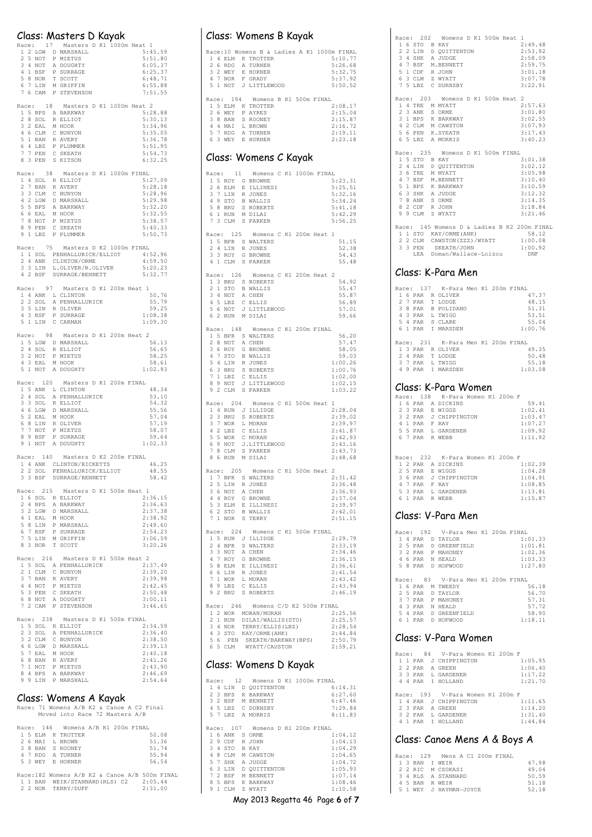|                                                                                                                                          | Class: Masters D Kayak<br>Race: 17 Masters D K1 1000m Heat 1           |                           |
|------------------------------------------------------------------------------------------------------------------------------------------|------------------------------------------------------------------------|---------------------------|
| 1 2 LGW D MARSHALL                                                                                                                       |                                                                        | 5:45.59                   |
|                                                                                                                                          |                                                                        | 5:51.80                   |
|                                                                                                                                          |                                                                        | 6:05.37                   |
|                                                                                                                                          |                                                                        | 6:25.37<br>6:48.71        |
| 2 5 NOT P MIETUS<br>3 4 NOT A DOUGHTY<br>4 1 BSF P SURRAGE<br>5 8 NOR T SCOTT<br>6 7 LIN M GRIFFIN                                       |                                                                        | 6:55.88                   |
| 7 6 CAM                                                                                                                                  | P STEVENSON                                                            | 7:51.55                   |
| 1 5 BPS A BARKWAY                                                                                                                        | Race: 18 Masters D K1 1000m Heat 2                                     |                           |
|                                                                                                                                          |                                                                        | 5:28.88<br>5:30.13        |
| 2 8 SOL R ELLIOT<br>3 2 EAL M HOOK<br>4 6 CLM C BUNYON                                                                                   |                                                                        | 5:34.96                   |
| 5 1 BAN R AVERY                                                                                                                          |                                                                        | 5:35.05<br>5:36.78        |
|                                                                                                                                          | P PLUMMER                                                              | 5:51.95                   |
| 6 4 LBZ P PLUMMER<br>7 7 PEN C SKEATH<br>8 3 PEN S KITSON                                                                                |                                                                        | 5:54.73<br>6:32.25        |
|                                                                                                                                          |                                                                        |                           |
| 1 4 SOL R ELLIOT                                                                                                                         | Race: 38 Masters D K1 1000m FINAL                                      | 5:27.09                   |
| 2 7 BAN                                                                                                                                  | R AVERY                                                                | 5:28.18                   |
| 3 3 CLM C BUNYON                                                                                                                         |                                                                        | 5:28.96<br>5:29.98        |
|                                                                                                                                          |                                                                        | 5:32.20                   |
|                                                                                                                                          |                                                                        | 5:32.55                   |
|                                                                                                                                          |                                                                        | 5:38.57<br>5:40.33        |
| 3 3 CHT C BONTON<br>5 5 BPS A BARKWAY<br>6 6 EAL M HOOK<br>7 8 NOT P MIETUS<br>7 8 NOT P MIETUS<br>8 9 PEN C SKEATH<br>9 1 LBZ P PLUMMER |                                                                        | 5:50.73                   |
|                                                                                                                                          | Race: 75 Masters D K2 1000m FINAL                                      |                           |
|                                                                                                                                          | Adde: 19 ------<br>1 1 SOL PENHALLURICK/ELLIOT<br>2 4 ANK CLINTON/ORME | 4:52.96<br>4:59.50        |
|                                                                                                                                          | 3 3 LIN L.OLIVER/R.OLIVER<br>4 2 BSF SURRAGE/BENNETT                   | 5:20.23                   |
|                                                                                                                                          |                                                                        | 5:32.77                   |
|                                                                                                                                          | Race: 97 Masters D K1 200m Heat 1                                      |                           |
| 1 4 ANK L CLINTON                                                                                                                        | A PENHALLURICK                                                         | 50.76<br>55.79            |
| $2\,$ 2 $\,$ SOL                                                                                                                         |                                                                        | 59.25                     |
| 3 5 LIN R OLIVER<br>4 3 BSF P SURRAGE<br>5 1 LIN C CARMAN                                                                                |                                                                        | 1:08.38                   |
|                                                                                                                                          |                                                                        | 1:09.30                   |
|                                                                                                                                          | Race: 98 Masters D K1 200m Heat 2                                      |                           |
| 1 5 LGW D MARSHALL                                                                                                                       |                                                                        | 56.13<br>56.65            |
|                                                                                                                                          |                                                                        | 58.25                     |
| 2 4 SOL R ELLIOT<br>3 2 NOT P MIETUS<br>4 3 EAL M HOOK<br>5 1 NOT A DOUGHTY                                                              |                                                                        | 58.61<br>1:02.93          |
|                                                                                                                                          | Race: 120 Masters D K1 200m FINAL                                      |                           |
| 1 5 ANK L CLINTON                                                                                                                        |                                                                        | 48.34                     |
| 2 4 SOL                                                                                                                                  | A PENHALLURICK                                                         | 53.10<br>54.32            |
|                                                                                                                                          |                                                                        | 55.56                     |
|                                                                                                                                          |                                                                        | 57.04                     |
|                                                                                                                                          |                                                                        | 57.19<br>58.07            |
| 2 4 30L R ELLIOT<br>4 6 LGW D MARSHALL<br>5 2 EAL M HOOK<br>6 8 LIN R OLIVER<br>7 NOT P MIETUS<br>8 9 BSF P SURFAGE<br>1 NOT P MIETUS    |                                                                        | 59.64                     |
| 9 1 NOT                                                                                                                                  | A DOUGHTY                                                              | 1:02.33                   |
|                                                                                                                                          | Race: 140 Masters D K2 200m FINAL                                      | 46.25                     |
|                                                                                                                                          | 1 4 ANK CLINTON/RICKETTS<br>2 2 SOL PENHALLURICK/ELLIOT                | 48.55                     |
|                                                                                                                                          | 3 3 BSF SURRAGE/BENNETT                                                | 58.42                     |
| Race: 215<br>1 6 SOL R ELLIOT                                                                                                            | Masters D K1 500m Heat 1                                               | 2:36.15                   |
| 2 4 BPS                                                                                                                                  | A BARKWAY                                                              | 2:36.63                   |
| 3<br>2 LGW                                                                                                                               | D MARSHALL                                                             | 2:37.38                   |
| 4 1 EAL M HOOK<br>5 8 LIN                                                                                                                | P MARSHALL                                                             | 2:38.92<br>2:49.60        |
| 7 BSF<br>6                                                                                                                               | P SURRAGE                                                              | 2:54.23                   |
| 7<br>5 LIN<br>8 3 NOR                                                                                                                    | M GRIFFIN<br>T SCOTT                                                   | 3:06.59<br>3:20.26        |
|                                                                                                                                          |                                                                        |                           |
| Race: 216                                                                                                                                | Masters D K1 500m Heat<br>1 5 SOL A PENHALLURICK                       | $\overline{2}$<br>2:37.49 |
| 2 1 CLM                                                                                                                                  | C BUNYON                                                               | 2:39.20                   |
| 3 7 BAN<br>4<br>4 NOT                                                                                                                    | R AVERY<br>P MIETUS                                                    | 2:39.98<br>2:42.45        |
| 5 3 PEN                                                                                                                                  | C SKEATH                                                               | 2:50.48                   |
| 6 8 NOT<br>7 2 CAM                                                                                                                       | A DOUGHTY<br>P STEVENSON                                               | 3:00.11<br>3:46.65        |
|                                                                                                                                          |                                                                        |                           |
| Race: 238<br>1 5 SOL R ELLIOT                                                                                                            | Masters D K1 500m FINAL                                                | 2:34.59                   |
| 3 SOL<br>2                                                                                                                               | A PENHALLURICK                                                         | 2:36.40                   |
| 3 2 CLM<br>4 6 LGW                                                                                                                       | C BUNYON<br>D MARSHALL                                                 | 2:38.50<br>2:39.13        |
| 5 7 EAL                                                                                                                                  | M HOOK                                                                 | 2:40.18                   |
| $68$ BAN<br>7<br>1 NOT                                                                                                                   | R AVERY                                                                | 2:41.26                   |
| 8 4 BPS                                                                                                                                  | P MIETUS<br>A BARKWAY                                                  | 2:43.90<br>2:46.69        |
| 9 9 LIN P MARSHALL                                                                                                                       |                                                                        | 2:54.64                   |
|                                                                                                                                          | Class: Womens A Kavak                                                  |                           |

Class: Womens A Kayak<br>Race: 71 Womens A/B K2 & Canoe A C2 Final<br>Moved into Race 72 Masters A/B

|  |  | Race: 146 Womens A/B K1 200m FINAL             |  |  |         |
|--|--|------------------------------------------------|--|--|---------|
|  |  | 1 5 ELM K TROTTER                              |  |  | 50.08   |
|  |  | 2 6 MAI L BROWN                                |  |  | 51.36   |
|  |  | 3 8 BAN S ROONEY                               |  |  | 51.74   |
|  |  | 4 7 RDG A TURNER                               |  |  | 55.94   |
|  |  | 5 3 WEY E HORNER                               |  |  | 56.54   |
|  |  |                                                |  |  |         |
|  |  | Race: 182 Womens A/B K2 & Canoe A/B 500m FINAL |  |  |         |
|  |  | 1 1 BAN WEIR/STANNARD(RLS) C2 2:05.44          |  |  |         |
|  |  | 2 2 NOR TERRY/DUFF                             |  |  | 2:31.00 |

|              | Class: Womens B Kayak                                                                                                                                                                                |                    |
|--------------|------------------------------------------------------------------------------------------------------------------------------------------------------------------------------------------------------|--------------------|
|              | Race: 10 Womens B & Ladies A K1 1000m FINAL                                                                                                                                                          |                    |
|              | 1 4 ELM K TROTTER                                                                                                                                                                                    | 5:10.77            |
|              |                                                                                                                                                                                                      | 5:26.68<br>5:32.75 |
|              |                                                                                                                                                                                                      | 5:37.92            |
|              | 26 RDG A TURNER<br>32 WEY E HORNER<br>47 NOR F GRADY<br>51 NOT J LITTLEWOOD                                                                                                                          | 5:50.52            |
|              | Race: 194 Womens B K1 500m FINAL                                                                                                                                                                     |                    |
|              | 1 5 ELM K TROTTER                                                                                                                                                                                    | 2:08.17            |
| 2 6 WEY      | P AYRES                                                                                                                                                                                              | 2:15.04            |
| 3 8 BAN      | S ROONEY                                                                                                                                                                                             | 2:15.87            |
|              | 4 4 MAI L BROWN<br>5 7 RDG A TURNER                                                                                                                                                                  | 2:16.72            |
|              | 6 3 WEY E HORNER                                                                                                                                                                                     | 2:19.11<br>2:23.18 |
|              |                                                                                                                                                                                                      |                    |
|              | Class: Womens C Kayak                                                                                                                                                                                |                    |
| Race: 11     | Womens C K1 1000m FINAL                                                                                                                                                                              |                    |
|              | 1 5 ROY G BROWNE                                                                                                                                                                                     | 5:23.31            |
|              |                                                                                                                                                                                                      | 5:25.51<br>5:32.16 |
|              | 2 6 ELM E ILLINESI<br>3 7 LIN R JONES<br>4 9 STO B WALLIS                                                                                                                                            | 5:34.24            |
| 5 8 BRU      | S ROBERTS                                                                                                                                                                                            | 5:41.18            |
| 6 1 RUN      | M DILAI                                                                                                                                                                                              | 5:42.29            |
|              | 7 3 CLM S PARKER                                                                                                                                                                                     | 5:56.25            |
|              | Race: 125 Womens C K1 200m Heat 1                                                                                                                                                                    |                    |
|              | 1 5 BPR S WALTERS                                                                                                                                                                                    | 51.15              |
| $4$ LIN<br>2 | R JONES<br>3 3 ROY G BROWNE                                                                                                                                                                          | 52.38<br>54.43     |
| 4 1 CLM      | S PARKER                                                                                                                                                                                             | 55.48              |
|              |                                                                                                                                                                                                      |                    |
| Race: 126    | Womens C K1 200m Heat 2                                                                                                                                                                              |                    |
|              | 1 3 BRU S ROBERTS                                                                                                                                                                                    | 54.92<br>55.47     |
|              |                                                                                                                                                                                                      | 55.87              |
|              | 2 1 STO B WALLIS<br>3 4 NOT A CHEN<br>4 5 LBZ C ELLIS<br>5 6 NOT J LITTLEWOOD                                                                                                                        | 56.89              |
|              |                                                                                                                                                                                                      | 57.01              |
| 6 2 RUN      | M DILAI                                                                                                                                                                                              | 59.66              |
|              | Race: 148 Womens C K1 200m FINAL                                                                                                                                                                     |                    |
|              | 1 5 BPR S WALTERS                                                                                                                                                                                    | 56.20              |
|              |                                                                                                                                                                                                      | 57.47              |
|              | 2 8 NOT A CHEN<br>3 6 ROY G BROWNE<br>4 7 STO B WALLIS                                                                                                                                               | 58.05<br>59.03     |
| 5 4 LIN      | R JONES                                                                                                                                                                                              | 1:00.26            |
| 6 3 BRU      | S ROBERTS                                                                                                                                                                                            | 1:00.76            |
|              |                                                                                                                                                                                                      | 1:02.00            |
|              | 7 1 LBZ C ELLIS<br>8 9 NOT J LITTLEWOOD<br>9 2 CLM S PARKER                                                                                                                                          | 1:02.15            |
|              |                                                                                                                                                                                                      | 1:03.22            |
| Race: 204    | Womens C K1 500m Heat 1                                                                                                                                                                              |                    |
|              | 1 4 RUN J ILLIDGE                                                                                                                                                                                    | 2:28.04            |
| 2 3 BRU      | S ROBERTS                                                                                                                                                                                            | 2:39.02<br>2:39.97 |
|              |                                                                                                                                                                                                      | 2:41.87            |
|              |                                                                                                                                                                                                      | 2:42.93            |
|              | 37 WOR L MORAN<br>42 LBZ C ELLIS<br>55 WOR C MORAN<br>69 NOT J.LITTLEV<br>78 CLM S PARKER<br>J.LITTLEWOOD                                                                                            | 2:43.16            |
| 8 6 RUN      | M DILAI                                                                                                                                                                                              | 2:43.73<br>2:48.68 |
|              |                                                                                                                                                                                                      |                    |
| Race: 205    | Womens C K1 500m Heat                                                                                                                                                                                | $\overline{c}$     |
| BPR<br>1.    | S WALTERS                                                                                                                                                                                            | 2:31.42            |
|              |                                                                                                                                                                                                      | 2:36.48<br>2:36.93 |
|              |                                                                                                                                                                                                      | 2:37.04            |
|              |                                                                                                                                                                                                      | 2:39.97            |
|              | 2 5 LIN R JONES<br>2 5 LIN R JONES<br>3 6 NOT A CHEN<br>4 4 ROY G BROWNE<br>5 3 ELM E LLLINESI<br>6 2 STO B WALLIS<br>7 1 NOR S TERRY                                                                | 2:42.01            |
|              |                                                                                                                                                                                                      | 2:51.15            |
|              |                                                                                                                                                                                                      |                    |
|              | Race: 224 Womens C K1 500m FINAL                                                                                                                                                                     |                    |
|              |                                                                                                                                                                                                      | 2:29.79            |
|              |                                                                                                                                                                                                      | 2:33.19            |
|              |                                                                                                                                                                                                      | 2:34.46<br>2:36.15 |
|              |                                                                                                                                                                                                      | 2:36.61            |
|              |                                                                                                                                                                                                      | 2:41.54            |
|              |                                                                                                                                                                                                      | 2:43.42            |
|              |                                                                                                                                                                                                      | 2:43.94            |
|              | ARCE: 224 Womens<br>1 5 RUN J ILLIDGE<br>2 4 BPR S WALTERS<br>3 3 NOT A CHEN<br>4 7 ROY G BROWNE<br>5 8 ELM E ILLINESI<br>6 6 LIN R JONES<br>7 1 WOR L MORAN<br>8 9 LBZ C ELLIS<br>9 2 BRU S ROBERTS | 2:46.19            |
|              | Race: 246 Womens C/D K2 500m FINAL                                                                                                                                                                   |                    |
|              | 1 2 WOR MORAN/MORAN                                                                                                                                                                                  | 2:25.56            |
| 2 1 RUN      | DILAI/WALLIS(STO)                                                                                                                                                                                    | 2:25.57            |
|              | 3 4 NOR TERRY/ELLIS(L<br>4 3 STO KAY/ORME(ANK)<br>TERRY/ELLIS(LBZ)                                                                                                                                   | 2:28.54<br>2:44.84 |
|              |                                                                                                                                                                                                      | 2:50.79            |
|              | 5 6 PEN SKEATH/BARKWAY (BPS)<br>6 5 CLM WYATT/CAUSTON                                                                                                                                                | 2:59.21            |
|              | Class: Womens D Kayak                                                                                                                                                                                |                    |
|              | Race: 12 Womens D K1 1000m FINAL<br>1 4 LIN D QUITTENTON<br>2 3 BPS K BARKWAY                                                                                                                        | 6:14.31            |

| $\mathbf{1}$ | 4  | LIN        |    | 6:14.31<br>D OUITTENTON                       |  |
|--------------|----|------------|----|-----------------------------------------------|--|
|              |    | 2 3 BPS    |    | 6:27.60<br>K BARKWAY                          |  |
|              |    | 3 2 BSF    |    | 6:47.46<br>M BENNETT                          |  |
|              |    | 4 5 T.BZ   |    | 7:29.84<br>C DURNSBY                          |  |
|              |    | 5 7 LBZ    |    | 8:11.83<br>A MORRIS                           |  |
|              |    |            |    |                                               |  |
| Race:        |    |            |    | 107 Womens D K1 200m FINAL                    |  |
|              |    | 1 6 ANK    |    | 1:04.12<br>S ORME                             |  |
|              | 29 | CDF        |    | 1:04.13<br>R JOHN                             |  |
| 3.           | 4  | .STO       |    | 1:04.29<br>B KAY                              |  |
| 4            | 8  | CT.M       |    | 1:04.65<br>M CAWSTON                          |  |
|              | 57 | SHK        |    | 1:04.72<br>A JUDGE                            |  |
| 6            |    | $3$ $1.1N$ | D. | 1:05.93<br>OUITTENTON                         |  |
| 7            |    | 2 BSF      |    | 1:07.14<br>M BENNETT                          |  |
| 8.           | -5 | <b>BPS</b> |    | 1:08.46<br>K BARKWAY                          |  |
| 9            |    | $1$ CLM    |    | 7. WYATT<br>1:10.58                           |  |
|              |    |            |    | May 2013 Regatta 46 Page <b>6</b> of <b>7</b> |  |

|               | Race: 202 Womens D K1 500m Heat 1                            |  |
|---------------|--------------------------------------------------------------|--|
| 1 6 STO B KAY | 2:49.48                                                      |  |
|               | 2 2 LIN D QUITTENTON<br>2:53.92                              |  |
|               | 3 4 SHK A JUDGE<br>4 7 BSF M.BENNETT<br>2:58.09              |  |
|               | 2:59.75                                                      |  |
|               | 5 1 CDF R JOHN<br>6 3 CLM Z WYATT<br>3:01.18                 |  |
|               | 3:07.78                                                      |  |
|               | 7 5 LBZ C DURNSBY<br>3:22.91                                 |  |
|               | Race: 203 Womens D K1 500m Heat 2                            |  |
|               | 2:57.63<br>1 4 TRE M MYATT                                   |  |
|               | 3:01.80                                                      |  |
|               | 2 3 ANK S ORME<br>3 1 BPS K BARKWAY<br>3:02.55               |  |
|               | 4 2 CLM M CAWSTON<br>3:07.93                                 |  |
|               | 5 6 PEN K. SYEATH<br>3:17.43                                 |  |
|               | 6 5 LBZ A MORRIS<br>3:40.23                                  |  |
|               | Race: 235 Womens D K1 500m FINAL                             |  |
| 1 5 STO B KAY | 3:01.38                                                      |  |
|               | 2 4 LIN D QUITTENTON<br>3:02.12                              |  |
|               | 3 6 TRE M MYATT<br>3:05.98                                   |  |
|               | 4 7 BSF M.BENNETT<br>3:10.40                                 |  |
|               | 5 1 BPS K BARKWAY<br>3:10.59                                 |  |
|               | 6 3 SHK A JUDGE<br>3:12.32                                   |  |
|               | 3:14.35                                                      |  |
|               | 7 8 ANK S ORME<br>8 2 CDF R JOHN<br>3:18.84                  |  |
|               | 9 9 CLM Z WYATT<br>3:21.46                                   |  |
|               |                                                              |  |
|               | Race: 145 Womens D & Ladies B K2 200m FINAL                  |  |
|               | 1 1 STO KAY/ORME (ANK)<br>58.12                              |  |
|               | 2 2 CLM CAWSTON(ZZZ)/WYATT<br>3 3 PEN SKEATH/JOHN<br>1:00.08 |  |
|               | 1:00.92                                                      |  |
|               | LEA Doman/Wallace-Loizou<br>DNF                              |  |
|               | Class: K-Para Men                                            |  |
|               |                                                              |  |
|               | Race: 137 K-Para Men K1 200m FINAL                           |  |
|               | 47.37<br>1 6 PAR R OLIVER                                    |  |
|               | 2 7 PAR T LODGE<br>48.15                                     |  |
|               | 3 8 PAR B POLIDANO<br>51.31                                  |  |
|               | 4 3 PAR L TWIGG<br>53.51                                     |  |
|               | 5 4 PAR S CLARK<br>55.04                                     |  |
|               | 6 1 PAR I MARSDEN<br>1:00.76                                 |  |
|               | Race: 231 K-Para Men K1 200m FINAL                           |  |
|               | 1 3 PAR R OLIVER<br>49.35                                    |  |
|               | 2 4 PAR T LODGE<br>50.48                                     |  |
|               | 3 7 PAR L TWIGG<br>55.18                                     |  |
| 4 9 PAR       | I MARSDEN<br>1:03.08                                         |  |
|               |                                                              |  |

## Class: K-Para Women Race: 138 K-Para Women K1 200m F

|  |               | kace: 138 - K-Para Women Ki 200m F |  |         |
|--|---------------|------------------------------------|--|---------|
|  |               | 1 6 PAR A DICKINS                  |  | 59.41   |
|  |               | 2 3 PAR E WIGGS                    |  | 1:02.41 |
|  |               | 3 2 PAR J CHIPPINGTON              |  | 1:03.47 |
|  | 4 1 PAR F RAY |                                    |  | 1:07.27 |
|  |               | 5 5 PAR L GARDENER                 |  | 1:09.92 |
|  |               | 6 7 PAR R WEBB                     |  | 1:11.92 |
|  |               |                                    |  |         |
|  |               |                                    |  |         |

|  |               | Race: 232 K-Para Women K1 200m F |  |         |
|--|---------------|----------------------------------|--|---------|
|  |               | 1 2 PAR A DICKINS                |  | 1:02.39 |
|  |               | 2 5 PAR E WIGGS                  |  | 1:04.28 |
|  |               | 3 6 PAR J CHIPPINGTON            |  | 1:04.91 |
|  | 4 7 PAR F RAY |                                  |  | 1:08.85 |
|  |               | 5 3 PAR L GARDENER               |  | 1:13.81 |
|  |               | 6 1 PAR R WEBB                   |  | 1:15.87 |

#### Class: V-Para Men

| Race: |   |         | 192 V-Para Men K1 200m FINAL  |  |         |
|-------|---|---------|-------------------------------|--|---------|
|       | 4 | PAR     | D TAYLOR                      |  | 1:01.33 |
|       |   | 2 5 PAR | D GREENFIELD                  |  | 1:01.81 |
|       |   |         | 3 2 PAR P MAHONEY             |  | 1:02.36 |
| 4     |   |         | 6 PAR N HEALD                 |  | 1:03.33 |
|       |   | 5 8 PAR | D HOPWOOD                     |  | 1:27.80 |
|       |   |         |                               |  |         |
|       |   |         |                               |  |         |
| Race: |   |         | 83 - V-Para Men K1 200m FINAL |  |         |
|       |   | 1 6 PAR | M TWEEDY                      |  | 56.18   |
|       |   |         | 2 5 PAR D TAYLOR              |  | 56.70   |
| 3 7   |   | PAR     | P MAHONEY                     |  | 57.31   |
|       |   | 4 3 PAR | N HEALD                       |  | 57.72   |
| 5.    | 4 | PAR     | D GREENFIELD                  |  | 58.90   |

#### Class: V-Para Women

|  |  | Race: 84 V-Para Women K1 200m F  |  |         |
|--|--|----------------------------------|--|---------|
|  |  | 1 1 PAR J CHIPPINGTON            |  | 1:05.95 |
|  |  | 2 2 PAR A GREEN                  |  | 1:06.40 |
|  |  | 3 3 PAR L GARDENER               |  | 1:17.22 |
|  |  | 4 4 PAR T HOLLAND                |  | 1:21.70 |
|  |  |                                  |  |         |
|  |  | Race: 193 V-Para Women K1 200m F |  |         |
|  |  | 1 4 PAR J CHIPPINGTON            |  | 1:11.65 |
|  |  | 2 3 PAR A GREEN                  |  | 1:14.20 |
|  |  | 3 2 PAR L GARDENER               |  | 1:31.40 |
|  |  | 1 PAR I HOLLAND                  |  | 1:44.84 |

#### Class: Canoe Mens A & Boys A

|  |  | Race: 129 Mens A C1 200m FINAL |       |
|--|--|--------------------------------|-------|
|  |  | 1 3 BAN T WETR                 | 47.98 |
|  |  | 2 2 RIC M CSOKASI              | 49.04 |
|  |  | 3 4 RLS A STANNARD             | 50.59 |
|  |  | 4 5 BAN R WETR                 | 51.18 |
|  |  | 5 1 WEY J HAYMAN-JOYCE         | 52.18 |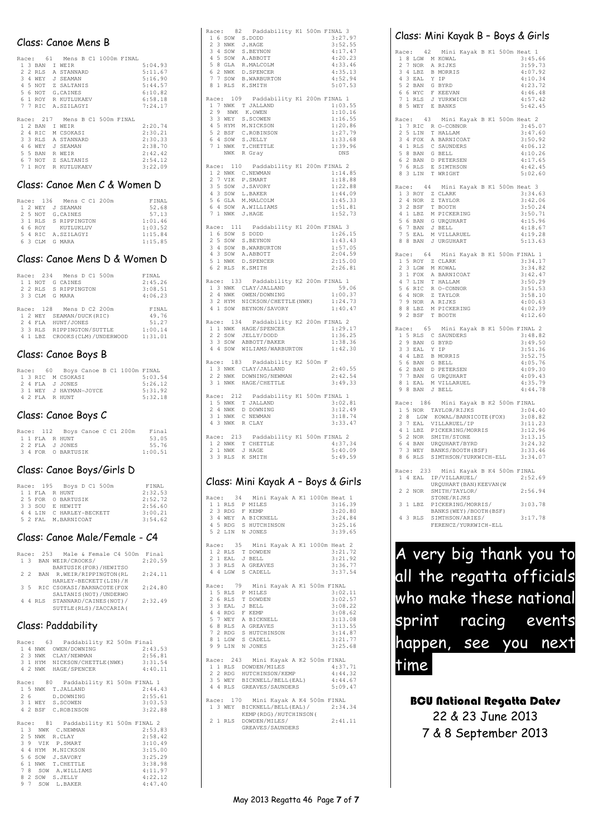#### Class: Canoe Mens B

| Race: |              |            | 61  | Mens B C1 1000m FINAL    |         |
|-------|--------------|------------|-----|--------------------------|---------|
|       |              | 1 3 BAN    | T.  | WETR                     | 5:04.93 |
| 2     | 2            | RLS        | Α   | STANNARD                 | 5:11.67 |
| 3     | 4            | <b>WEY</b> | гT. | SEAMAN                   | 5:16.90 |
| 4     | 5            | <b>NOT</b> |     | Z SALTANIS               | 5:44.57 |
| 5.    | 6            | <b>NOT</b> |     | G. CAINES                | 6:10.82 |
| 6     | 1            | <b>ROY</b> |     | R KUTLUKAEV              | 6:58.18 |
|       | 77           | RTC        |     | A.SZTLAGYT               | 7:24.17 |
|       |              |            |     |                          |         |
| Race: |              |            |     | 217 Mens B C1 500m FINAL |         |
|       |              | 1 2 BAN    | T.  | WETR                     | 2:20.74 |
| 2.    | 4            | RTC.       | М   | CSOKAST                  | 2:30.21 |
| 3     | 3            | RLS        | A   | STANNARD                 | 2:30.33 |
| 4     | 6            | <b>WEY</b> | ٠T  | SEAMAN                   | 2:38.70 |
| 5.    | 5            | <b>BAN</b> | R   | WE.TR                    | 2:42.42 |
| 6     | 7            | <b>NOT</b> | 7.  | SALTANTS                 | 2:54.12 |
| 7     | $\mathbf{1}$ | ROY        | R   | KUTLUKAEV                | 3:22.09 |

#### Class: Canoe Men C & Women D

|  |  | Race: 136 Mens C C1 200m | FTNAL   |
|--|--|--------------------------|---------|
|  |  | 1 2 WEY J SEAMAN         | 52.68   |
|  |  | 2 5 NOT G.CAINES         | 57.13   |
|  |  | 3 1 RLS S RIPPINGTON     | 1:01.46 |
|  |  | 4 6 ROY KUTLUKLUV        | 1:03.52 |
|  |  | 5 4 RIC A.SZILAGYI       | 1:15.84 |
|  |  | 6 3 CLM G MARA           | 1:15.85 |
|  |  |                          |         |

#### Class: Canoe Mens D & Women D

|  |          | Race: 234 Mens D C1 500m  | FTNAL   |
|--|----------|---------------------------|---------|
|  |          | 1 1 NOT G CAINES          | 2:45.26 |
|  |          | 2 2 RLS S RIPPINGTON      | 3:08.51 |
|  |          | 3 3 CLM G MARA            | 4:06.23 |
|  |          |                           |         |
|  |          | Race: 128 Mens D C2 200m  | FINAL   |
|  |          | 1 2 WEY SEAMAN/DUCK(RIC)  | 49.76   |
|  |          | 2 4 FLA HUNT/JONES        | 51.27   |
|  |          | 3 3 RLS RIPPINGTON/SUTTLE | 1:00.14 |
|  | 4 1 T.BZ | CROOKS (CLM) / UNDERWOOD  | 1:31.01 |
|  |          |                           |         |

#### Class: Canoe Boys B

|  |  | Race: 60 Boys Canoe B C1 1000m FINAL |         |
|--|--|--------------------------------------|---------|
|  |  | 1 3 RIC M CSOKASI                    | 5:03.54 |
|  |  | 2 4 FLA J JONES                      | 5:26.12 |
|  |  | 3 1 WEY J HAYMAN-JOYCE               | 5:31.92 |
|  |  | 4 2 FLA R HUNT                       | 5:32.18 |

#### Class: Canoe Boys C

|  |  | Race: 112 Boys Canoe C C1 200m |  |  | Final   |
|--|--|--------------------------------|--|--|---------|
|  |  | 1 1 FLA R HUNT                 |  |  | 53.05   |
|  |  | 2 2 FLA J JONES                |  |  | 55.76   |
|  |  | 3 4 FOR O BARTUSIK             |  |  | 1:00.51 |

#### Class: Canoe Boys/Girls D

|  |  | Race: 195 Boys D C1 500m | FINAL   |
|--|--|--------------------------|---------|
|  |  | 1 1 FLA R HUNT           | 2:32.53 |
|  |  | 2 5 FOR O BARTUSIK       | 2:52.72 |
|  |  | 3 3 SOU E HEWTTT         | 2:56.60 |
|  |  | 4 4 LIN C HARLEY-BECKETT | 3:00.21 |
|  |  | 5 2 FAL M. BARNICOAT     | 3:54.62 |

#### Class: Canoe Male/Female - C4

| Race: |     | 253 Male & Female C4 500m       |         |  |  |  | Final   |  |  |  |
|-------|-----|---------------------------------|---------|--|--|--|---------|--|--|--|
|       |     | 1 3 BAN WEIR/CROOKS/<br>2:20.59 |         |  |  |  |         |  |  |  |
|       |     | BARTUSIK (FOR) / HEWITSO        |         |  |  |  |         |  |  |  |
|       | 2.2 | BAN R.WEIR/RIPPINGTON(RL        |         |  |  |  | 2:24.11 |  |  |  |
|       |     | HARLEY-BECKETT (LIN) / H        |         |  |  |  |         |  |  |  |
|       |     | 3 5 RIC CSOKASI/BARNACOTE (FOX  |         |  |  |  | 2:24.80 |  |  |  |
|       |     | SALTANIS (NOT) / UNDERWO        |         |  |  |  |         |  |  |  |
|       |     | 4 RLS STANNARD/CAINES (NOT) /   | 2:32.49 |  |  |  |         |  |  |  |
|       |     | SUTTLE (RLS) / ZACCARIA (       |         |  |  |  |         |  |  |  |

#### Class: Paddability

|  | Race: 63 Paddability K2 500m Final                       |         |  |  |  |  |
|--|----------------------------------------------------------|---------|--|--|--|--|
|  | 1 4 NWK OWEN/DOWNING 2:43.53                             |         |  |  |  |  |
|  | 2 3 NWK CLAY/NEWMAN<br>2:56.81                           |         |  |  |  |  |
|  | 3 1 HYM NICKSON/CHETTLE (NWK) 3:31.54                    |         |  |  |  |  |
|  | 4 2 NWK HAGE/SPENCER<br>4:40.11                          |         |  |  |  |  |
|  | Race: 80 Paddability K1 500m FINAL 1                     |         |  |  |  |  |
|  | 1 5 NWK T.JALLAND                                        | 2:44.43 |  |  |  |  |
|  | 2 6 D.DOWNING                                            | 2:55.61 |  |  |  |  |
|  | 3 1 WEY S.SCOWEN 3:03.53                                 |         |  |  |  |  |
|  | 4 2 BSF C.ROBINSON<br>3:22.88                            |         |  |  |  |  |
|  |                                                          |         |  |  |  |  |
|  |                                                          |         |  |  |  |  |
|  | Race: 81 Paddability K1 500m FINAL 2<br>1 3 NWK C.NEWMAN | 2:53.83 |  |  |  |  |
|  |                                                          |         |  |  |  |  |
|  | 2 5 NWK R.CLAY<br>2:58.42                                | 3:10.49 |  |  |  |  |
|  | 3 9 VIK P.SMART<br>4 4 HYM M.NICKSON                     |         |  |  |  |  |
|  | 3:15.00<br>5 6 SOW J.SAVORY                              |         |  |  |  |  |
|  | 3:25.29                                                  |         |  |  |  |  |
|  | 6 1 NWK T.CHETTLE 3:38.98<br>7 8 SOW A.WILLIAMS 4:11.97  |         |  |  |  |  |
|  | 4:22.12<br>8 2 SOW S.JELLY                               |         |  |  |  |  |

| Race: 82 Paddability K1 500m FINAL 3<br>ace: 82 Paddapill<br>16 SOW S.DODD<br>2 3 NWK J.HAGE<br>2 3 NWK J.HAGE<br>4 5 SOW A.ABBOTT<br>5 8 GLA R.MALCOLM<br>6 2 NWK D.SPENCER<br>7 7 SOW B.WAREURTON<br>8 1 RLS K.SMITH | 3:27.97<br>3:52.55<br>4:17.47<br>4:20.23<br>4:33.46<br>4:35.13<br>4:52.94<br>5:07.53    |
|------------------------------------------------------------------------------------------------------------------------------------------------------------------------------------------------------------------------|-----------------------------------------------------------------------------------------|
| Race: 109 Paddability K1 200m FINAL 1<br>1 7 NWK T JALLAND<br>2 9 NWK K.OWEN<br>3 3 WEY S.SCOWEN<br>4 5 HYM M.NICKSON<br>5 2 BSF C.ROBINSON<br>6 4 SOW S.JELLY<br>7 1 NWK T.CHETTLE<br>NWK R Gray                      | 1:03.55<br>1:10.16<br>1:16.55<br>1:20.86<br>1:27.79<br>1:33.68<br>1:39.96<br><b>DNS</b> |
| Race: 110<br>Paddability K1 200m FINAL 2<br>1 2 NWK C.NEWMAN<br>2 7 VIK P.SMART<br>3 5 SOW J.SAVORY<br>4 3 SOW U.SAVORI<br>5 6 GLA M.MALCOLM<br>6 4 SOW A.WILLIAMS<br>7 1 NWK<br>J.HAGE                                | 1:14.85<br>1:18.88<br>1:22.88<br>1:44.09<br>1:45.33<br>1:51.81<br>1:52.73               |
| Race: 111 Paddability K1 200m FINAL 3<br>16 SOW S DODD<br>2 5 SOW S.BEYNON<br>3 4 SOW B.WARBURTON<br>4 3 SOW A.ABBOTT<br>5 1 NWK<br>D.SPENCER<br>6 2 RLS K.SMITH                                                       | 1:26.15<br>1:43.43<br>1:57.05<br>2:04.59<br>2:15.00<br>2:26.81                          |
| Race: 133 Paddability K2 200m FINAL 1<br>1 3 NWK CLAY/JALLAND<br>2 4 NWK OWEN/DOWNING<br>3 2 HYM NICKSON/CHETTLE(NWK)<br>4 1 SOW BEYNON/SAVORY                                                                         | 59.06<br>1:00.37<br>1:24.73<br>1:40.47                                                  |
| Race: 134 Paddability K2 200m FINAL 2<br>1 1 NWK HAGE/SPENCER<br>2 2 SOW JELLY/DODD<br>3 3 SOW ABBOTT/BAKER<br>4 4 SOW<br>WILIAMS/WARBURTON                                                                            | 1:29.17<br>1:36.25<br>1:38.36<br>1:42.30                                                |
| Race: 183 Paddability K2 500m F<br>1 3 NWK CLAY/JALLAND<br>2 2 NWK DOWNING/NEWMAN<br>3 1 NWK HAGE/CHETTLE                                                                                                              | 2:40.55<br>2:42.54<br>3:49.33                                                           |
| Race: 212<br>Paddability K1 500m FINAL 1<br>1 5 NWK T JALLAND<br>2 4 NWK D DOWNING<br>3 1 NWK C NEWMAN<br>4 3 NWK R CLAY                                                                                               | 3:02.81<br>3:12.49<br>3:18.74<br>3:33.47                                                |
| Race: 213 Paddability K1 500m FINAL 2<br>1 2 NWK T CHETTLE<br>2 1 NWK J HAGE<br>3 3 RLS K SMITH                                                                                                                        | 4:37.34<br>5:40.09<br>5:49.59                                                           |

#### Class: Mini Kayak A – Boys & Girls

|  |  |                           |  |  | Race: 34 Mini Kayak A K1 1000m Heat 1                                                                                                            |
|--|--|---------------------------|--|--|--------------------------------------------------------------------------------------------------------------------------------------------------|
|  |  | 1 1 RLS P MILES           |  |  | 3:16.39                                                                                                                                          |
|  |  |                           |  |  |                                                                                                                                                  |
|  |  |                           |  |  |                                                                                                                                                  |
|  |  | 4 5 RDG S HUTCHINSON      |  |  |                                                                                                                                                  |
|  |  | 5 2 LIN N JONES           |  |  | 3:39.65                                                                                                                                          |
|  |  |                           |  |  | Race: 35 Mini Kayak A K1 1000m Heat 2                                                                                                            |
|  |  | 1 2 RLS T DOWDEN          |  |  | 3:21.72                                                                                                                                          |
|  |  | 2 1 EAL J BELL            |  |  | 3:21.92                                                                                                                                          |
|  |  | $3 \t3 \tRLS$ A GREAVES   |  |  | 3:36.77                                                                                                                                          |
|  |  | 4 4 LGW S CADELL          |  |  | 3:37.54                                                                                                                                          |
|  |  |                           |  |  | Race: 79 Mini Kayak A K1 500m FINAL                                                                                                              |
|  |  | 1 5 RLS P MILES           |  |  | 3:02.11                                                                                                                                          |
|  |  |                           |  |  |                                                                                                                                                  |
|  |  |                           |  |  |                                                                                                                                                  |
|  |  |                           |  |  |                                                                                                                                                  |
|  |  |                           |  |  |                                                                                                                                                  |
|  |  |                           |  |  |                                                                                                                                                  |
|  |  |                           |  |  |                                                                                                                                                  |
|  |  | 8 1 LGW S CADELL          |  |  | 3:21.77                                                                                                                                          |
|  |  | 9 9 LIN N JONES           |  |  | 3:25.68                                                                                                                                          |
|  |  |                           |  |  | Race: 243 Mini Kayak A K2 500m FINAL                                                                                                             |
|  |  |                           |  |  | $\begin{tabular}{llll} 1 & 1 & RLS & \texttt{DOWN/MILES} & & & 4:37.71 \\ 2 & 2 & RDG & \texttt{HUTCHINSON/KEMP} & & & 4:44.32 \\ \end{tabular}$ |
|  |  |                           |  |  |                                                                                                                                                  |
|  |  |                           |  |  |                                                                                                                                                  |
|  |  |                           |  |  | 3 5 WEY BICKNELL/BELL (EAL) 4:44.67<br>4 4 RLS GREAVES/SAUNDERS 5:09.47                                                                          |
|  |  |                           |  |  | Race: 170 Mini Kayak A K4 500m FINAL                                                                                                             |
|  |  |                           |  |  | 1 3 WEY BICKNELL/BELL(EAL)/ 2:34.34                                                                                                              |
|  |  | KEMP (RDG) / HUTCHINSON ( |  |  |                                                                                                                                                  |
|  |  | 2 1 RLS DOWDEN/MILES/     |  |  | 2:41.11                                                                                                                                          |
|  |  | GREAVES/SAUNDERS          |  |  |                                                                                                                                                  |
|  |  |                           |  |  |                                                                                                                                                  |

### Class: Mini Kayak B – Boys & Girls Race: 42 Mini Kayak B K1 500m Heat 1<br>18 LGW M KOWAL 3:45.66 1 8 LGW M KOWAL 3:45.66 2 7 NOR A RIJKS 3:59.73 3 4 LBZ B MORRIS 4:07.92 4 3 EAL Y IP 4:10.34 5 2 BAN G BYRD 4:23.72 6 6 WYC F KEEVAN 4:46.48 7 1 RLS J YURKWICH 4:57.42<br>8 5 WEY E BANKS 5:42.45 8 5 WEY E BANKS Race: 43 Mini Kayak B K1 500m Heat 2<br>1 7 RIC R O-CONNOR 3:45.07 1 7 RIC R O-CONNOR 3:45.07 2 5 LIN T HALLAM 3:47.60 3 4 FOX A BARNICOAT 3:50.92 4 1 RLS C SAUNDERS 4:06.12 5 8 BAN G BELL 4:10.26 6 2 BAN D PETERSEN 4:17.65 7 6 RLS E SIMTHSON 4:42.45 8 3 LIN T WRIGHT 5:02.60 Race: 44 Mini Kayak B K1 500m Heat 3 1 3 ROY Z CLARK 3:34.63 2 4 NOR Z TAYLOR 3:42.06 3 2 BSF T BOOTH 3:50.24<br>4 1 LBZ M PICKERING 3:50.71 4 1 LBZ M PICKERING 3:50.71 5 6 BAN G URQUHART 4:15.96 6 7 BAN J BELL 4:18.67 7 5 EAL M VILLARUEL 4:19.28 8 8 BAN J URGUHART 5:13.63 Race: 64 Mini Kayak B K1 500m FINAL 1<br>15 ROY 7 CLARK 1 5 ROY Z CLARK 3:34.17 2 3 LGW M KOWAL 3:34.82 3 1 FOX A BARNICOAT 3:42.47 4 7 LIN T HALLAM 3:50.29 5 6 RIC R O-CONNOR 3:51.53 6 4 NOR Z TAYLOR 3:58.10 7 9 NOR A RIJKS 4:00.63 8 8 LBZ M PICKERING 4:02.39 9 2 BSF T BOOTH 4:12.60 Race: 65 Mini Kayak B K1 500m FINAL 2<br>1 5 RLS C SAUNDERS 3:48.82 1 5 RLS C SAUNDERS 3:48.82<br>
2 9 BAN G BYRD 3:51.36<br>
3 3 BAL Y IP 3:51.36<br>
4 4 LBZ B MORRIS 3:52.75 5 6 BAN G BELL 4:05.76 6 2 BAN D PETERSEN 4:09.30 7 7 BAN G URQUHART 4:09.43 8 1 EAL M VILLARUEL 4:35.79 9 8 BAN J BELL 4:44.78 Race: 186 Mini Kayak B K2 500m FINAL<br>
1 5 NOR TAYLOR/RIJKS 3:04.40<br>
2 8 LGW KOWAL/BARNICOTE(FOX) 3:08.82<br>
3 7 EAL VILLARUEL/IP 3:11.23<br>
4 1 LBZ PICKERING/MORRIS 3:12.96 5 2 NOR SMITH/STONE 3:13.15 6 4 BAN URQUHART/BYRD 3:24.32 7 3 WEY BANKS/BOOTH(BSF) 3:33.46 8 6 RLS SIMTHSON/YURKWICH-ELL 3:34.07 Race: 233 Mini Kayak B K4 500m FINAL 1 4 EAL IP/VILLARUEL/ 2:52.69

|         | UROUHART (BAN) KEEVAN (W  |         |
|---------|---------------------------|---------|
|         | 2 2 NOR SMITH/TAYLOR/     | 2:56.94 |
|         | STONE/RIJKS               |         |
|         | 3 1 LBZ PICKERING/MORRIS/ | 3:03.78 |
|         | BANKS (WEY) / BOOTH (BSF) |         |
| 4 3 RLS | SIMTHSON/ARIES/           | 3:17.78 |
|         | FERENCZ/YURKWICH-ELL      |         |

A very big thank you to all the regatta officials who make these national sprint racing events happen, see you next time!

#### BCU National Regatta Dates

22 & 23 June 2013 7 & 8 September 2013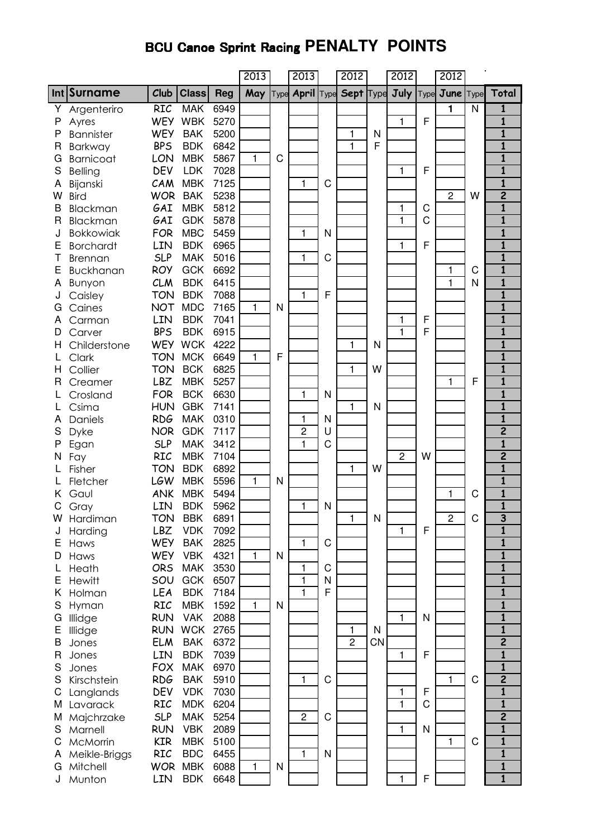## **BCU Canoe Sprint Racing PENALTY POINTS**

|        |                   |                   |                          |              | 2013         |      | 2013              |   | 2012             |              | 2012           |      | 2012           |              |                                         |
|--------|-------------------|-------------------|--------------------------|--------------|--------------|------|-------------------|---|------------------|--------------|----------------|------|----------------|--------------|-----------------------------------------|
|        | Int Surname       | Club              | <b>Class</b>             | <b>Reg</b>   | May          | Type | <b>April Type</b> |   | <b>Sept Type</b> |              | July           | Type | June           | <b>Type</b>  | Total                                   |
| Υ      | Argenteriro       | <b>RIC</b>        | <b>MAK</b>               | 6949         |              |      |                   |   |                  |              |                |      | $\blacksquare$ | $\mathsf{N}$ | $\mathbf{1}$                            |
| P      | Ayres             | <b>WEY</b>        | <b>WBK</b>               | 5270         |              |      |                   |   |                  |              | 1              | F    |                |              | $\overline{\mathbf{1}}$                 |
| P      | <b>Bannister</b>  | <b>WEY</b>        | <b>BAK</b>               | 5200         |              |      |                   |   | 1                | N            |                |      |                |              | $\mathbf{1}$                            |
| R      | Barkway           | <b>BPS</b>        | <b>BDK</b>               | 6842         |              |      |                   |   | $\mathbf{1}$     | F            |                |      |                |              | $\overline{\mathbf{1}}$                 |
| G      | <b>Barnicoat</b>  | LON               | <b>MBK</b>               | 5867         | $\mathbf{1}$ | C    |                   |   |                  |              |                |      |                |              | $\overline{\mathbf{1}}$                 |
| S      | Belling           | <b>DEV</b>        | <b>LDK</b>               | 7028         |              |      |                   |   |                  |              | 1              | F    |                |              | $\mathbf{1}$                            |
| Α      | Bijanski          | CAM               | <b>MBK</b>               | 7125         |              |      | 1                 | C |                  |              |                |      |                |              | $\overline{\mathbf{1}}$                 |
| W      | <b>Bird</b>       | <b>WOR</b>        | <b>BAK</b>               | 5238         |              |      |                   |   |                  |              |                |      | $\overline{c}$ | W            | $\overline{2}$                          |
| B      | <b>Blackman</b>   | GAI               | <b>MBK</b>               | 5812         |              |      |                   |   |                  |              | 1              | C    |                |              | $\overline{\mathbf{1}}$                 |
| R      | <b>Blackman</b>   | GAI               | <b>GDK</b>               | 5878         |              |      |                   |   |                  |              | 1              | C    |                |              | $\mathbf{1}$                            |
| J      | <b>Bokkowiak</b>  | <b>FOR</b>        | <b>MBC</b>               | 5459         |              |      | 1                 | N |                  |              |                | F    |                |              | $\mathbf{1}$<br>$\overline{\mathbf{1}}$ |
| Е      | <b>Borchardt</b>  | LIN<br><b>SLP</b> | <b>BDK</b><br><b>MAK</b> | 6965         |              |      |                   |   |                  |              | 1              |      |                |              | $\mathbf{1}$                            |
| Т      | <b>Brennan</b>    | <b>ROY</b>        | <b>GCK</b>               | 5016<br>6692 |              |      | 1                 | C |                  |              |                |      | 1              | C            | $\overline{\mathbf{1}}$                 |
| Е<br>Α | Buckhanan         | <b>CLM</b>        | <b>BDK</b>               | 6415         |              |      |                   |   |                  |              |                |      | 1              | N            | $\mathbf{1}$                            |
|        | Bunyon            | <b>TON</b>        | <b>BDK</b>               | 7088         |              |      | 1                 | F |                  |              |                |      |                |              | $\overline{\mathbf{1}}$                 |
| G      | Caisley<br>Caines | <b>NOT</b>        | <b>MDC</b>               | 7165         | $\mathbf{1}$ | N    |                   |   |                  |              |                |      |                |              | $\mathbf{1}$                            |
| Α      | Carman            | LIN               | <b>BDK</b>               | 7041         |              |      |                   |   |                  |              | 1              | F    |                |              | $\overline{\mathbf{1}}$                 |
| D      | Carver            | <b>BPS</b>        | <b>BDK</b>               | 6915         |              |      |                   |   |                  |              | 1              | F    |                |              | $\overline{\mathbf{1}}$                 |
| H      | Childerstone      | <b>WEY</b>        | <b>WCK</b>               | 4222         |              |      |                   |   | 1                | N            |                |      |                |              | $\overline{\mathbf{1}}$                 |
|        | Clark             | <b>TON</b>        | <b>MCK</b>               | 6649         | 1            | F    |                   |   |                  |              |                |      |                |              | $\mathbf{1}$                            |
| н      | Collier           | <b>TON</b>        | <b>BCK</b>               | 6825         |              |      |                   |   | 1                | W            |                |      |                |              | $\overline{\mathbf{1}}$                 |
| R      | Creamer           | <b>LBZ</b>        | <b>MBK</b>               | 5257         |              |      |                   |   |                  |              |                |      | 1              | F            | $\mathbf{1}$                            |
|        | Crosland          | <b>FOR</b>        | <b>BCK</b>               | 6630         |              |      | 1                 | N |                  |              |                |      |                |              | $\overline{\mathbf{1}}$                 |
|        | Csima             | <b>HUN</b>        | <b>GBK</b>               | 7141         |              |      |                   |   | 1                | N            |                |      |                |              | $\overline{\mathbf{1}}$                 |
| Α      | Daniels           | <b>RDG</b>        | <b>MAK</b>               | 0310         |              |      | 1                 | N |                  |              |                |      |                |              | $\overline{\mathbf{1}}$                 |
| S      | Dyke              | <b>NOR</b>        | <b>GDK</b>               | 7117         |              |      | $\overline{c}$    | U |                  |              |                |      |                |              | $\overline{\mathbf{c}}$                 |
| Ρ      | Egan              | <b>SLP</b>        | <b>MAK</b>               | 3412         |              |      | 1                 | Ć |                  |              |                |      |                |              | $\overline{\mathbf{1}}$                 |
| Ν      | Fay               | <b>RIC</b>        | <b>MBK</b>               | 7104         |              |      |                   |   |                  |              | $\overline{c}$ | W    |                |              | $\overline{\mathbf{c}}$                 |
|        | Fisher            | <b>TON</b>        | <b>BDK</b>               | 6892         |              |      |                   |   | 1                | W            |                |      |                |              | $\overline{\mathbf{1}}$                 |
|        | Fletcher          | LGW               | <b>MBK</b>               | 5596         | 1            | N    |                   |   |                  |              |                |      |                |              | $\mathbf{1}$                            |
|        | Gaul              | <b>ANK</b>        | <b>MBK</b>               | 5494         |              |      |                   |   |                  |              |                |      | 1              | C            | $\overline{\mathbf{1}}$                 |
| С      | Gray              | LIN               | <b>BDK</b>               | 5962         |              |      | 1                 | N |                  |              |                |      |                |              | $\overline{\mathbf{1}}$                 |
| W      | Hardiman          | TON               | <b>BBK</b>               | 6891         |              |      |                   |   |                  | N            |                |      | 2              | C            | 3                                       |
| J      | Harding           | LBZ               | <b>VDK</b>               | 7092         |              |      |                   |   |                  |              | 1              | F    |                |              | $\overline{\mathbf{1}}$                 |
| Ε      | Haws              | <b>WEY</b>        | <b>BAK</b>               | 2825         |              |      | 1                 | C |                  |              |                |      |                |              | $\overline{\mathbf{1}}$                 |
| D      | Haws              | <b>WEY</b>        | <b>VBK</b>               | 4321         | $\mathbf{1}$ | N    |                   |   |                  |              |                |      |                |              | 1                                       |
| L      | Heath             | <b>ORS</b>        | <b>MAK</b>               | 3530         |              |      | 1                 | C |                  |              |                |      |                |              | $\overline{\mathbf{1}}$                 |
| E      | Hewitt            | SOU               | <b>GCK</b>               | 6507         |              |      | 1                 | N |                  |              |                |      |                |              | $\overline{\mathbf{1}}$                 |
| Κ      | Holman            | LEA               | <b>BDK</b>               | 7184         |              |      | $\mathbf{1}$      | F |                  |              |                |      |                |              | $\overline{\mathbf{1}}$                 |
| S      | Hyman             | <b>RIC</b>        | <b>MBK</b>               | 1592         | $\mathbf{1}$ | N    |                   |   |                  |              |                |      |                |              | $\overline{\mathbf{1}}$                 |
| G      | Illidge           | <b>RUN</b>        | <b>VAK</b>               | 2088         |              |      |                   |   |                  |              | 1              | N    |                |              | $\overline{\mathbf{1}}$                 |
| Ε      | Illidge           | <b>RUN</b>        | <b>WCK</b>               | 2765         |              |      |                   |   | 1                | $\mathsf{N}$ |                |      |                |              | $\overline{\mathbf{1}}$                 |
| B      | Jones             | <b>ELM</b>        | <b>BAK</b>               | 6372         |              |      |                   |   | $\overline{c}$   | <b>CN</b>    |                |      |                |              | $\overline{2}$                          |
| R      | Jones             | LIN               | <b>BDK</b>               | 7039         |              |      |                   |   |                  |              | 1              | F    |                |              | $\mathbf{1}$                            |
| S      | Jones             | <b>FOX</b>        | <b>MAK</b>               | 6970         |              |      |                   |   |                  |              |                |      |                |              | $\mathbf{1}$                            |
| S      | Kirschstein       | <b>RDG</b>        | <b>BAK</b>               | 5910         |              |      | $\mathbf{1}$      | C |                  |              |                |      | 1              | C            | $\overline{\mathbf{2}}$                 |
| C      | Langlands         | <b>DEV</b>        | <b>VDK</b>               | 7030         |              |      |                   |   |                  |              | 1              | F    |                |              | $\mathbf{1}$                            |
| M      | Lavarack          | RIC               | <b>MDK</b>               | 6204         |              |      |                   |   |                  |              | 1              | C    |                |              | $\mathbf{1}$                            |
| M      | Majchrzake        | <b>SLP</b>        | <b>MAK</b>               | 5254         |              |      | $\overline{c}$    | C |                  |              |                |      |                |              | $\overline{\mathbf{2}}$                 |
| S      | Marnell           | <b>RUN</b>        | <b>VBK</b>               | 2089         |              |      |                   |   |                  |              | 1              | N    |                |              | $\mathbf{1}$                            |
| C      | McMorrin          | <b>KIR</b>        | <b>MBK</b>               | 5100         |              |      |                   |   |                  |              |                |      | 1              | C            | $\mathbf{1}$                            |
| A      | Meikle-Briggs     | <b>RIC</b>        | <b>BDC</b>               | 6455         |              |      | 1                 | N |                  |              |                |      |                |              | 1                                       |
| G      | Mitchell          | <b>WOR</b>        | <b>MBK</b>               | 6088         | $\mathbf{1}$ | N    |                   |   |                  |              |                |      |                |              | $\mathbf{1}$                            |
|        | Munton            | LIN               | <b>BDK</b>               | 6648         |              |      |                   |   |                  |              | 1              | F    |                |              | $\overline{\mathbf{1}}$                 |